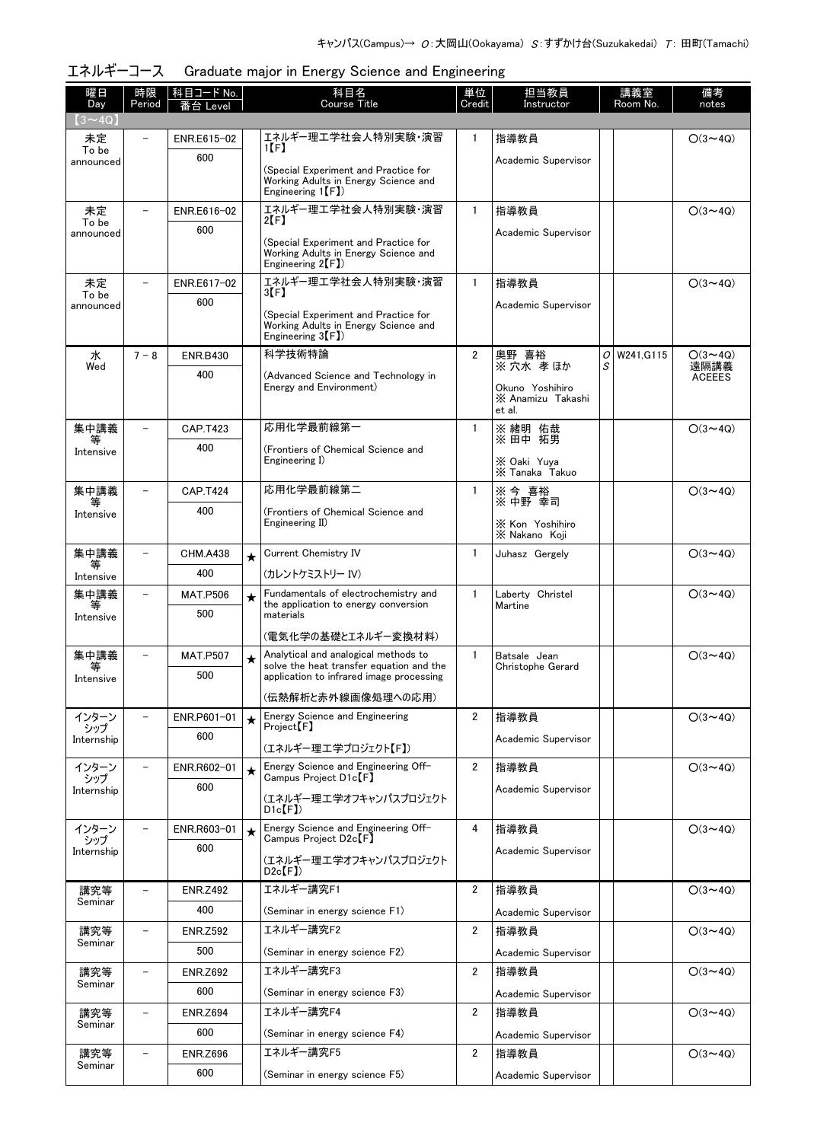| エネルギーコース Graduate major in Energy Science and Engineering |  |  |  |
|-----------------------------------------------------------|--|--|--|
|                                                           |  |  |  |

| 曜日<br>Day          | 時限<br>Period             | 科目コード No.<br>番台 Level  |         | 科目名<br><b>Course Title</b>                                                                                     | 単位<br>Credit   | 担当教員<br>Instructor                             |        | 講義室<br>Room No. | 備考<br>notes            |
|--------------------|--------------------------|------------------------|---------|----------------------------------------------------------------------------------------------------------------|----------------|------------------------------------------------|--------|-----------------|------------------------|
| $(3 \sim 4Q)$      |                          |                        |         |                                                                                                                |                |                                                |        |                 |                        |
| 未定<br>To be        |                          | ENR.E615-02            |         | エネルギー理工学社会人特別実験・演習<br>1(F)                                                                                     | 1              | 指導教員                                           |        |                 | $O(3 \sim 4Q)$         |
| announced          |                          | 600                    |         | (Special Experiment and Practice for<br>Working Adults in Energy Science and<br>Engineering 1 <sup>[F]</sup> ) |                | Academic Supervisor                            |        |                 |                        |
| 未定                 |                          | ENR.E616-02            |         | エネルギー理工学社会人特別実験・演習<br>$2[$ F                                                                                   | $\mathbf{1}$   | 指導教員                                           |        |                 | $O(3 \sim 4Q)$         |
| To be<br>announced |                          | 600                    |         | (Special Experiment and Practice for                                                                           |                | Academic Supervisor                            |        |                 |                        |
|                    |                          |                        |         | Working Adults in Energy Science and<br>Engineering $2(F)$                                                     |                |                                                |        |                 |                        |
| 未定<br>To be        |                          | ENR.E617-02            |         | エネルギー理工学社会人特別実験・演習<br>3[F]                                                                                     | $\mathbf{1}$   | 指導教員                                           |        |                 | $O(3 \sim 4Q)$         |
| announced          |                          | 600                    |         | (Special Experiment and Practice for<br>Working Adults in Energy Science and<br>Engineering $3(F)$             |                | Academic Supervisor                            |        |                 |                        |
| 水<br>Wed           | $7 - 8$                  | <b>ENR.B430</b>        |         | 科学技術特論                                                                                                         | $\overline{2}$ | 奥野 喜裕<br>※穴水孝ほか                                | 0<br>S | W241.G115       | $O(3 \sim 4Q)$<br>遠隔講義 |
|                    |                          | 400                    |         | (Advanced Science and Technology in<br>Energy and Environment)                                                 |                |                                                |        |                 | <b>ACEEES</b>          |
|                    |                          |                        |         |                                                                                                                |                | Okuno Yoshihiro<br>X Anamizu Takashi<br>et al. |        |                 |                        |
| 集中講義<br>等          |                          | CAP.T423               |         | 応用化学最前線第一                                                                                                      | $\mathbf{1}$   | ※ 緒明 佑哉<br>※ 田中 拓男                             |        |                 | $O(3 \sim 4Q)$         |
| Intensive          |                          | 400                    |         | (Frontiers of Chemical Science and<br>Engineering I)                                                           |                |                                                |        |                 |                        |
|                    |                          |                        |         |                                                                                                                |                | ※ Oaki Yuya<br>※ Tanaka Takuo                  |        |                 |                        |
| 集中講義<br>等          |                          | <b>CAP.T424</b>        |         | 応用化学最前線第二                                                                                                      | $\mathbf{1}$   | ※ 今 喜裕<br>※ 中野 幸司                              |        |                 | $O(3 \sim 4Q)$         |
| Intensive          |                          | 400                    |         | (Frontiers of Chemical Science and<br>Engineering II)                                                          |                | X Kon Yoshihiro<br>X Nakano Koji               |        |                 |                        |
| 集中講義               |                          | <b>CHM.A438</b>        | $\star$ | Current Chemistry IV                                                                                           | 1              | Juhasz Gergely                                 |        |                 | $O(3 \sim 4Q)$         |
| 等<br>Intensive     |                          | 400                    |         | (カレントケミストリー IV)                                                                                                |                |                                                |        |                 |                        |
| 集中講義<br>等          |                          | <b>MAT.P506</b>        | $\star$ | Fundamentals of electrochemistry and<br>the application to energy conversion                                   | $\mathbf{1}$   | Laberty Christel<br>Martine                    |        |                 | $O(3 \sim 4Q)$         |
| Intensive          |                          | 500                    |         | materials                                                                                                      |                |                                                |        |                 |                        |
|                    |                          |                        |         | (電気化学の基礎とエネルギー変換材料)                                                                                            |                |                                                |        |                 |                        |
| 集中講義<br>等          |                          | <b>MAT.P507</b>        | $\star$ | Analytical and analogical methods to<br>solve the heat transfer equation and the                               | $\mathbf{1}$   | Batsale Jean<br>Christophe Gerard              |        |                 | $O(3 \sim 4Q)$         |
| Intensive          |                          | 500                    |         | application to infrared image processing                                                                       |                |                                                |        |                 |                        |
|                    |                          |                        |         | (伝熱解析と赤外線画像処理への応用)                                                                                             |                |                                                |        |                 |                        |
| インターン<br>シップ       | $\qquad \qquad -$        | ENR.P601-01            | $\star$ | Energy Science and Engineering<br>Project <sup>[F]</sup>                                                       | $\overline{2}$ | 指導教員                                           |        |                 | $O(3 \sim 4Q)$         |
| Internship         |                          | 600                    |         | (エネルギー理工学プロジェクト【F】)                                                                                            |                | Academic Supervisor                            |        |                 |                        |
| インターン<br>シップ       | $\overline{\phantom{a}}$ | ENR.R602-01            | $\star$ | Energy Science and Engineering Off-<br>Campus Project D1c <sup>[F]</sup>                                       | $\overline{2}$ | 指導教員                                           |        |                 | $O(3 \sim 4Q)$         |
| Internship         |                          | 600                    |         | (エネルギー理工学オフキャンパスプロジェクト                                                                                         |                | Academic Supervisor                            |        |                 |                        |
|                    |                          |                        |         | $D1c$ $(F)$                                                                                                    |                |                                                |        |                 |                        |
| インターン<br>シップ       |                          | ENR.R603-01            | $\star$ | Energy Science and Engineering Off-<br>Campus Project D2c <sup>[F]</sup>                                       | 4              | 指導教員                                           |        |                 | $O(3 \sim 4Q)$         |
| Internship         |                          | 600                    |         | (エネルギー理工学オフキャンパスプロジェクト<br>$D2c$ $(F)$                                                                          |                | Academic Supervisor                            |        |                 |                        |
| 講究等<br>Seminar     | $\overline{\phantom{0}}$ | <b>ENR.Z492</b>        |         | エネルギー講究F1                                                                                                      | $\overline{2}$ | 指導教員                                           |        |                 | $O(3 \sim 4Q)$         |
|                    |                          | 400                    |         | (Seminar in energy science F1)                                                                                 |                | Academic Supervisor                            |        |                 |                        |
| 講究等<br>Seminar     | $\overline{\phantom{a}}$ | <b>ENR.Z592</b>        |         | エネルギー講究F2                                                                                                      | $\overline{2}$ | 指導教員                                           |        |                 | $O(3 \sim 4Q)$         |
|                    |                          | 500                    |         | (Seminar in energy science F2)                                                                                 |                | Academic Supervisor                            |        |                 |                        |
| 講究等<br>Seminar     | $\overline{\phantom{m}}$ | <b>ENR.Z692</b>        |         | エネルギー講究F3                                                                                                      | $\overline{2}$ | 指導教員                                           |        |                 | $O(3 \sim 4Q)$         |
|                    |                          | 600                    |         | (Seminar in energy science F3)                                                                                 |                | Academic Supervisor                            |        |                 |                        |
| 講究等<br>Seminar     | $\overline{\phantom{a}}$ | <b>ENR.Z694</b>        |         | エネルギー講究F4                                                                                                      | $\overline{2}$ | 指導教員                                           |        |                 | $O(3 \sim 4Q)$         |
|                    |                          | 600                    |         | (Seminar in energy science F4)<br>エネルギー講究F5                                                                    |                | Academic Supervisor                            |        |                 |                        |
| 講究等<br>Seminar     | $\overline{\phantom{m}}$ | <b>ENR.Z696</b><br>600 |         |                                                                                                                | $\overline{2}$ | 指導教員                                           |        |                 | $O(3 \sim 4Q)$         |
|                    |                          |                        |         | (Seminar in energy science F5)                                                                                 |                | Academic Supervisor                            |        |                 |                        |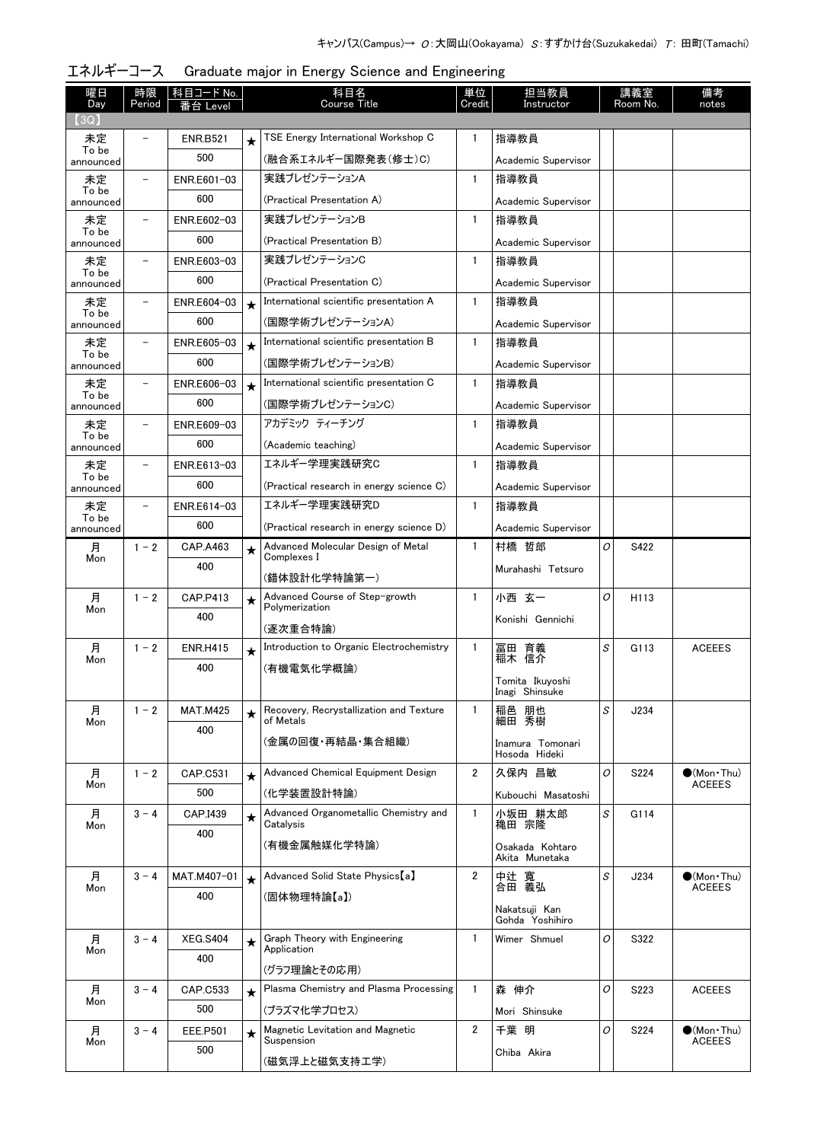| 曜日<br>Day          | 時限<br>Period             | 科目コード No.<br>Level |            | 科目名<br><b>Course Title</b>                           |                | 担当教員<br>Instructor                |   | 講義室<br>Room No.  | 備考<br>notes                          |
|--------------------|--------------------------|--------------------|------------|------------------------------------------------------|----------------|-----------------------------------|---|------------------|--------------------------------------|
| 3Q                 |                          |                    |            |                                                      |                |                                   |   |                  |                                      |
| 未定                 |                          | <b>ENR.B521</b>    | $\star$    | TSE Energy International Workshop C                  | 1              | 指導教員                              |   |                  |                                      |
| To be<br>announced |                          | 500                |            | (融合系エネルギー国際発表(修士)C)                                  |                | Academic Supervisor               |   |                  |                                      |
| 未定                 |                          | ENR.E601-03        |            | 実践プレゼンテーションA                                         | $\mathbf{1}$   | 指導教員                              |   |                  |                                      |
| To be<br>announced |                          | 600                |            | (Practical Presentation A)                           |                | Academic Supervisor               |   |                  |                                      |
| 未定                 |                          | ENR.E602-03        |            | 実践プレゼンテーションB                                         | $\mathbf{1}$   | 指導教員                              |   |                  |                                      |
| To be<br>announced |                          | 600                |            | (Practical Presentation B)                           |                | Academic Supervisor               |   |                  |                                      |
| 未定                 |                          | ENR.E603-03        |            | 実践プレゼンテーションC                                         | $\mathbf{1}$   | 指導教員                              |   |                  |                                      |
| To be<br>announced |                          | 600                |            | (Practical Presentation C)                           |                | Academic Supervisor               |   |                  |                                      |
| 未定                 | $\overline{\phantom{0}}$ | ENR.E604-03        | $\star$    | International scientific presentation A              | $\mathbf{1}$   | 指導教員                              |   |                  |                                      |
| To be<br>announced |                          | 600                |            | (国際学術プレゼンテーションA)                                     |                | Academic Supervisor               |   |                  |                                      |
| 未定                 |                          | ENR.E605-03        | $\star$    | International scientific presentation B              | $\mathbf{1}$   | 指導教員                              |   |                  |                                      |
| To be<br>announced |                          | 600                |            | (国際学術プレゼンテーションB)                                     |                | Academic Supervisor               |   |                  |                                      |
| 未定                 |                          | ENR.E606-03        | $\star$    | International scientific presentation C              | $\mathbf{1}$   | 指導教員                              |   |                  |                                      |
| To be<br>announced |                          | 600                |            | (国際学術プレゼンテーションC)                                     |                | Academic Supervisor               |   |                  |                                      |
| 未定                 |                          | ENR.E609-03        |            | アカデミック ティーチング                                        | $\mathbf{1}$   | 指導教員                              |   |                  |                                      |
| To be              |                          | 600                |            | (Academic teaching)                                  |                | Academic Supervisor               |   |                  |                                      |
| announced<br>未定    | $\overline{\phantom{0}}$ | ENR.E613-03        |            | エネルギー学理実践研究C                                         | $\mathbf{1}$   | 指導教員                              |   |                  |                                      |
| To be              |                          | 600                |            | (Practical research in energy science C)             |                |                                   |   |                  |                                      |
| announced          |                          |                    |            | エネルギー学理実践研究D                                         | $\mathbf{1}$   | Academic Supervisor               |   |                  |                                      |
| 未定<br>To be        |                          | ENR.E614-03<br>600 |            |                                                      |                | 指導教員                              |   |                  |                                      |
| announced          |                          |                    |            | (Practical research in energy science D)             |                | Academic Supervisor               |   |                  |                                      |
| 月<br>Mon           | $1 - 2$                  | CAP.A463           | $\star$    | Advanced Molecular Design of Metal<br>Complexes I    | $\mathbf{1}$   | 村橋 哲郎                             | O | S422             |                                      |
|                    |                          | 400                |            | (錯体設計化学特論第一)                                         |                | Murahashi Tetsuro                 |   |                  |                                      |
| 月                  | $1 - 2$                  | CAP.P413           | $\bigstar$ | Advanced Course of Step-growth                       | $\mathbf{1}$   | 小西 玄一                             | O | H <sub>113</sub> |                                      |
| Mon                |                          | 400                |            | Polymerization                                       |                | Konishi Gennichi                  |   |                  |                                      |
|                    |                          |                    |            | (逐次重合特論)                                             |                |                                   |   |                  |                                      |
| 月<br>Mon           | $1 - 2$                  | <b>ENR.H415</b>    | $\star$    | Introduction to Organic Electrochemistry             | $\mathbf{1}$   | 冨田 育義<br>稲木 信介                    | S | G113             | <b>ACEEES</b>                        |
|                    |                          | 400                |            | (有機電気化学概論)                                           |                | Tomita Ikuyoshi                   |   |                  |                                      |
|                    |                          |                    |            |                                                      |                | Inagi Shinsuke                    |   |                  |                                      |
| 月<br>Mon           | $1 - 2$                  | <b>MAT.M425</b>    | $\star$    | Recovery, Recrystallization and Texture<br>of Metals | 1              | 稲邑 朋也<br>細田 秀樹                    | S | J234             |                                      |
|                    |                          | 400                |            | (金属の回復・再結晶・集合組織)                                     |                | Inamura Tomonari                  |   |                  |                                      |
|                    |                          |                    |            |                                                      |                | Hosoda Hideki                     |   |                  |                                      |
| 月                  | $1 - 2$                  | CAP.C531           | $\star$    | Advanced Chemical Equipment Design                   | $\overline{2}$ | 久保内 昌敏                            | O | S224             | $\bullet$ (Mon Thu)<br><b>ACEEES</b> |
| Mon                |                          | 500                |            | (化学装置設計特論)                                           |                | Kubouchi Masatoshi                |   |                  |                                      |
| 月                  | $3 - 4$                  | CAP.I439           | $\star$    | Advanced Organometallic Chemistry and<br>Catalysis   | $\mathbf{1}$   | 小坂田 耕太郎<br>穐田 宗隆                  | S | G114             |                                      |
| Mon                |                          | 400                |            |                                                      |                |                                   |   |                  |                                      |
|                    |                          |                    |            | (有機金属触媒化学特論)                                         |                | Osakada Kohtaro<br>Akita Munetaka |   |                  |                                      |
| 月                  | $3 - 4$                  | MAT.M407-01        | $\star$    | Advanced Solid State Physics [a]                     | $\overline{2}$ | 中辻 寬<br>合田 義弘                     | S | J234             | $(Mon\cdot Thu)$                     |
| Mon                |                          | 400                |            | (固体物理特論【a】)                                          |                |                                   |   |                  | <b>ACEEES</b>                        |
|                    |                          |                    |            |                                                      |                | Nakatsuji Kan<br>Gohda Yoshihiro  |   |                  |                                      |
| 月                  | $3 - 4$                  | <b>XEG.S404</b>    | $\star$    | Graph Theory with Engineering                        | $\mathbf{1}$   | Wimer Shmuel                      | 0 | S322             |                                      |
| Mon                |                          | 400                |            | Application                                          |                |                                   |   |                  |                                      |
|                    |                          |                    |            | (グラフ理論とその応用)                                         |                |                                   |   |                  |                                      |
| 月<br>Mon           | $3 - 4$                  | CAP.C533           | $\star$    | Plasma Chemistry and Plasma Processing               | $\mathbf{1}$   | 森 伸介                              | O | S223             | <b>ACEEES</b>                        |
|                    |                          | 500                |            | (プラズマ化学プロセス)                                         |                | Mori Shinsuke                     |   |                  |                                      |
| 月<br>Mon           | $3 - 4$                  | <b>EEE.P501</b>    | $\star$    | Magnetic Levitation and Magnetic<br>Suspension       | $\overline{2}$ | 千葉 明                              | O | S224             | $\bullet$ (Mon Thu)<br><b>ACEEES</b> |
|                    |                          | 500                |            | (磁気浮上と磁気支持工学)                                        |                | Chiba Akira                       |   |                  |                                      |
|                    |                          |                    |            |                                                      |                |                                   |   |                  |                                      |

# エネルギーコース Graduate major in Energy Science and Engineering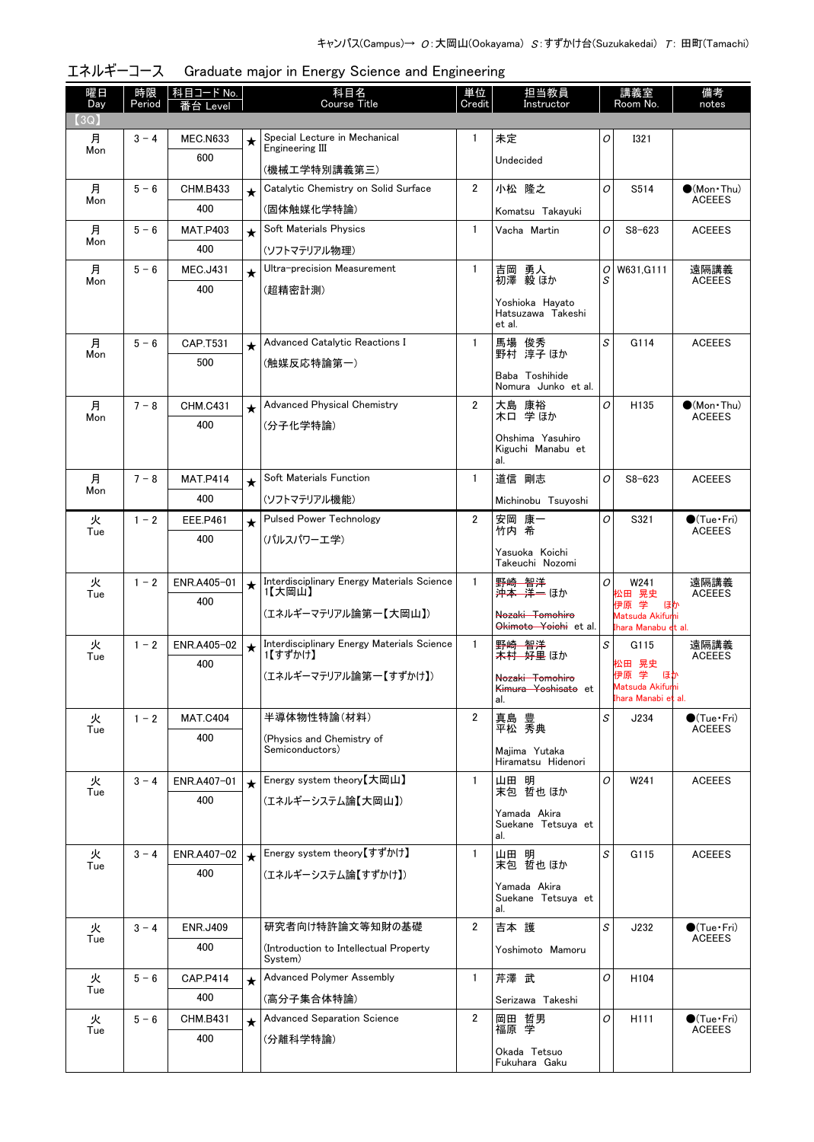| 曜日<br>Day | 時限<br>Period | <u>科目コード No.</u><br>番台 Level |         | 科目名<br><b>Course Title</b>                            |                | 担当教員<br>講義室<br>Room No.<br>Instructor          |         |                                        | 備考<br>notes                             |
|-----------|--------------|------------------------------|---------|-------------------------------------------------------|----------------|------------------------------------------------|---------|----------------------------------------|-----------------------------------------|
| (3Q)      |              |                              |         |                                                       |                |                                                |         |                                        |                                         |
| 月         | $3 - 4$      | <b>MEC.N633</b>              | $\star$ | Special Lecture in Mechanical<br>Engineering III      | $\mathbf{1}$   | 未定                                             | 0       | <b>I321</b>                            |                                         |
| Mon       |              | 600                          |         | (機械工学特別講義第三)                                          |                | Undecided                                      |         |                                        |                                         |
| 月         | $5 - 6$      | <b>CHM.B433</b>              | $\star$ | Catalytic Chemistry on Solid Surface                  | $\overline{2}$ | 小松 隆之                                          | O       | S514                                   | $\bullet$ (Mon Thu)<br><b>ACEEES</b>    |
| Mon       |              | 400                          |         | (固体触媒化学特論)                                            |                | Komatsu Takayuki                               |         |                                        |                                         |
| 月         | $5 - 6$      | <b>MAT.P403</b>              | $\star$ | Soft Materials Physics                                | $\mathbf{1}$   | Vacha Martin                                   | O       | $S8 - 623$                             | <b>ACEEES</b>                           |
| Mon       |              | 400                          |         | (ソフトマテリアル物理)                                          |                |                                                |         |                                        |                                         |
| 月         | $5 - 6$      | <b>MEC.J431</b>              | $\star$ | Ultra-precision Measurement                           | $\mathbf{1}$   | 吉岡 勇人<br>初澤 毅 ほか                               | Οl<br>S | W631.G111                              | 遠隔講義<br><b>ACEEES</b>                   |
| Mon       |              | 400                          |         | (超精密計測)                                               |                |                                                |         |                                        |                                         |
|           |              |                              |         |                                                       |                | Yoshioka Hayato<br>Hatsuzawa Takeshi<br>et al. |         |                                        |                                         |
| 月         | $5 - 6$      | CAP.T531                     | $\star$ | Advanced Catalytic Reactions I                        | $\mathbf{1}$   | 馬場 俊秀<br>野村 淳子 ほか                              | S       | G114                                   | <b>ACEEES</b>                           |
| Mon       |              | 500                          |         | (触媒反応特論第一)                                            |                |                                                |         |                                        |                                         |
|           |              |                              |         |                                                       |                | Baba Toshihide<br>Nomura Junko et al.          |         |                                        |                                         |
| 月<br>Mon  | $7 - 8$      | <b>CHM.C431</b>              | $\star$ | <b>Advanced Physical Chemistry</b>                    | $\overline{2}$ | 大島 康裕<br>木口 学ほか                                | O       | H135                                   | $\bullet$ (Mon Thu)<br><b>ACEEES</b>    |
|           |              | 400                          |         | (分子化学特論)                                              |                | Ohshima Yasuhiro<br>Kiguchi Manabu et          |         |                                        |                                         |
|           |              |                              |         |                                                       |                | al.                                            |         |                                        |                                         |
| 月<br>Mon  | $7 - 8$      | <b>MAT.P414</b>              | $\star$ | Soft Materials Function                               | $\mathbf{1}$   | 道信 剛志                                          | O       | $S8 - 623$                             | <b>ACEEES</b>                           |
|           |              | 400                          |         | (ソフトマテリアル機能)                                          |                | Michinobu Tsuyoshi                             |         |                                        |                                         |
| 火<br>Tue  | $1 - 2$      | <b>EEE.P461</b>              | $\star$ | <b>Pulsed Power Technology</b>                        | $\overline{2}$ | 安岡 康一<br>竹内 希                                  | O       | S321                                   | $\bigcirc$ (Tue · Fri)<br><b>ACEEES</b> |
|           |              | 400                          |         | (パルスパワーエ学)                                            |                | Yasuoka Koichi                                 |         |                                        |                                         |
|           |              |                              |         |                                                       |                | Takeuchi Nozomi                                |         |                                        |                                         |
| 火<br>Tue  | $1 - 2$      | ENR.A405-01                  | $\star$ | Interdisciplinary Energy Materials Science<br>1【大岡山】  | 1.             | 野崎 智洋<br><del>沖本 洋一</del> ほか                   | 0       | W241<br>松田 晃史                          | 遠隔講義<br><b>ACEEES</b>                   |
|           |              | 400                          |         | (エネルギーマテリアル論第一【大岡山】)                                  |                | Nozaki Tomohiro                                |         | 伊原 学り ほか<br>Matsuda Akifumi            |                                         |
|           |              |                              |         |                                                       |                | Okimoto Yoichi et al.                          |         | Ihara Manabu et al.                    |                                         |
| 火<br>Tue  | $1 - 2$      | ENR.A405-02                  | $\star$ | Interdisciplinary Energy Materials Science<br>1【すずかけ】 | $\mathbf{1}$   | 野崎 智洋<br><del>木村 - 好里</del> ほか                 | S       | G115                                   | 遠隔講義<br><b>ACEEES</b>                   |
|           |              | 400                          |         | (エネルギーマテリアル論第一【すずかけ】)                                 |                | Nozaki Tomohiro                                |         | 松田 晃史<br>伊原 学 ほか                       |                                         |
|           |              |                              |         |                                                       |                | Kimura Yoshisato et<br>al.                     |         | Matsuda Akifumi<br>Ihara Manabi et al. |                                         |
| 火         | $1 - 2$      | <b>MAT.C404</b>              |         | 半導体物性特論(材料)                                           | $\overline{2}$ | 豊<br>真島                                        | S       | J234                                   | $\bullet$ (Tue•Fri)                     |
| Tue       |              | 400                          |         | (Physics and Chemistry of                             |                | 平松 秀典                                          |         |                                        | <b>ACEEES</b>                           |
|           |              |                              |         | Semiconductors)                                       |                | Majima Yutaka<br>Hiramatsu Hidenori            |         |                                        |                                         |
| 火<br>Tue  | $3 - 4$      | ENR.A407-01                  | $\star$ | Energy system theory【大岡山】                             | $\mathbf{1}$   | 山田 明<br>末包 哲也 ほか                               | O       | W241                                   | <b>ACEEES</b>                           |
|           |              | 400                          |         | (エネルギーシステム論【大岡山】)                                     |                |                                                |         |                                        |                                         |
|           |              |                              |         |                                                       |                | Yamada Akira<br>Suekane Tetsuva et<br>al.      |         |                                        |                                         |
| 火<br>Tue  | $3 - 4$      | ENR.A407-02                  | $\star$ | Energy system theory【すずかけ】                            | $\mathbf{1}$   | 山田 明<br>末包 哲也 ほか                               | S       | G115                                   | <b>ACEEES</b>                           |
|           |              | 400                          |         | (エネルギーシステム論【すずかけ】)                                    |                | Yamada Akira                                   |         |                                        |                                         |
|           |              |                              |         |                                                       |                | Suekane Tetsuya et<br>al.                      |         |                                        |                                         |
| 火         | $3 - 4$      | <b>ENR.J409</b>              |         | 研究者向け特許論文等知財の基礎                                       | $\overline{2}$ | 吉本 護                                           | S       | J232                                   | $\bullet$ (Tue•Fri)<br><b>ACEEES</b>    |
| Tue       |              | 400                          |         | (Introduction to Intellectual Property)<br>System)    |                | Yoshimoto Mamoru                               |         |                                        |                                         |
| 火         | $5 - 6$      | <b>CAP.P414</b>              | $\star$ | Advanced Polymer Assembly                             | $\mathbf{1}$   | 芹澤 武                                           | O       | H104                                   |                                         |
| Tue       |              | 400                          |         | (高分子集合体特論)                                            |                | Serizawa Takeshi                               |         |                                        |                                         |
| 火<br>Tue  | $5 - 6$      | CHM.B431                     | $\star$ | <b>Advanced Separation Science</b>                    | $\overline{2}$ | 岡田 哲男<br>福原 学                                  | O       | H <sub>111</sub>                       | $\bullet$ (Tue•Fri)<br><b>ACEEES</b>    |
|           |              | 400                          |         | (分離科学特論)                                              |                | Okada Tetsuo                                   |         |                                        |                                         |
|           |              |                              |         |                                                       |                | Fukuhara Gaku                                  |         |                                        |                                         |

エネルギーコース Graduate major in Energy Science and Engineering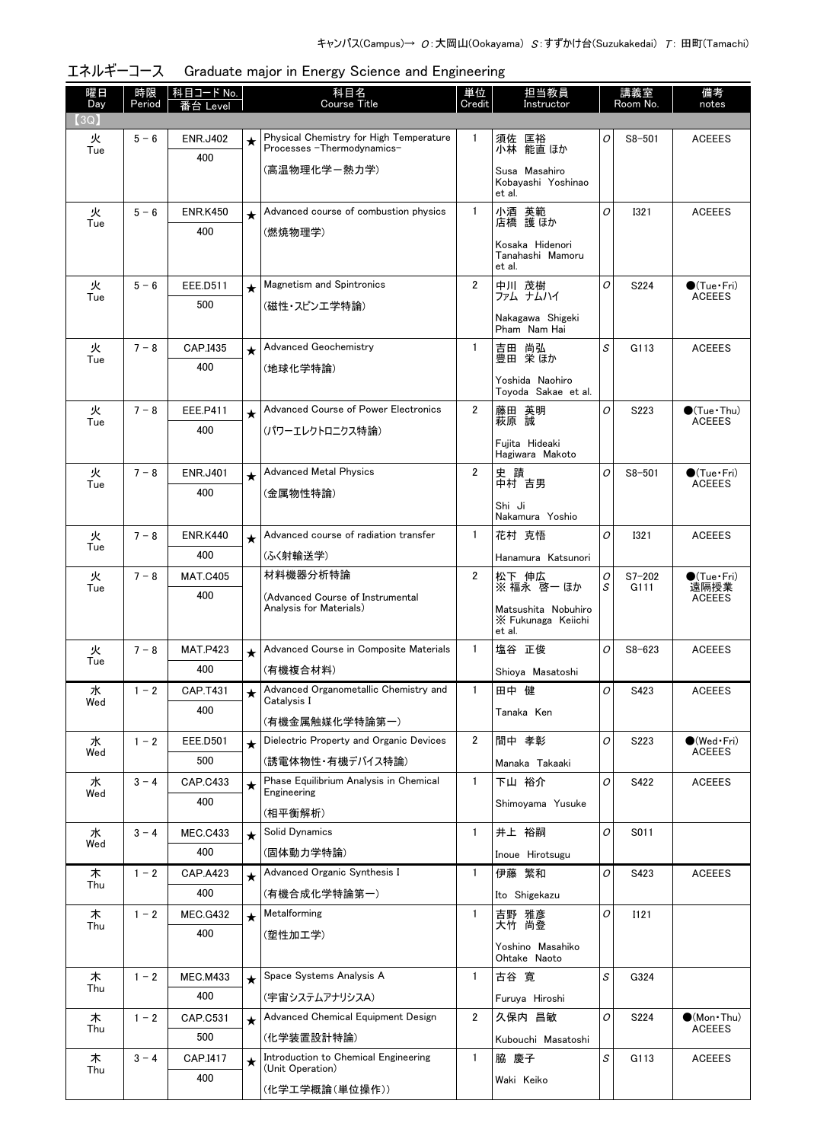| 曜日<br>Day | 時限<br>Period | │科目コード No.             | 科目名<br>Course Title |                                                                        | 単位<br>Credit   | 担当教員<br>講義室<br>Instructor<br>Room No.     |                | 備考<br>notes        |                                        |
|-----------|--------------|------------------------|---------------------|------------------------------------------------------------------------|----------------|-------------------------------------------|----------------|--------------------|----------------------------------------|
| [3Q]      |              | 台 Level                |                     |                                                                        |                |                                           |                |                    |                                        |
| 火<br>Tue  | $5 - 6$      | <b>ENR.J402</b>        | ★                   | Physical Chemistry for High Temperature<br>Processes - Thermodynamics- | $\mathbf{1}$   | 須佐 匡裕<br>小林 能直 ほか                         | 0              | $S8 - 501$         | <b>ACEEES</b>                          |
|           |              | 400                    |                     | (高温物理化学ー熱力学)                                                           |                | Susa Masahiro                             |                |                    |                                        |
|           |              |                        |                     |                                                                        |                | Kobayashi Yoshinao<br>et al.              |                |                    |                                        |
| 火         | $5 - 6$      | <b>ENR.K450</b>        | $\star$             | Advanced course of combustion physics                                  | $\mathbf{1}$   | 小酒 英範<br>店橋 護ほか                           | $\overline{O}$ | <b>I321</b>        | <b>ACEEES</b>                          |
| Tue       |              | 400                    |                     | (燃焼物理学)                                                                |                | Kosaka Hidenori                           |                |                    |                                        |
|           |              |                        |                     |                                                                        |                | Tanahashi Mamoru<br>et al.                |                |                    |                                        |
| 火         | $5 - 6$      | EEE.D511               | $\star$             | <b>Magnetism and Spintronics</b>                                       | $\overline{2}$ | 中川 茂樹<br>ファム ナムハイ                         | O              | S224               | $\bullet$ (Tue · Fri)<br><b>ACEEES</b> |
| Tue       |              | 500                    |                     | (磁性・スピンエ学特論)                                                           |                | Nakagawa Shigeki                          |                |                    |                                        |
|           |              |                        |                     |                                                                        |                | Pham Nam Hai                              |                |                    |                                        |
| 火<br>Tue  | $7 - 8$      | CAP.I435               | $\star$             | <b>Advanced Geochemistry</b>                                           | $\mathbf{1}$   | 吉田 尚弘<br>豊田 栄ほか                           | S              | G113               | <b>ACEEES</b>                          |
|           |              | 400                    |                     | (地球化学特論)                                                               |                | Yoshida Naohiro                           |                |                    |                                        |
| 火         | $7 - 8$      | EEE.P411               |                     | Advanced Course of Power Electronics                                   | $\overline{2}$ | Tovoda Sakae et al.                       | O              | S223               | $\bullet$ (Tue · Thu)                  |
| Tue       |              | 400                    | $\star$             | (パワーエレクトロニクス特論)                                                        |                | 藤田 英明<br>萩原 誠                             |                |                    | <b>ACEEES</b>                          |
|           |              |                        |                     |                                                                        |                | Fuiita Hideaki<br>Hagiwara Makoto         |                |                    |                                        |
| 火         | $7 - 8$      | <b>ENR.J401</b>        | $\star$             | <b>Advanced Metal Physics</b>                                          | $\overline{2}$ | 史 蹟<br>中村 吉男                              | O              | $S8 - 501$         | $\bullet$ (Tue•Fri)<br><b>ACEEES</b>   |
| Tue       |              | 400                    |                     | (金属物性特論)                                                               |                | Shi Ji                                    |                |                    |                                        |
|           |              |                        |                     |                                                                        |                | Nakamura Yoshio                           |                |                    |                                        |
| 火<br>Tue  | $7 - 8$      | <b>ENR.K440</b>        | $\star$             | Advanced course of radiation transfer                                  | $\mathbf{1}$   | 花村 克悟                                     | O              | <b>I321</b>        | <b>ACEEES</b>                          |
|           |              | 400                    |                     | (ふく射輸送学)                                                               |                | Hanamura Katsunori                        |                |                    |                                        |
| 火<br>Tue  | $7 - 8$      | <b>MAT.C405</b><br>400 |                     | 材料機器分析特論<br>(Advanced Course of Instrumental                           | $\overline{2}$ | 松下 伸広<br>※ 福永 啓一 ほか                       | 0<br>S         | $S7 - 202$<br>G111 | $\bullet$ (Tue · Fri)<br>遠隔授業          |
|           |              |                        |                     | Analysis for Materials)                                                |                | Matsushita Nobuhiro<br>X Fukunaga Keiichi |                |                    | <b>ACEEES</b>                          |
|           |              |                        |                     |                                                                        |                | et al.                                    |                |                    |                                        |
| 火<br>Tue  | $7 - 8$      | <b>MAT.P423</b>        | $\star$             | Advanced Course in Composite Materials                                 | $\mathbf{1}$   | 塩谷 正俊                                     | 0              | $S8 - 623$         | <b>ACEEES</b>                          |
|           |              | 400                    |                     | (有機複合材料)<br>Advanced Organometallic Chemistry and                      | $\overline{1}$ | Shioya Masatoshi                          | $\overline{o}$ |                    |                                        |
| 水<br>Wed  | $1 - 2$      | CAP.T431<br>400        |                     | Catalvsis I                                                            |                | 田中 健<br>Tanaka Ken                        |                | S423               | <b>ACEEES</b>                          |
|           |              |                        |                     | (有機金属触媒化学特論第一)                                                         |                |                                           |                |                    |                                        |
| 水<br>Wed  | $1 - 2$      | <b>EEE.D501</b>        | $\star$             | Dielectric Property and Organic Devices                                | $\overline{2}$ | 間中 孝彰                                     | O              | S223               | $\bigcirc$ (Wed Fri)<br><b>ACEEES</b>  |
|           | $3 - 4$      | 500                    |                     | (誘電体物性・有機デバイス特論)<br>Phase Equilibrium Analysis in Chemical             | $\mathbf{1}$   | Manaka Takaaki                            | 0              |                    |                                        |
| 水<br>Wed  |              | CAP.C433<br>400        | $\star$             | Engineering                                                            |                | 下山 裕介<br>Shimoyama Yusuke                 |                | S422               | <b>ACEEES</b>                          |
|           |              |                        |                     | (相平衡解析)                                                                |                |                                           |                |                    |                                        |
| 水<br>Wed  | $3 - 4$      | <b>MEC.C433</b><br>400 | $\star$             | Solid Dynamics<br>(固体動力学特論)                                            | $\mathbf{1}$   | 井上 裕嗣                                     | O              | S011               |                                        |
| 木         | $1 - 2$      | <b>CAP.A423</b>        | $\star$             | Advanced Organic Synthesis I                                           | $\mathbf{1}$   | Inoue Hirotsugu<br>伊藤 繁和                  | O              | S423               | <b>ACEEES</b>                          |
| Thu       |              | 400                    |                     | (有機合成化学特論第一)                                                           |                | Ito Shigekazu                             |                |                    |                                        |
| 木         | $1 - 2$      | <b>MEC.G432</b>        | $\star$             | Metalforming                                                           | 1              | 吉野 雅彦                                     | 0              | <b>I121</b>        |                                        |
| Thu       |              | 400                    |                     | (塑性加工学)                                                                |                | 大竹 尚登                                     |                |                    |                                        |
|           |              |                        |                     |                                                                        |                | Yoshino Masahiko<br>Ohtake Naoto          |                |                    |                                        |
| 木<br>Thu  | $1 - 2$      | <b>MEC.M433</b>        | $\star$             | Space Systems Analysis A                                               | $\mathbf{1}$   | 古谷 寛                                      | S              | G324               |                                        |
|           |              | 400                    |                     | (宇宙システムアナリシスA)                                                         |                | Furuya Hiroshi                            |                |                    |                                        |
| 木<br>Thu  | $1 - 2$      | CAP.C531               | $\star$             | Advanced Chemical Equipment Design                                     | $\mathbf{2}$   | 久保内 昌敏                                    | O              | S224               | $\bullet$ (Mon · Thu)<br><b>ACEEES</b> |
|           |              | 500                    |                     | (化学装置設計特論)<br>Introduction to Chemical Engineering                     | $\mathbf{1}$   | Kubouchi Masatoshi<br>脇 慶子                | S              |                    |                                        |
| 木<br>Thu  | $3 - 4$      | CAP.I417<br>400        | $\star$             | (Unit Operation)                                                       |                | Waki Keiko                                |                | G113               | <b>ACEEES</b>                          |
|           |              |                        |                     | (化学工学概論(単位操作))                                                         |                |                                           |                |                    |                                        |

エネルギーコース Graduate major in Energy Science and Engineering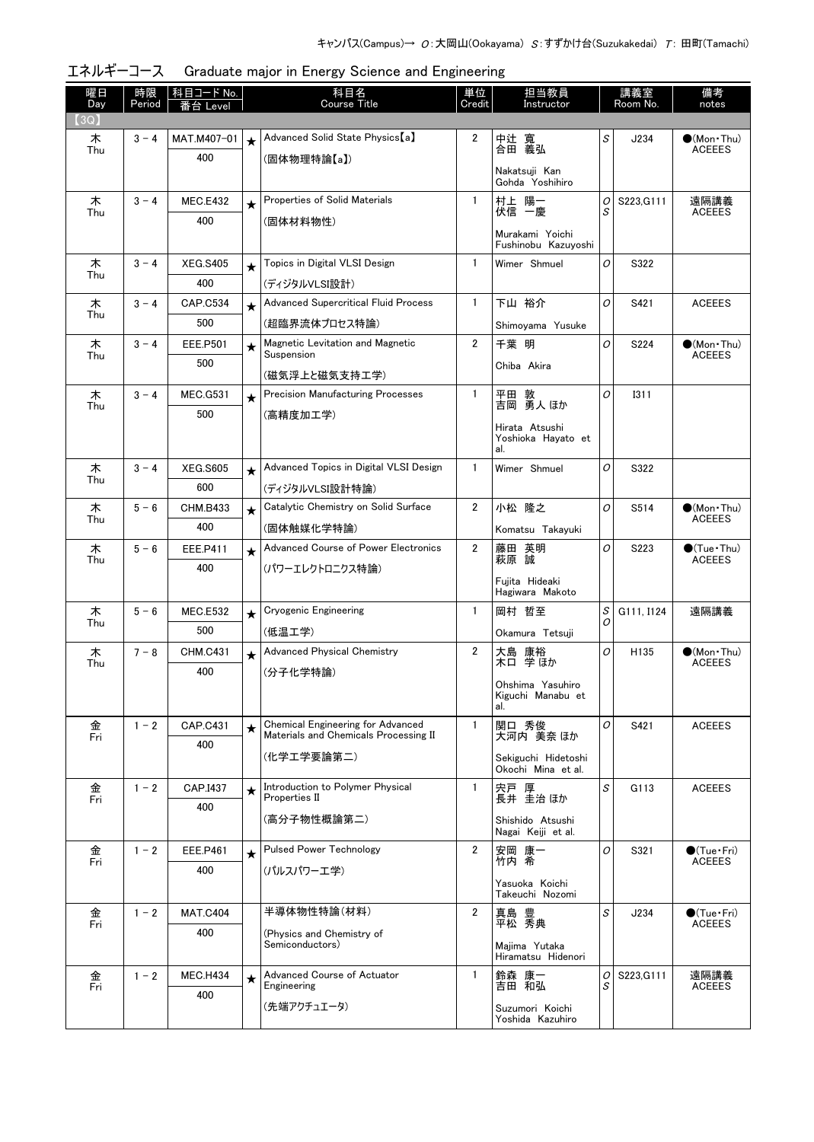| 曜日<br>Day | 時限<br>Period | 科目コード No.<br>i台 Level  | 科目名<br>Course Title |                                                   | 単位<br>Credit   | 担当教員<br>Instructor                        | 講義室<br>Room No. |             | 備考<br>notes                             |
|-----------|--------------|------------------------|---------------------|---------------------------------------------------|----------------|-------------------------------------------|-----------------|-------------|-----------------------------------------|
| (3Q)      |              |                        |                     |                                                   |                |                                           |                 |             |                                         |
| 木<br>Thu  | $3 - 4$      | MAT.M407-01            | $\star$             | Advanced Solid State Physics [a]                  | 2              | 中辻 寬<br>合田 義弘                             | S               | J234        | $\bullet$ (Mon•Thu)<br><b>ACEEES</b>    |
|           |              | 400                    |                     | (固体物理特論【a】)                                       |                |                                           |                 |             |                                         |
|           |              |                        |                     |                                                   |                | Nakatsuji Kan<br>Gohda Yoshihiro          |                 |             |                                         |
| 木<br>Thu  | $3 - 4$      | <b>MEC.E432</b>        | $\star$             | Properties of Solid Materials                     | $\mathbf{1}$   | 村上 陽一<br>伏信 一慶                            | 0<br>S          | S223, G111  | 遠隔講義<br><b>ACEEES</b>                   |
|           |              | 400                    |                     | (固体材料物性)                                          |                |                                           |                 |             |                                         |
|           |              |                        |                     |                                                   |                | Murakami Yoichi<br>Fushinobu Kazuyoshi    |                 |             |                                         |
| 木<br>Thu  | $3 - 4$      | <b>XEG.S405</b>        | $\star$             | Topics in Digital VLSI Design                     | $\mathbf{1}$   | Wimer Shmuel                              | 0               | S322        |                                         |
|           |              | 400                    |                     | (ディジタルVLSI設計)                                     |                |                                           |                 |             |                                         |
| 木<br>Thu  | $3 - 4$      | <b>CAP.C534</b>        | $\star$             | <b>Advanced Supercritical Fluid Process</b>       | 1              | 下山 裕介                                     | 0               | S421        | <b>ACEEES</b>                           |
|           |              | 500                    |                     | (超臨界流体プロセス特論)                                     |                | Shimoyama Yusuke                          |                 |             |                                         |
| 木<br>Thu  | $3 - 4$      | <b>EEE.P501</b>        | $\star$             | Magnetic Levitation and Magnetic<br>Suspension    | $\overline{2}$ | 千葉 明                                      | O               | S224        | $\bullet$ (Mon•Thu)<br><b>ACEEES</b>    |
|           |              | 500                    |                     | (磁気浮上と磁気支持工学)                                     |                | Chiba Akira                               |                 |             |                                         |
| 木         | $3 - 4$      | <b>MEC.G531</b>        | $\star$             | <b>Precision Manufacturing Processes</b>          | 1              | 平田 敦<br>吉岡 勇人 ほか                          | 0               | <b>I311</b> |                                         |
| Thu       |              | 500                    |                     | (高精度加工学)                                          |                |                                           |                 |             |                                         |
|           |              |                        |                     |                                                   |                | Hirata Atsushi<br>Yoshioka Hayato et      |                 |             |                                         |
|           |              |                        |                     |                                                   |                | al.                                       |                 |             |                                         |
| 木<br>Thu  | $3 - 4$      | <b>XEG.S605</b>        | $\star$             | Advanced Topics in Digital VLSI Design            | 1              | Wimer Shmuel                              | 0               | S322        |                                         |
|           |              | 600                    |                     | (ディジタルVLSI設計特論)                                   |                |                                           |                 |             |                                         |
| 木<br>Thu  | $5 - 6$      | <b>CHM.B433</b>        | $\star$             | Catalytic Chemistry on Solid Surface              | 2              | 小松 隆之                                     | 0               | S514        | $\bullet$ (Mon Thu)<br><b>ACEEES</b>    |
|           |              | 400                    |                     | (固体触媒化学特論)                                        |                | Komatsu Takayuki                          |                 |             |                                         |
| 木<br>Thu  | $5 - 6$      | EEE.P411               | $\star$             | Advanced Course of Power Electronics              | 2              | 藤田 英明<br>萩原 誠                             | 0               | S223        | $\bullet$ (Tue • Thu)<br><b>ACEEES</b>  |
|           |              | 400                    |                     | (パワーエレクトロニクス特論)                                   |                | Fujita Hideaki                            |                 |             |                                         |
|           |              |                        |                     |                                                   |                | Hagiwara Makoto                           |                 |             |                                         |
| 木<br>Thu  | $5 - 6$      | <b>MEC.E532</b><br>500 | $\star$             | <b>Cryogenic Engineering</b>                      | $\mathbf{1}$   | 岡村 哲至                                     | S<br>0          | G111, I124  | 遠隔講義                                    |
|           |              |                        |                     | (低温工学)<br><b>Advanced Physical Chemistry</b>      | $\overline{2}$ | Okamura Tetsuji                           | 0               |             |                                         |
| 木<br>Thu  | $7 - 8$      | <b>CHM.C431</b><br>400 | $\star$             |                                                   |                | 大島 康裕<br>木口 学ほか                           |                 | H135        | $(Mon\cdot Thu)$<br><b>ACEEES</b>       |
|           |              |                        |                     | (分子化学特論)                                          |                | Ohshima Yasuhiro                          |                 |             |                                         |
|           |              |                        |                     |                                                   |                | Kiguchi Manabu et<br>al.                  |                 |             |                                         |
| 金<br>Fri  | $1 - 2$      | CAP.C431               | $\star$             | <b>Chemical Engineering for Advanced</b>          | 1              | 関口 秀俊                                     | 0               | S421        | <b>ACEEES</b>                           |
|           |              | 400                    |                     | Materials and Chemicals Processing II             |                | 大河内 美奈 ほか                                 |                 |             |                                         |
|           |              |                        |                     | (化学エ学要論第二)                                        |                | Sekiguchi Hidetoshi<br>Okochi Mina et al. |                 |             |                                         |
| 金<br>Fri  | $1 - 2$      | CAP.I437               | $\star$             | Introduction to Polymer Physical<br>Properties II | 1              | 宍戸 厚<br>長井 圭治 ほか                          | S               | G113        | <b>ACEEES</b>                           |
|           |              | 400                    |                     | (高分子物性概論第二)                                       |                |                                           |                 |             |                                         |
|           |              |                        |                     |                                                   |                | Shishido Atsushi<br>Nagai Keiji et al.    |                 |             |                                         |
| 金<br>Fri  | $1 - 2$      | EEE.P461               | $\star$             | <b>Pulsed Power Technology</b>                    | 2              | 安岡 康一<br>竹内 希                             | 0               | S321        | $\bigcirc$ (Tue · Fri)<br><b>ACEEES</b> |
|           |              | 400                    |                     | (パルスパワーエ学)                                        |                |                                           |                 |             |                                         |
|           |              |                        |                     |                                                   |                | Yasuoka Koichi<br>Takeuchi Nozomi         |                 |             |                                         |
| 金<br>Fri  | $1 - 2$      | <b>MAT.C404</b>        |                     | 半導体物性特論(材料)                                       | 2              | 真島 豊<br>平松 秀典                             | S               | J234        | $\bullet$ (Tue · Fri)<br><b>ACEEES</b>  |
|           |              | 400                    |                     | (Physics and Chemistry of<br>Semiconductors)      |                |                                           |                 |             |                                         |
|           |              |                        |                     |                                                   |                | Majima Yutaka<br>Hiramatsu Hidenori       |                 |             |                                         |
| 金<br>Fri  | $1 - 2$      | <b>MEC.H434</b>        | $\star$             | Advanced Course of Actuator<br>Engineering        | $\mathbf{1}$   | 鈴森 康一<br>吉田 和弘                            | 0<br>S          | S223, G111  | 遠隔講義<br><b>ACEEES</b>                   |
|           |              | 400                    |                     | (先端アクチュエータ)                                       |                |                                           |                 |             |                                         |
|           |              |                        |                     |                                                   |                | Suzumori Koichi<br>Yoshida Kazuhiro       |                 |             |                                         |

エネルギーコース Graduate major in Energy Science and Engineering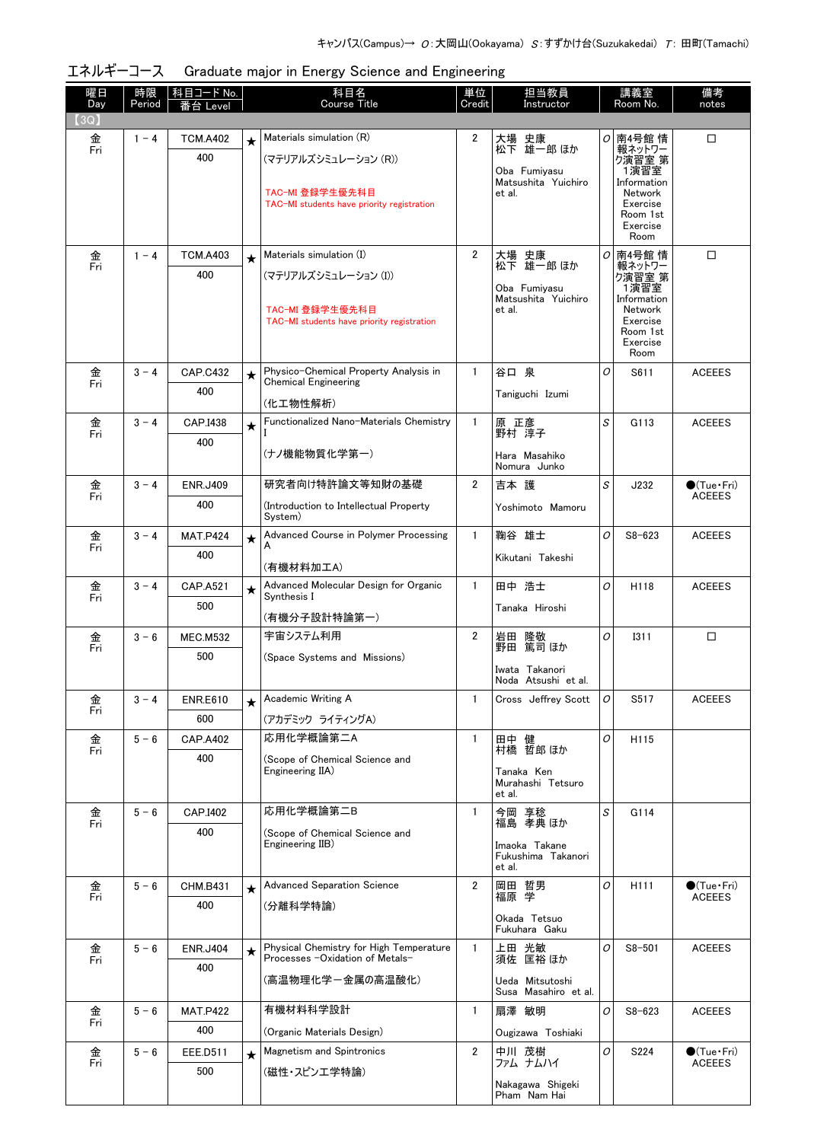| エネルギーコース Graduate major in Energy Science and Engineering |  |  |  |  |
|-----------------------------------------------------------|--|--|--|--|
|-----------------------------------------------------------|--|--|--|--|

| 曜日<br>Day | 時限<br>Period | 科目コード No.<br>i台 Level  | 科目名<br>担当教員<br>単位<br><b>Course Title</b><br>Credit<br>Instructor |                                                                      |                | 講義室<br>Room No.                         |         | 備考<br>notes            |                             |
|-----------|--------------|------------------------|------------------------------------------------------------------|----------------------------------------------------------------------|----------------|-----------------------------------------|---------|------------------------|-----------------------------|
| 3Q)       |              |                        |                                                                  |                                                                      |                |                                         |         |                        |                             |
| 金<br>Fri  | $1 - 4$      | <b>TCM.A402</b>        | $\star$                                                          | Materials simulation (R)                                             | $\overline{2}$ | 大場 史康<br>松下 雄一郎 ほか                      |         | ○ 南4号館 情<br>報ネットワー     | □                           |
|           |              | 400                    |                                                                  | (マテリアルズシミュレーション (R))                                                 |                | Oba Fumiyasu                            |         | ク演習室 第<br>1演習室         |                             |
|           |              |                        |                                                                  | TAC-MI 登録学生優先科目                                                      |                | Matsushita Yuichiro<br>et al.           |         | Information<br>Network |                             |
|           |              |                        |                                                                  | TAC-MI students have priority registration                           |                |                                         |         | Exercise<br>Room 1st   |                             |
|           |              |                        |                                                                  |                                                                      |                |                                         |         | Exercise<br>Room       |                             |
| 金         | $1 - 4$      | <b>TCM.A403</b>        | $\star$                                                          | Materials simulation (I)                                             | $\overline{2}$ |                                         | 0       | │南4号館 情                | $\Box$                      |
| Fri       |              | 400                    |                                                                  | (マテリアルズシミュレーション (I))                                                 |                | 大場 史康<br>松下 雄一郎 ほか                      |         | 報ネットワー<br>ク演習室 第       |                             |
|           |              |                        |                                                                  |                                                                      |                | Oba Fumiyasu<br>Matsushita Yuichiro     |         | 1演習室<br>Information    |                             |
|           |              |                        |                                                                  | TAC-MI 登録学生優先科目                                                      |                | et al.                                  |         | Network                |                             |
|           |              |                        |                                                                  | TAC-MI students have priority registration                           |                |                                         |         | Exercise<br>Room 1st   |                             |
|           |              |                        |                                                                  |                                                                      |                |                                         |         | Exercise<br>Room       |                             |
| 金<br>Fri  | $3 - 4$      | <b>CAP.C432</b>        | ★                                                                | Physico-Chemical Property Analysis in<br><b>Chemical Engineering</b> | $\mathbf{1}$   | 谷口 泉                                    | 0       | S611                   | <b>ACEEES</b>               |
|           |              | 400                    |                                                                  | (化工物性解析)                                                             |                | Taniguchi Izumi                         |         |                        |                             |
| 金         | $3 - 4$      | CAP.I438               | $\star$                                                          | Functionalized Nano-Materials Chemistry                              | $\mathbf{1}$   | 原 正彦                                    | S       | G113                   | <b>ACEEES</b>               |
| Fri       |              | 400                    |                                                                  |                                                                      |                | 野村 淳子                                   |         |                        |                             |
|           |              |                        |                                                                  | (ナノ機能物質化学第一)                                                         |                | Hara Masahiko<br>Nomura Junko           |         |                        |                             |
| 金         | $3 - 4$      | <b>ENR.J409</b>        |                                                                  | 研究者向け特許論文等知財の基礎                                                      | $\overline{2}$ | 吉本 護                                    | S       | J232                   | $\bullet$ (Tue•Fri)         |
| Fri       |              | 400                    |                                                                  | Introduction to Intellectual Property)                               |                | Yoshimoto Mamoru                        |         |                        | <b>ACEEES</b>               |
|           |              |                        |                                                                  | System)                                                              |                |                                         |         |                        |                             |
| 金<br>Fri  | $3 - 4$      | <b>MAT.P424</b>        | $\star$                                                          | Advanced Course in Polymer Processing<br>А                           | $\mathbf{1}$   | 鞠谷 雄士                                   | O       | $S8 - 623$             | <b>ACEEES</b>               |
|           |              | 400                    |                                                                  | (有機材料加工A)                                                            |                | Kikutani Takeshi                        |         |                        |                             |
| 金         | $3 - 4$      | <b>CAP.A521</b>        | $\star$                                                          | Advanced Molecular Design for Organic                                | $\mathbf{1}$   | 田中 浩士                                   | O       | H118                   | <b>ACEEES</b>               |
| Fri       |              | 500                    |                                                                  | Synthesis I                                                          |                | Tanaka Hiroshi                          |         |                        |                             |
|           |              |                        |                                                                  | (有機分子設計特論第一)                                                         |                |                                         |         |                        |                             |
| 金<br>Fri  | $3 - 6$      | <b>MEC.M532</b><br>500 |                                                                  | 宇宙システム利用                                                             | $\mathbf{2}$   | 岩田<br>隆敬<br>野田 篤司 ほか                    | 0       | <b>I311</b>            | □                           |
|           |              |                        |                                                                  | (Space Systems and Missions)                                         |                | Iwata Takanori                          |         |                        |                             |
|           |              |                        |                                                                  |                                                                      |                | Noda Atsushi et al.                     |         |                        |                             |
| 金<br>Fri  | $3 - 4$      | <b>ENR.E610</b><br>600 |                                                                  | Academic Writing A                                                   | $\mathbf{1}$   | Cross Jeffrey Scott                     | $\circ$ | S517                   | <b>ACEEES</b>               |
| 金         | $5 - 6$      | <b>CAP.A402</b>        |                                                                  | (アカデミック ライティングA)<br>応用化学概論第二A                                        | $\mathbf{1}$   | 田中 健                                    | O       | H115                   |                             |
| Fri       |              | 400                    |                                                                  | (Scope of Chemical Science and                                       |                | 村橋 哲郎 ほか                                |         |                        |                             |
|           |              |                        |                                                                  | Engineering IIA)                                                     |                | Tanaka Ken                              |         |                        |                             |
|           |              |                        |                                                                  |                                                                      |                | Murahashi Tetsuro<br>et al.             |         |                        |                             |
| 金<br>Fri  | $5 - 6$      | CAP.I402               |                                                                  | 応用化学概論第二B                                                            | $\mathbf{1}$   | 今岡 享稔<br>福島 孝典 ほか                       | S       | G114                   |                             |
|           |              | 400                    |                                                                  | (Scope of Chemical Science and<br>Engineering IIB)                   |                | Imaoka Takane                           |         |                        |                             |
|           |              |                        |                                                                  |                                                                      |                | Fukushima Takanori<br>et al.            |         |                        |                             |
| 金         | $5 - 6$      | <b>CHM.B431</b>        | $\star$                                                          | <b>Advanced Separation Science</b>                                   | $\overline{2}$ | 岡田 哲男                                   | O       | H <sub>111</sub>       | $\bullet$ (Tue $\cdot$ Fri) |
| Fri       |              | 400                    |                                                                  | (分離科学特論)                                                             |                | 福原 学                                    |         |                        | <b>ACEEES</b>               |
|           |              |                        |                                                                  |                                                                      |                | Okada Tetsuo<br>Fukuhara Gaku           |         |                        |                             |
| 金         | $5 - 6$      | <b>ENR.J404</b>        | $\star$                                                          | Physical Chemistry for High Temperature                              | $\mathbf{1}$   | 上田 光敏<br>須佐 匡裕ほか                        | 0       | $S8 - 501$             | <b>ACEEES</b>               |
| Fri       |              | 400                    |                                                                  | Processes -Oxidation of Metals-                                      |                |                                         |         |                        |                             |
|           |              |                        |                                                                  | (高温物理化学ー金属の高温酸化)                                                     |                | Ueda Mitsutoshi<br>Susa Masahiro et al. |         |                        |                             |
| 金         | $5 - 6$      | <b>MAT.P422</b>        |                                                                  | 有機材料科学設計                                                             | $\mathbf{1}$   | 扇澤 敏明                                   | 0       | $S8 - 623$             | <b>ACEEES</b>               |
| Fri       |              | 400                    |                                                                  | (Organic Materials Design)                                           |                | Ougizawa Toshiaki                       |         |                        |                             |
| 金         | $5 - 6$      | EEE.D511               | $\star$                                                          | <b>Magnetism and Spintronics</b>                                     | $\overline{2}$ | 中川 茂樹                                   | 0       | S224                   | $\bullet$ (Tue•Fri)         |
| Fri       |              | 500                    |                                                                  | (磁性・スピンエ学特論)                                                         |                | ファム ナムハイ                                |         |                        | <b>ACEEES</b>               |
|           |              |                        |                                                                  |                                                                      |                | Nakagawa Shigeki<br>Pham Nam Hai        |         |                        |                             |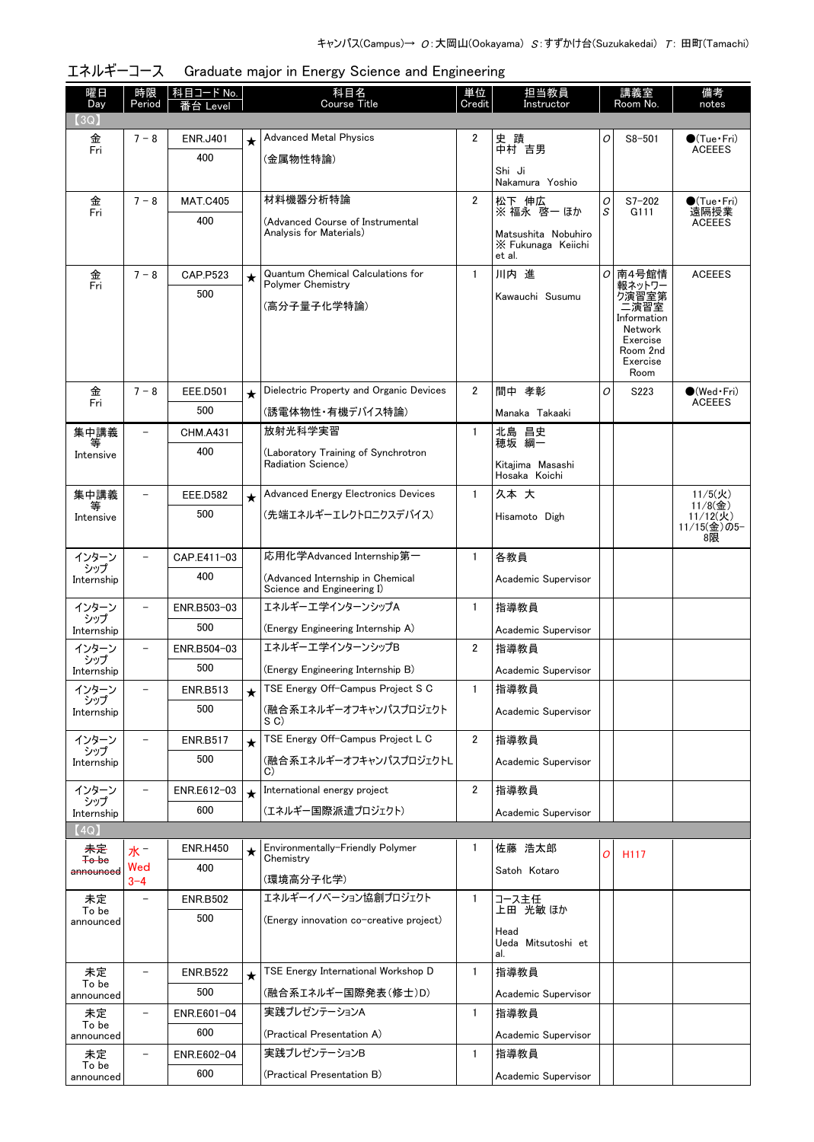| 曜日<br>Day              | 時限<br>Period             | 科目コード No.<br>番台 Level |         | 科目名<br><b>Course Title</b>                    | 単位<br>Credit   | 担当教員<br>Instructor                |   | 講義室<br>Room No.     | 備考<br>notes            |
|------------------------|--------------------------|-----------------------|---------|-----------------------------------------------|----------------|-----------------------------------|---|---------------------|------------------------|
| (3Q)                   |                          |                       |         |                                               |                |                                   |   |                     |                        |
| 金                      | $7 - 8$                  | <b>ENR.J401</b>       | $\star$ | <b>Advanced Metal Physics</b>                 | 2              | 史 蹟                               | 0 | $S8 - 501$          | $\bullet$ (Tue•Fri)    |
| Fri                    |                          | 400                   |         | (金属物性特論)                                      |                | 中村 吉男                             |   |                     | <b>ACEEES</b>          |
|                        |                          |                       |         |                                               |                | Shi Ji<br>Nakamura Yoshio         |   |                     |                        |
| 金                      | $7 - 8$                  | <b>MAT.C405</b>       |         | 材料機器分析特論                                      | 2              | 松下 伸広                             | 0 | $S7 - 202$          | $\bullet$ (Tue•Fri)    |
| Fri                    |                          | 400                   |         | (Advanced Course of Instrumental              |                | ※ 福永 啓一 ほか                        | S | G111                | 遠隔授業<br><b>ACEEES</b>  |
|                        |                          |                       |         | Analysis for Materials)                       |                | Matsushita Nobuhiro               |   |                     |                        |
|                        |                          |                       |         |                                               |                | X Fukunaga Keiichi<br>et al.      |   |                     |                        |
| 金                      | $7 - 8$                  | CAP.P523              | $\star$ | <b>Quantum Chemical Calculations for</b>      | $\mathbf{1}$   | 川内 進                              | 0 | 南4号館情               | <b>ACEEES</b>          |
| Fri                    |                          | 500                   |         | Polymer Chemistry                             |                | Kawauchi Susumu                   |   | 報ネットワー<br>ク演習室第     |                        |
|                        |                          |                       |         | (高分子量子化学特論)                                   |                |                                   |   | 二演習室<br>Information |                        |
|                        |                          |                       |         |                                               |                |                                   |   | Network<br>Exercise |                        |
|                        |                          |                       |         |                                               |                |                                   |   | Room 2nd            |                        |
|                        |                          |                       |         |                                               |                |                                   |   | Exercise<br>Room    |                        |
| 金                      | $7 - 8$                  | <b>EEE.D501</b>       | $\star$ | Dielectric Property and Organic Devices       | $\overline{2}$ | 間中 孝彰                             | O | S223                | $\bigcirc$ (Wed Fri)   |
| Fri                    |                          | 500                   |         | (誘電体物性・有機デバイス特論)                              |                | Manaka Takaaki                    |   |                     | <b>ACEEES</b>          |
| 集中講義                   | $\overline{\phantom{0}}$ | <b>CHM.A431</b>       |         | 放射光科学実習                                       | $\mathbf{1}$   | 北島 昌史<br>穂坂 綱一                    |   |                     |                        |
| 等<br>Intensive         |                          | 400                   |         | (Laboratory Training of Synchrotron           |                |                                   |   |                     |                        |
|                        |                          |                       |         | Radiation Science)                            |                | Kitajima Masashi<br>Hosaka Koichi |   |                     |                        |
| 集中講義                   |                          | <b>EEE.D582</b>       | $\star$ | <b>Advanced Energy Electronics Devices</b>    | $\mathbf{1}$   | 久本大                               |   |                     | $11/5($ 火)             |
| 等<br>Intensive         |                          | 500                   |         | (先端エネルギーエレクトロニクスデバイス)                         |                | Hisamoto Digh                     |   |                     | $11/8($ 金)<br>11/12(火) |
|                        |                          |                       |         |                                               |                |                                   |   |                     | 11/15(金)の5-<br>8限      |
| インターン                  |                          | CAP.E411-03           |         | 応用化学Advanced Internship第一                     | $\mathbf{1}$   | 各教員                               |   |                     |                        |
| シップ<br>Internship      |                          | 400                   |         | (Advanced Internship in Chemical              |                | Academic Supervisor               |   |                     |                        |
|                        |                          |                       |         | Science and Engineering I)                    |                |                                   |   |                     |                        |
| インターン<br>シップ           |                          | ENR.B503-03           |         | エネルギーエ学インターンシップA                              | $\mathbf{1}$   | 指導教員                              |   |                     |                        |
| Internship             |                          | 500                   |         | (Energy Engineering Internship A)             |                | Academic Supervisor               |   |                     |                        |
| インターン<br>シップ           |                          | ENR.B504-03           |         | エネルギーエ学インターンシップB                              | 2              | 指導教員                              |   |                     |                        |
| Internship             |                          | 500                   |         | (Energy Engineering Internship B)             |                | Academic Supervisor               |   |                     |                        |
| インターン                  |                          | <b>ENR.B513</b>       |         | TSE Energy Off-Campus Project S C             | 1              | 指導教員                              |   |                     |                        |
| シップ<br>Internship      |                          | 500                   |         | (融合系エネルギーオフキャンパスプロジェクト                        |                | Academic Supervisor               |   |                     |                        |
| インターン                  |                          | <b>ENR.B517</b>       |         | S C)<br>TSE Energy Off-Campus Project L C     | 2              | 指導教員                              |   |                     |                        |
| シップ                    |                          | 500                   | $\star$ | (融合系エネルギーオフキャンパスプロジェクトL                       |                |                                   |   |                     |                        |
| Internship             |                          |                       |         | C)                                            |                | Academic Supervisor               |   |                     |                        |
| インターン<br>シップ           |                          | ENR.E612-03           | $\star$ | International energy project                  | 2              | 指導教員                              |   |                     |                        |
| Internship             |                          | 600                   |         | (エネルギー国際派遣プロジェクト)                             |                | Academic Supervisor               |   |                     |                        |
| (4Q)                   |                          |                       |         |                                               |                |                                   |   |                     |                        |
| 未定<br><del>To be</del> | 水"                       | <b>ENR.H450</b>       | ★       | Environmentally-Friendly Polymer<br>Chemistry | 1              | 佐藤 浩太郎                            | O | H <sub>117</sub>    |                        |
| announced              | Wed<br>$3 - 4$           | 400                   |         | (環境高分子化学)                                     |                | Satoh Kotaro                      |   |                     |                        |
| 未定                     |                          | <b>ENR.B502</b>       |         | エネルギーイノベーション協創プロジェクト                          | $\mathbf{1}$   | コース主任                             |   |                     |                        |
| To be                  |                          | 500                   |         | (Energy innovation co-creative project)       |                | 上田 光敏 ほか                          |   |                     |                        |
| announced              |                          |                       |         |                                               |                | Head                              |   |                     |                        |
|                        |                          |                       |         |                                               |                | Ueda Mitsutoshi et<br>al.         |   |                     |                        |
| 未定                     |                          | <b>ENR.B522</b>       | $\star$ | TSE Energy International Workshop D           | $\mathbf{1}$   | 指導教員                              |   |                     |                        |
| To be<br>announced     |                          | 500                   |         | (融合系エネルギー国際発表(修士)D)                           |                | Academic Supervisor               |   |                     |                        |
| 未定                     |                          | ENR.E601-04           |         | 実践プレゼンテーションA                                  | $\mathbf{1}$   | 指導教員                              |   |                     |                        |
| To be<br>announced     |                          | 600                   |         | (Practical Presentation A)                    |                | Academic Supervisor               |   |                     |                        |
| 未定                     |                          | ENR.E602-04           |         | 実践プレゼンテーションB                                  | $\mathbf{1}$   | 指導教員                              |   |                     |                        |
| To be<br>announced     |                          | 600                   |         | (Practical Presentation B)                    |                | Academic Supervisor               |   |                     |                        |

# エネルギーコース Graduate major in Energy Science and Engineering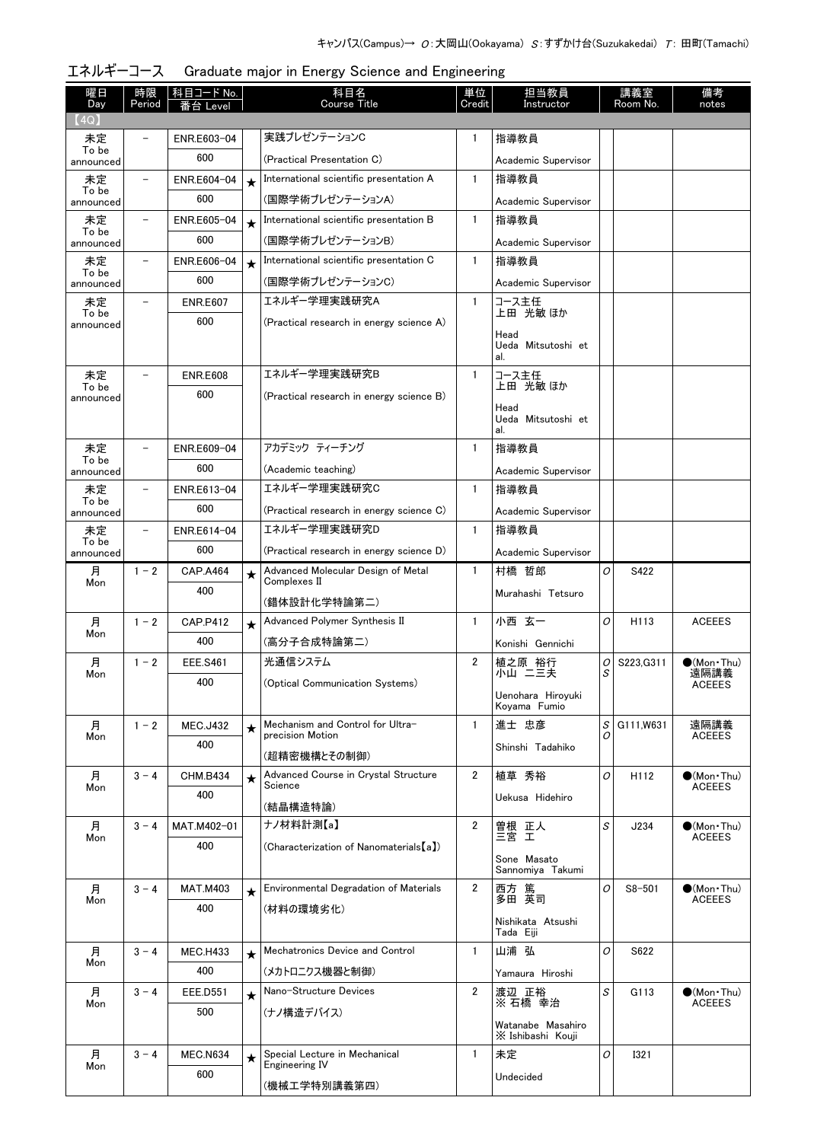| 曜日                 | 時限      | <u>科目コード No.</u>       |         | 科目名<br>Course Title                                | 単位             | 担当教員                              |   | 講義室              | 備考                                   |
|--------------------|---------|------------------------|---------|----------------------------------------------------|----------------|-----------------------------------|---|------------------|--------------------------------------|
| Day<br>(4Q)        | Period  | 台 Level                |         |                                                    | Credit         | Instructor                        |   | Room No.         | notes                                |
| 未定                 | -       | ENR.E603-04            |         | 実践プレゼンテーションC                                       | $\mathbf{1}$   | 指導教員                              |   |                  |                                      |
| To be<br>announced |         | 600                    |         | (Practical Presentation C)                         |                | Academic Supervisor               |   |                  |                                      |
| 未定                 |         | ENR.E604-04            | $\star$ | International scientific presentation A            | $\mathbf{1}$   | 指導教員                              |   |                  |                                      |
| To be<br>announced |         | 600                    |         | (国際学術プレゼンテーションA)<br>Academic Supervisor            |                |                                   |   |                  |                                      |
| 未定                 |         | ENR.E605-04            | $\star$ | International scientific presentation B            | $\mathbf{1}$   | 指導教員                              |   |                  |                                      |
| To be<br>announced |         | 600                    |         | (国際学術プレゼンテーションB)                                   |                | Academic Supervisor               |   |                  |                                      |
| 未定                 |         | ENR.E606-04            | $\star$ | International scientific presentation C            | $\mathbf{1}$   | 指導教員                              |   |                  |                                      |
| To be<br>announced |         | 600                    |         | (国際学術プレゼンテーションC)                                   |                | Academic Supervisor               |   |                  |                                      |
| 未定                 |         | <b>ENR.E607</b>        |         | エネルギー学理実践研究A                                       | $\mathbf{1}$   | コース主任                             |   |                  |                                      |
| To be<br>announced |         | 600                    |         | (Practical research in energy science A)           |                | 上田 光敏 ほか                          |   |                  |                                      |
|                    |         |                        |         |                                                    |                | Head<br>Ueda Mitsutoshi et        |   |                  |                                      |
|                    |         |                        |         |                                                    |                | al.                               |   |                  |                                      |
| 未定                 |         | <b>ENR.E608</b>        |         | エネルギー学理実践研究B                                       | $\mathbf{1}$   | コース主任<br>上田 光敏 ほか                 |   |                  |                                      |
| To be<br>announced |         | 600                    |         | (Practical research in energy science B)           |                |                                   |   |                  |                                      |
|                    |         |                        |         |                                                    |                | Head<br>Ueda Mitsutoshi et        |   |                  |                                      |
|                    |         |                        |         |                                                    |                | al.                               |   |                  |                                      |
| 未定<br>To be        |         | ENR.E609-04            |         | アカデミック ティーチング                                      | $\mathbf{1}$   | 指導教員                              |   |                  |                                      |
| announced          |         | 600                    |         | (Academic teaching)                                |                | Academic Supervisor               |   |                  |                                      |
| 未定<br>To be        |         | ENR.E613-04            |         | エネルギー学理実践研究C                                       | $\mathbf{1}$   | 指導教員                              |   |                  |                                      |
| announced          |         | 600                    |         | (Practical research in energy science C)           |                | Academic Supervisor               |   |                  |                                      |
| 未定<br>To be        |         | ENR.E614-04            |         | エネルギー学理実践研究D                                       | $\mathbf{1}$   | 指導教員                              |   |                  |                                      |
| announced          |         | 600                    |         | (Practical research in energy science D)           |                | Academic Supervisor               |   |                  |                                      |
| 月<br>Mon           | $1 - 2$ | <b>CAP.A464</b>        | $\star$ | Advanced Molecular Design of Metal<br>Complexes II | $\mathbf{1}$   | 村橋 哲郎                             | O | S422             |                                      |
|                    |         | 400                    |         | (錯体設計化学特論第二)                                       |                | Murahashi Tetsuro                 |   |                  |                                      |
| 月                  | $1 - 2$ | CAP.P412               | $\star$ | Advanced Polymer Synthesis II                      | $\mathbf{1}$   | 小西 玄一                             | O | H <sub>113</sub> | <b>ACEEES</b>                        |
| Mon                |         | 400                    |         | (高分子合成特論第二)                                        |                | Konishi Gennichi                  |   |                  |                                      |
| 月                  | $1 - 2$ | <b>EEE.S461</b>        |         | 光通信システム                                            | 2              | 植之原 裕行                            | 0 | S223.G311        | $(Mon\cdot Thu)$                     |
| Mon                |         | 400                    |         | (Optical Communication Systems)                    |                | 小山 二三夫                            | S |                  | 遠隔講義<br><b>ACEEES</b>                |
|                    |         |                        |         |                                                    |                | Uenohara Hiroyuki<br>Kovama Fumio |   |                  |                                      |
| 月                  | $1 - 2$ | <b>MEC.J432</b>        | $\star$ | Mechanism and Control for Ultra-                   | $\mathbf{1}$   | 進士 忠彦                             | S | G111.W631        | 遠隔講義                                 |
| Mon                |         | 400                    |         | precision Motion                                   |                | Shinshi Tadahiko                  | Ω |                  | <b>ACEEES</b>                        |
|                    |         |                        |         | (超精密機構とその制御)                                       |                |                                   |   |                  |                                      |
| 月<br>Mon           | $3 - 4$ | <b>CHM.B434</b>        | $\star$ | Advanced Course in Crystal Structure<br>Science    | $\overline{2}$ | 植草 秀裕                             | O | H112             | $\bullet$ (Mon•Thu)<br><b>ACEEES</b> |
|                    |         | 400                    |         | (結晶構造特論)                                           |                | Uekusa Hidehiro                   |   |                  |                                      |
| 月                  | $3 - 4$ | MAT.M402-01            |         | ナノ材料計測【a】                                          | $\overline{2}$ |                                   | S | J234             | $\bullet$ (Mon•Thu)                  |
| Mon                |         | 400                    |         | (Characterization of Nanomaterials [a])            |                | 曽根 正人<br>三宮 工                     |   |                  | <b>ACEEES</b>                        |
|                    |         |                        |         |                                                    |                | Sone Masato<br>Sannomiya Takumi   |   |                  |                                      |
| 月                  | $3 - 4$ | <b>MAT.M403</b>        | $\star$ | Environmental Degradation of Materials             | $\overline{2}$ | 西方 篤                              | O | $S8 - 501$       | $\bullet$ (Mon Thu)                  |
| Mon                |         | 400                    |         | (材料の環境劣化)                                          |                | 多田 英司                             |   |                  | <b>ACEEES</b>                        |
|                    |         |                        |         |                                                    |                | Nishikata Atsushi                 |   |                  |                                      |
| 月                  | $3 - 4$ | <b>MEC.H433</b>        |         | Mechatronics Device and Control                    | $\mathbf{1}$   | Tada Eiji<br>山浦 弘                 | O | S622             |                                      |
| Mon                |         | 400                    | $\star$ | (メカトロニクス機器と制御)                                     |                |                                   |   |                  |                                      |
| 月                  |         |                        |         | Nano-Structure Devices                             | $\overline{2}$ | Yamaura Hiroshi<br>渡辺 正裕          | S | G113             | $\bullet$ (Mon Thu)                  |
| Mon                | $3 - 4$ | <b>EEE.D551</b><br>500 | $\star$ |                                                    |                | ※ 石橋 幸治                           |   |                  | <b>ACEEES</b>                        |
|                    |         |                        |         | (ナノ構造デバイス)                                         |                | Watanabe Masahiro                 |   |                  |                                      |
|                    |         |                        |         |                                                    |                | X Ishibashi Kouji                 |   |                  |                                      |
| 月<br>Mon           | $3 - 4$ | <b>MEC.N634</b>        | $\star$ | Special Lecture in Mechanical<br>Engineering IV    | $\mathbf{1}$   | 未定                                | 0 | <b>I321</b>      |                                      |
|                    |         | 600                    |         | (機械工学特別講義第四)                                       |                | Undecided                         |   |                  |                                      |

エネルギーコース Graduate major in Energy Science and Engineering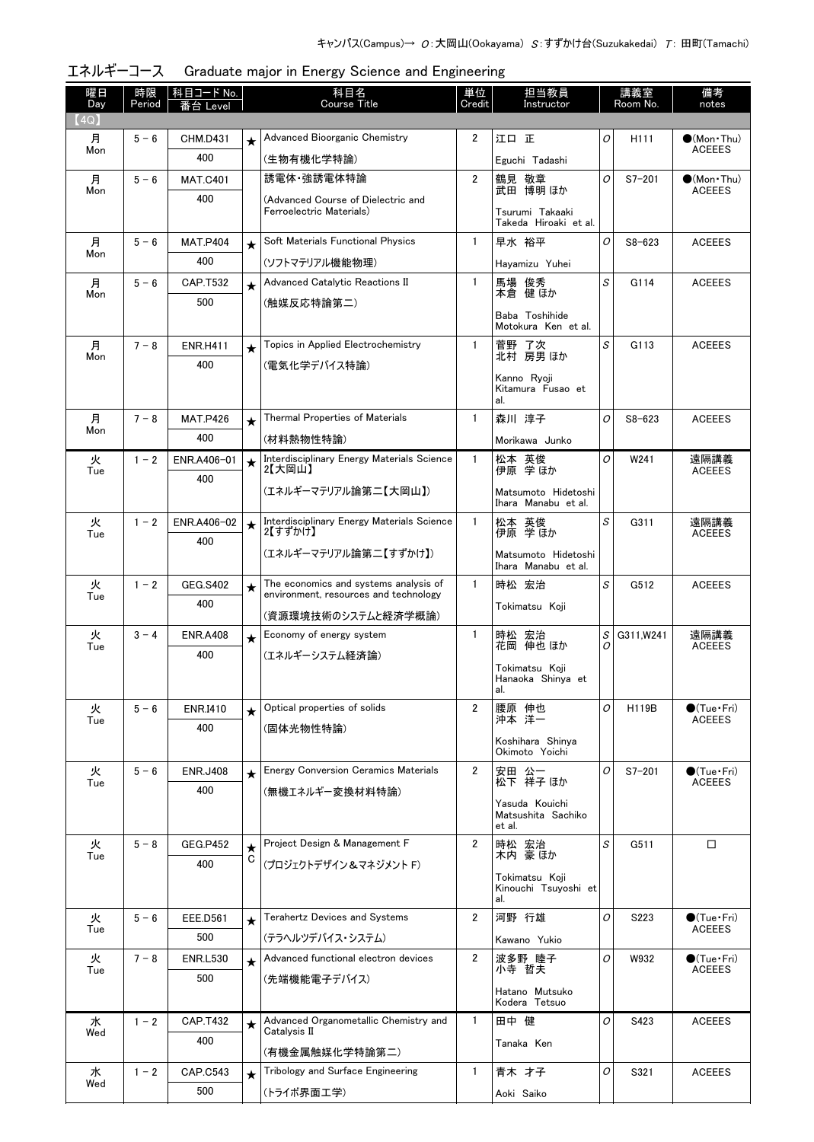| 曜日<br>Day | 時限<br>Period | 科目コード No.<br>i台 Level  |          | 科目名<br><b>Course Title</b>                                                     | 単位<br>Credit   | 担当教員<br>Instructor                       |   | 講義室<br>Room No.  | 備考<br>notes            |
|-----------|--------------|------------------------|----------|--------------------------------------------------------------------------------|----------------|------------------------------------------|---|------------------|------------------------|
| (4Q)      |              |                        |          |                                                                                |                |                                          |   |                  |                        |
| 月         | $5 - 6$      | <b>CHM.D431</b>        | $\star$  | Advanced Bioorganic Chemistry                                                  | $\overline{2}$ | 江口正                                      | 0 | H <sub>111</sub> | $\bullet$ (Mon•Thu)    |
| Mon       |              | 400                    |          | (生物有機化学特論)                                                                     |                | Eguchi Tadashi                           |   |                  | <b>ACEEES</b>          |
| 月         | $5 - 6$      | <b>MAT.C401</b>        |          | 誘電体 強誘電体特論                                                                     | 2              | 鶴見 敬章<br>武田 博明 ほか                        | 0 | $S7 - 201$       | $\bullet$ (Mon•Thu)    |
| Mon       |              | 400                    |          | (Advanced Course of Dielectric and                                             |                |                                          |   |                  | <b>ACEEES</b>          |
|           |              |                        |          | Ferroelectric Materials)                                                       |                | Tsurumi Takaaki<br>Takeda Hiroaki et al. |   |                  |                        |
| 月         | $5 - 6$      | <b>MAT.P404</b>        | $\star$  | Soft Materials Functional Physics                                              | $\mathbf{1}$   | 早水 裕平                                    | 0 | $S8 - 623$       | <b>ACEEES</b>          |
| Mon       |              | 400                    |          | (ソフトマテリアル機能物理)                                                                 |                | Hayamizu Yuhei                           |   |                  |                        |
| 月         | $5 - 6$      | CAP.T532               | $\star$  | Advanced Catalytic Reactions II                                                | $\mathbf{1}$   | 馬場 俊秀                                    | S | G114             | <b>ACEEES</b>          |
| Mon       |              | 500                    |          | (触媒反応特論第二)                                                                     |                | 本倉 健 ほか                                  |   |                  |                        |
|           |              |                        |          |                                                                                |                | Baba Toshihide<br>Motokura Ken et al.    |   |                  |                        |
| 月         | $7 - 8$      | <b>ENR.H411</b>        | $\star$  | Topics in Applied Electrochemistry                                             | $\mathbf{1}$   | 菅野 了次<br>北村 房男ほか                         | S | G113             | <b>ACEEES</b>          |
| Mon       |              | 400                    |          | (電気化学デバイス特論)                                                                   |                |                                          |   |                  |                        |
|           |              |                        |          |                                                                                |                | Kanno Rvoii<br>Kitamura Fusao et         |   |                  |                        |
|           |              |                        |          |                                                                                |                | al.                                      |   |                  |                        |
| 月<br>Mon  | $7 - 8$      | <b>MAT.P426</b>        | $\star$  | Thermal Properties of Materials                                                | $\mathbf{1}$   | 森川 淳子                                    | O | $S8 - 623$       | <b>ACEEES</b>          |
|           |              | 400                    |          | (材料熱物性特論)<br>Interdisciplinary Energy Materials Science                        |                | Morikawa Junko                           |   |                  |                        |
| 火<br>Tue  | $1 - 2$      | ENR.A406-01<br>400     | $\star$  | 2【大岡山】                                                                         | $\mathbf{1}$   | 松本 英俊<br>伊原 学ほか                          | O | W241             | 遠隔講義<br><b>ACEEES</b>  |
|           |              |                        |          | (エネルギーマテリアル論第二【大岡山】)                                                           |                | Matsumoto Hidetoshi                      |   |                  |                        |
|           |              |                        |          |                                                                                |                | Ihara Manabu et al.                      |   |                  |                        |
| 火<br>Tue  | $1 - 2$      | ENR.A406-02            | $\star$  | Interdisciplinary Energy Materials Science<br>2【すずかけ】                          | $\mathbf{1}$   | 松本 英俊<br>伊原 学ほか                          | S | G311             | 遠隔講義<br><b>ACEEES</b>  |
|           |              | 400                    |          | (エネルギーマテリアル論第二【すずかけ】)                                                          |                | Matsumoto Hidetoshi                      |   |                  |                        |
|           |              |                        |          |                                                                                |                | Ihara Manabu et al.                      |   |                  |                        |
| 火<br>Tue  | $1 - 2$      | <b>GEG.S402</b>        | $^\star$ | The economics and systems analysis of<br>environment, resources and technology | $\mathbf{1}$   | 時松 宏治                                    | S | G512             | <b>ACEEES</b>          |
|           |              | 400                    |          | (資源環境技術のシステムと経済学概論)                                                            |                | Tokimatsu Koji                           |   |                  |                        |
| 火         | $3 - 4$      | <b>ENR.A408</b>        | $\star$  | Economy of energy system                                                       | $\mathbf{1}$   | 時松 宏治<br>花岡 伸也ほか                         | S | G311, W241       | 遠隔講義                   |
| Tue       |              | 400                    |          | (エネルギーシステム経済論)                                                                 |                |                                          | Ω |                  | <b>ACEEES</b>          |
|           |              |                        |          |                                                                                |                | Tokimatsu Koji<br>Hanaoka Shinya et      |   |                  |                        |
|           |              |                        |          | Optical properties of solids                                                   | $\overline{2}$ | al.<br>腰原 伸也                             | 0 |                  | $\bullet$ (Tue · Fri)  |
| 火<br>Tue  | $5 - 6$      | ENR.I410<br>400        | $\star$  | (固体光物性特論)                                                                      |                | 沖本 洋一                                    |   | H119B            | <b>ACEEES</b>          |
|           |              |                        |          |                                                                                |                | Koshihara Shinya                         |   |                  |                        |
| 火         | $5 - 6$      | <b>ENR.J408</b>        |          | <b>Energy Conversion Ceramics Materials</b>                                    | $\overline{2}$ | Okimoto Yoichi<br>安田 公一                  | 0 | $S7 - 201$       | $\bigcirc$ (Tue · Fri) |
| Tue       |              | 400                    | $\star$  | (無機エネルギー変換材料特論)                                                                |                | 松下 祥子 ほか                                 |   |                  | <b>ACEEES</b>          |
|           |              |                        |          |                                                                                |                | Yasuda Kouichi                           |   |                  |                        |
|           |              |                        |          |                                                                                |                | Matsushita Sachiko<br>et al.             |   |                  |                        |
| 火         | $5 - 8$      | <b>GEG.P452</b>        | $\star$  | Project Design & Management F                                                  | $\overline{2}$ | 時松 宏治<br>木内 豪ほか                          | S | G511             | $\Box$                 |
| Tue       |              | 400                    | С        | (プロジェクトデザイン&マネジメント F)                                                          |                |                                          |   |                  |                        |
|           |              |                        |          |                                                                                |                | Tokimatsu Koji<br>Kinouchi Tsuyoshi et   |   |                  |                        |
|           | $5 - 6$      |                        |          | <b>Terahertz Devices and Systems</b>                                           | $\overline{2}$ | al.<br>河野 行雄                             | 0 | S223             | $\bullet$ (Tue•Fri)    |
| 火<br>Tue  |              | <b>EEE.D561</b><br>500 | $\star$  | (テラヘルツデバイス・システム)                                                               |                |                                          |   |                  | <b>ACEEES</b>          |
| 火         | $7 - 8$      | <b>ENR.L530</b>        |          | Advanced functional electron devices                                           | $\overline{2}$ | Kawano Yukio<br>波多野 睦子                   | 0 | W932             | $\bullet$ (Tue•Fri)    |
| Tue       |              | 500                    | $\star$  | (先端機能電子デバイス)                                                                   |                | 小寺 哲夫                                    |   |                  | <b>ACEEES</b>          |
|           |              |                        |          |                                                                                |                | Hatano Mutsuko                           |   |                  |                        |
| 水         | $1 - 2$      | <b>CAP.T432</b>        |          | Advanced Organometallic Chemistry and                                          | $\mathbf{1}$   | Kodera Tetsuo<br>田中 健                    | 0 | S423             | <b>ACEEES</b>          |
| Wed       |              | 400                    | $\star$  | Catalysis II                                                                   |                |                                          |   |                  |                        |
|           |              |                        |          | (有機金属触媒化学特論第二)                                                                 |                | Tanaka Ken                               |   |                  |                        |
| 水<br>Wed  | $1 - 2$      | CAP.C543               | $\star$  | Tribology and Surface Engineering                                              | $\mathbf{1}$   | 青木 才子                                    | 0 | S321             | <b>ACEEES</b>          |
|           |              | 500                    |          | (トライボ界面工学)                                                                     |                | Aoki Saiko                               |   |                  |                        |

| エネルギーコース Graduate major in Energy Science and Engineering |  |  |  |
|-----------------------------------------------------------|--|--|--|
|                                                           |  |  |  |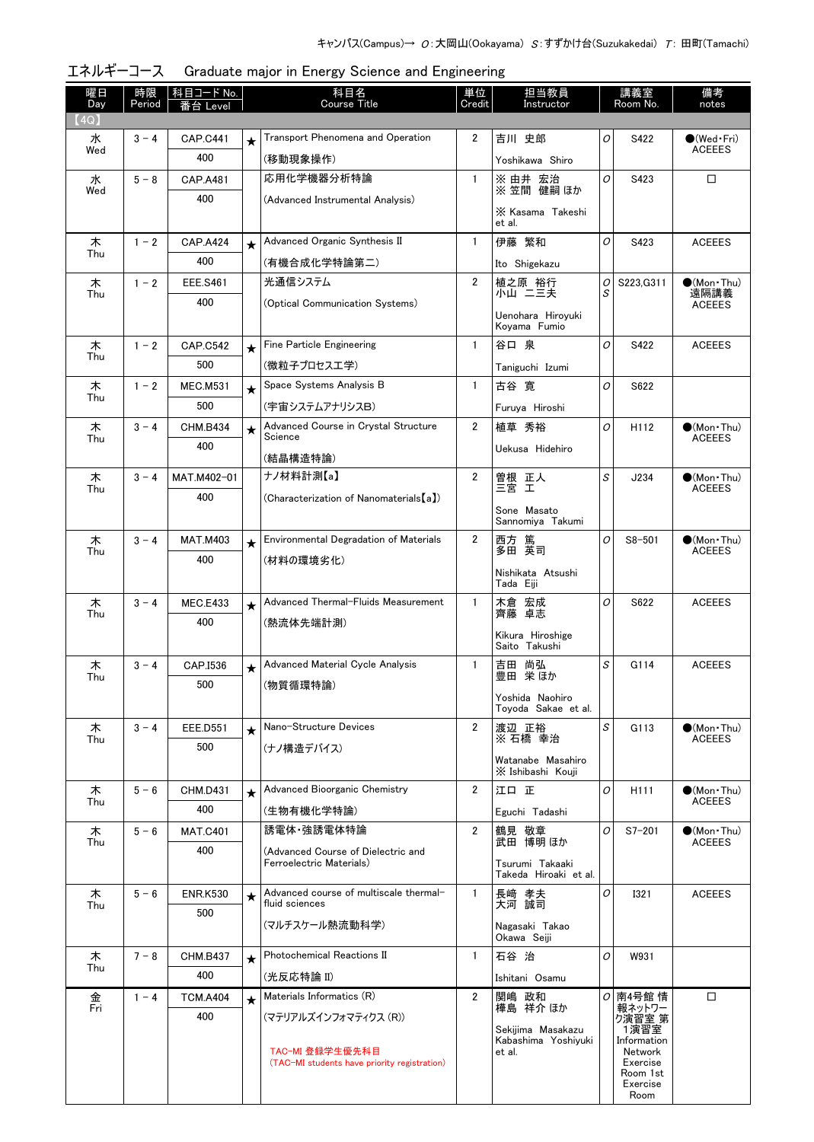| 曜日<br>Day | 時限<br>Period | │科目コード No.<br>番台 Level |         | 科目名<br><b>Course Title</b>                                      | 単位<br>Credit   | 担当教員<br>Instructor                       |   | 講義室<br>Room No.      | 備考<br>notes                          |
|-----------|--------------|------------------------|---------|-----------------------------------------------------------------|----------------|------------------------------------------|---|----------------------|--------------------------------------|
| (4Q)      |              |                        |         |                                                                 |                |                                          |   |                      |                                      |
| 水         | $3 - 4$      | <b>CAP.C441</b>        | $\star$ | Transport Phenomena and Operation                               | 2              | 吉川 史郎                                    | 0 | S422                 | ●(Wed•Fri)                           |
| Wed       |              | 400                    |         | (移動現象操作)                                                        |                | Yoshikawa Shiro                          |   |                      | <b>ACEEES</b>                        |
| 水         | $5 - 8$      | <b>CAP.A481</b>        |         | 応用化学機器分析特論                                                      | $\mathbf{1}$   | ※ 由井 宏治<br>※ 笠間 健嗣 ほか                    | O | S423                 | □                                    |
| Wed       |              | 400                    |         | (Advanced Instrumental Analysis)                                |                |                                          |   |                      |                                      |
|           |              |                        |         |                                                                 |                | X Kasama Takeshi<br>et al.               |   |                      |                                      |
| 木         | $1 - 2$      | <b>CAP.A424</b>        | $\star$ | Advanced Organic Synthesis II                                   | $\mathbf{1}$   | 伊藤 繁和                                    | O | S423                 | <b>ACEEES</b>                        |
| Thu       |              | 400                    |         | (有機合成化学特論第二)                                                    |                | Ito Shigekazu                            |   |                      |                                      |
| 木         | $1 - 2$      | <b>EEE.S461</b>        |         | 光通信システム                                                         | $\overline{2}$ | 植之原 裕行                                   | 0 | S223, G311           | $\bullet$ (Mon Thu)                  |
| Thu       |              | 400                    |         | (Optical Communication Systems)                                 |                | 小山 二三夫                                   | S |                      | 遠隔講義<br><b>ACEEES</b>                |
|           |              |                        |         |                                                                 |                | Uenohara Hiroyuki<br>Koyama Fumio        |   |                      |                                      |
| 木         | $1 - 2$      | <b>CAP.C542</b>        | $\star$ | Fine Particle Engineering                                       | $\mathbf{1}$   | 谷口 泉                                     | O | S422                 | <b>ACEEES</b>                        |
| Thu       |              | 500                    |         | (微粒子プロセス工学)                                                     |                | Taniguchi Izumi                          |   |                      |                                      |
| 木         | $1 - 2$      | <b>MEC.M531</b>        | $\star$ | Space Systems Analysis B                                        | $\mathbf{1}$   | 古谷 寛                                     | O | S622                 |                                      |
| Thu       |              | 500                    |         | (宇宙システムアナリシスB)                                                  |                | Furuya Hiroshi                           |   |                      |                                      |
| 木         | $3 - 4$      | <b>CHM.B434</b>        | $\star$ | Advanced Course in Crystal Structure                            | $\overline{2}$ | 植草 秀裕                                    | O | H112                 | $\bullet$ (Mon•Thu)                  |
| Thu       |              | 400                    |         | Science                                                         |                | Uekusa Hidehiro                          |   |                      | <b>ACEEES</b>                        |
|           | $3 - 4$      | MAT.M402-01            |         | (結晶構造特論)<br>ナノ材料計測【a】                                           | $\overline{2}$ |                                          | S |                      |                                      |
| 木<br>Thu  |              | 400                    |         |                                                                 |                | 曽根 正人<br>三宮 工                            |   | J234                 | $\bullet$ (Mon Thu)<br><b>ACEEES</b> |
|           |              |                        |         | (Characterization of Nanomaterials [a])                         |                | Sone Masato                              |   |                      |                                      |
|           |              |                        |         |                                                                 |                | Sannomiya Takumi                         |   |                      |                                      |
| 木<br>Thu  | $3 - 4$      | <b>MAT.M403</b>        | $\star$ | Environmental Degradation of Materials                          | $\overline{2}$ | 西方  篤<br>多田  英司                          | O | $S8 - 501$           | $\bullet$ (Mon•Thu)<br><b>ACEEES</b> |
|           |              | 400                    |         | (材料の環境劣化)                                                       |                | Nishikata Atsushi                        |   |                      |                                      |
|           |              |                        |         |                                                                 |                | Tada Eiji                                |   |                      |                                      |
| 木<br>Thu  | $3 - 4$      | MEC.E433               | $\star$ | Advanced Thermal-Fluids Measurement                             | $\mathbf{1}$   | 宏成<br>木倉<br>齊藤 卓志                        | O | S622                 | <b>ACEEES</b>                        |
|           |              | 400                    |         | (熱流体先端計測)                                                       |                | Kikura Hiroshige                         |   |                      |                                      |
|           |              |                        |         |                                                                 |                | Saito Takushi                            |   |                      |                                      |
| 木<br>Thu  | $3 - 4$      | CAP.I536               | $\star$ | Advanced Material Cycle Analysis                                | 1              | 尚弘<br>吉田<br>豊田<br>栄 ほか                   | S | G114                 | <b>ACEEES</b>                        |
|           |              | 500                    |         | (物質循環特論)                                                        |                | Yoshida Naohiro                          |   |                      |                                      |
|           |              |                        |         |                                                                 |                | Toyoda Sakae et al.                      |   |                      |                                      |
| 木<br>Thu  | $3 - 4$      | EEE.D551               | $\star$ | Nano-Structure Devices                                          | $\overline{2}$ | 渡辺 正裕<br>※ 石橋 幸治                         | S | G113                 | $\bullet$ (Mon•Thu)<br><b>ACEEES</b> |
|           |              | 500                    |         | (ナノ構造デバイス)                                                      |                | Watanabe Masahiro                        |   |                      |                                      |
|           |              |                        |         |                                                                 |                | X Ishibashi Kouji                        |   |                      |                                      |
| 木<br>Thu  | $5 - 6$      | <b>CHM.D431</b>        | $\star$ | Advanced Bioorganic Chemistry                                   | $\overline{2}$ | 江口正                                      | O | H <sub>111</sub>     | $\bullet$ (Mon Thu)<br><b>ACEEES</b> |
|           |              | 400                    |         | (生物有機化学特論)                                                      |                | Eguchi Tadashi                           |   |                      |                                      |
| 木<br>Thu  | $5 - 6$      | <b>MAT.C401</b>        |         | 誘電体 強誘電体特論                                                      | $\overline{2}$ | 鶴見 敬章<br>武田 博明 ほか                        | O | $S7 - 201$           | $\bullet$ (Mon Thu)<br><b>ACEEES</b> |
|           |              | 400                    |         | (Advanced Course of Dielectric and<br>Ferroelectric Materials)  |                | Tsurumi Takaaki                          |   |                      |                                      |
|           |              |                        |         |                                                                 |                | Takeda Hiroaki et al.                    |   |                      |                                      |
| 木<br>Thu  | $5 - 6$      | <b>ENR.K530</b>        | $\star$ | Advanced course of multiscale thermal-<br>fluid sciences        | $\mathbf{1}$   | 長崎 孝夫<br>大河 誠司                           | O | <b>I321</b>          | <b>ACEEES</b>                        |
|           |              | 500                    |         | (マルチスケール熱流動科学)                                                  |                |                                          |   |                      |                                      |
|           |              |                        |         |                                                                 |                | Nagasaki Takao<br>Okawa Seiji            |   |                      |                                      |
| 木<br>Thu  | $7 - 8$      | <b>CHM.B437</b>        | $\star$ | Photochemical Reactions II                                      | $\mathbf{1}$   | 石谷 治                                     | O | W931                 |                                      |
|           |              | 400                    |         | (光反応特論 II)                                                      |                | Ishitani Osamu                           |   |                      |                                      |
| 金<br>Fri  | $1 - 4$      | <b>TCM.A404</b>        | $\star$ | Materials Informatics (R)                                       | $\overline{2}$ | 関嶋 政和<br>樺島 祥介 ほか                        |   | ○ 南4号館 情<br>報ネットワー   | $\Box$                               |
|           |              | 400                    |         | (マテリアルズインフォマティクス (R))                                           |                |                                          |   | ク演習室 第               |                                      |
|           |              |                        |         |                                                                 |                | Sekijima Masakazu<br>Kabashima Yoshiyuki |   | 1演習室<br>Information  |                                      |
|           |              |                        |         | TAC-MI 登録学生優先科目<br>(TAC-MI students have priority registration) |                | et al.                                   |   | Network<br>Exercise  |                                      |
|           |              |                        |         |                                                                 |                |                                          |   | Room 1st<br>Exercise |                                      |
|           |              |                        |         |                                                                 |                |                                          |   | Room                 |                                      |

エネルギーコース Graduate major in Energy Science and Engineering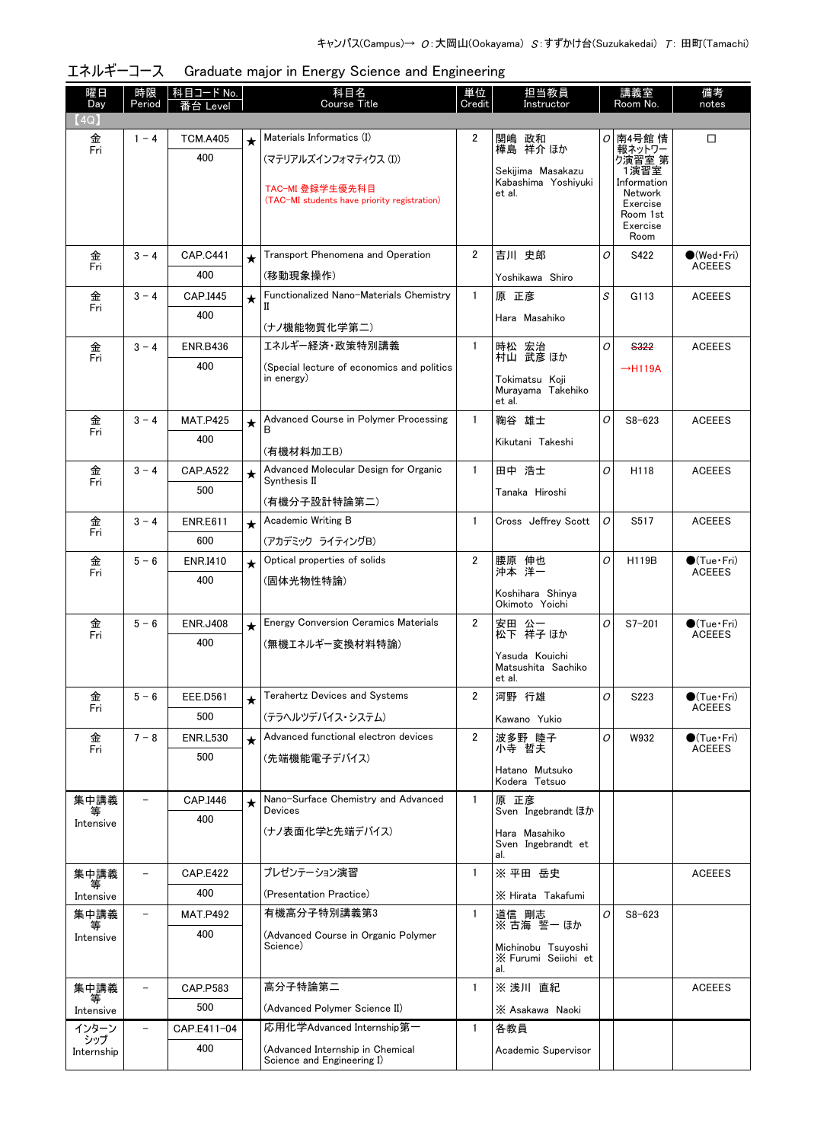|  |  | エネルギーコース Graduate major in Energy Science and Engineering |
|--|--|-----------------------------------------------------------|
|--|--|-----------------------------------------------------------|

| 曜日                | 時限                       | 科目コード No.       |            | 科目名                                                      | 単位                      | 担当教員                                     |   | 講義室                  | 備考                                   |
|-------------------|--------------------------|-----------------|------------|----------------------------------------------------------|-------------------------|------------------------------------------|---|----------------------|--------------------------------------|
| Day<br>(4Q)       | Period                   | i台 Level        |            | Course Title                                             | Credit                  | Instructor                               |   | Room No.             | notes                                |
| 金                 | $1 - 4$                  | <b>TCM.A405</b> | $\star$    | Materials Informatics (I)                                | $\overline{2}$          | 関嶋 政和                                    |   | ○ 南4号館 情             | □                                    |
| Fri               |                          | 400             |            | (マテリアルズインフォマティクス (I))                                    |                         | 樺島 祥介 ほか                                 |   | 報ネットワー<br>ク演習室 第     |                                      |
|                   |                          |                 |            | TAC-MI 登録学生優先科目                                          |                         | Sekijima Masakazu<br>Kabashima Yoshivuki |   | 1演習室<br>Information  |                                      |
|                   |                          |                 |            | (TAC-MI students have priority registration)             |                         | et al.                                   |   | Network<br>Exercise  |                                      |
|                   |                          |                 |            |                                                          |                         |                                          |   | Room 1st<br>Exercise |                                      |
|                   |                          |                 |            |                                                          |                         |                                          |   | Room                 |                                      |
| 金<br>Fri          | $3 - 4$                  | <b>CAP.C441</b> | $\star$    | Transport Phenomena and Operation                        | $\overline{2}$          | 吉川 史郎                                    | O | S422                 | $\bullet$ (Wed•Fri)<br><b>ACEEES</b> |
|                   |                          | 400             |            | (移動現象操作)                                                 |                         | Yoshikawa Shiro                          |   |                      |                                      |
| 金<br>Fri          | $3 - 4$                  | CAP.I445        | $\star$    | Functionalized Nano-Materials Chemistry                  | $\mathbf{1}$            | 原 正彦                                     | S | G113                 | <b>ACEEES</b>                        |
|                   |                          | 400             |            | (ナノ機能物質化学第二)                                             |                         | Hara Masahiko                            |   |                      |                                      |
| 金                 | $3 - 4$                  | <b>ENR.B436</b> |            | エネルギー経済・政策特別講義                                           | $\mathbf{1}$            | 時松 宏治<br>村山 武彦ほか                         | O | <b>S322</b>          | <b>ACEEES</b>                        |
| Fri               |                          | 400             |            | (Special lecture of economics and politics               |                         |                                          |   | $\rightarrow$ H119A  |                                      |
|                   |                          |                 |            | in energy)                                               |                         | Tokimatsu Koji<br>Muravama Takehiko      |   |                      |                                      |
| 金                 | $3 - 4$                  | <b>MAT.P425</b> |            | Advanced Course in Polymer Processing                    | $\mathbf{1}$            | et al.<br>鞠谷 雄士                          | O | $S8 - 623$           | <b>ACEEES</b>                        |
| Fri               |                          | 400             | $\bigstar$ | B                                                        |                         | Kikutani Takeshi                         |   |                      |                                      |
|                   |                          |                 |            | (有機材料加工B)                                                |                         |                                          |   |                      |                                      |
| 金<br>Fri          | $3 - 4$                  | <b>CAP.A522</b> | $\star$    | Advanced Molecular Design for Organic<br>Synthesis II    | $\mathbf{1}$            | 田中 浩士                                    | O | H118                 | <b>ACEEES</b>                        |
|                   |                          | 500             |            | (有機分子設計特論第二)                                             |                         | Tanaka Hiroshi                           |   |                      |                                      |
| 金                 | $3 - 4$                  | <b>ENR.E611</b> | $\star$    | Academic Writing B                                       | $\mathbf{1}$            | Cross Jeffrey Scott                      | 0 | S517                 | <b>ACEEES</b>                        |
| Fri               |                          | 600             |            | (アカデミック ライティングB)                                         |                         |                                          |   |                      |                                      |
| 金                 | $5 - 6$                  | <b>ENR.I410</b> | $\star$    | Optical properties of solids                             | $\overline{2}$          | 腰原 伸也                                    | O | H119B                | $\bullet$ (Tue•Fri)                  |
| Fri               |                          | 400             |            | (固体光物性特論)                                                |                         | 沖本 洋一                                    |   |                      | <b>ACEEES</b>                        |
|                   |                          |                 |            |                                                          |                         | Koshihara Shinya<br>Okimoto Yoichi       |   |                      |                                      |
| 金                 | $5 - 6$                  | <b>ENR.J408</b> | $\star$    | <b>Energy Conversion Ceramics Materials</b>              | $\overline{2}$          | 安田 公一<br>松下 祥子 ほか                        | O | $S7 - 201$           | $\bullet$ (Tue•Fri)                  |
| Fri               |                          | 400             |            | (無機エネルギー変換材料特論)                                          |                         |                                          |   |                      | <b>ACEEES</b>                        |
|                   |                          |                 |            |                                                          |                         | Yasuda Kouichi<br>Matsushita Sachiko     |   |                      |                                      |
|                   |                          |                 |            |                                                          | $\overline{\mathbf{2}}$ | et al.                                   |   |                      |                                      |
| 金<br>Fri          | $5 - 6$                  | EEE.D561<br>500 | $\star$    | Terahertz Devices and Systems                            |                         | 河野 行雄                                    | 0 | S223                 | $\bullet$ (Tue•Fri)<br><b>ACEEES</b> |
| 金                 | $7 - 8$                  | <b>ENR.L530</b> |            | (テラヘルツデバイス・システム)<br>Advanced functional electron devices | $\overline{\mathbf{2}}$ | Kawano Yukio<br>波多野 睦子                   | O | W932                 | $\bigcirc$ (Tue·Fri)                 |
| Fri               |                          | 500             | $\star$    | (先端機能電子デバイス)                                             |                         | 小寺 哲夫                                    |   |                      | <b>ACEEES</b>                        |
|                   |                          |                 |            |                                                          |                         | Hatano Mutsuko                           |   |                      |                                      |
| 集中講義              |                          | CAP.I446        |            | Nano-Surface Chemistry and Advanced                      | -1                      | Kodera Tetsuo<br>原 正彦                    |   |                      |                                      |
| ₩<br>Intensive    |                          | 400             | $\star$    | <b>Devices</b>                                           |                         | Sven Ingebrandt ほか                       |   |                      |                                      |
|                   |                          |                 |            | (ナノ表面化学と先端デバイス)                                          |                         | Hara Masahiko<br>Sven Ingebrandt et      |   |                      |                                      |
|                   |                          |                 |            |                                                          |                         | al.                                      |   |                      |                                      |
| 集中講義<br>₩         | $\overline{a}$           | <b>CAP.E422</b> |            | プレゼンテーション演習                                              | 1                       | ※ 平田 岳史                                  |   |                      | <b>ACEEES</b>                        |
| Intensive         |                          | 400             |            | (Presentation Practice)                                  |                         | X Hirata Takafumi                        |   |                      |                                      |
| 集中講義<br>等         |                          | <b>MAT.P492</b> |            | 有機高分子特別講義第3                                              | 1                       | 道信 剛志<br>※古海誓ーほか                         | 0 | $S8 - 623$           |                                      |
| Intensive         |                          | 400             |            | (Advanced Course in Organic Polymer<br>Science)          |                         | Michinobu Tsuyoshi                       |   |                      |                                      |
|                   |                          |                 |            |                                                          |                         | X Furumi Seiichi et<br>al.               |   |                      |                                      |
| 集中講義              | $\overline{\phantom{0}}$ | CAP.P583        |            | 高分子特論第二                                                  | $\mathbf{1}$            | ※ 浅川 直紀                                  |   |                      | <b>ACEEES</b>                        |
| 等<br>Intensive    |                          | 500             |            | (Advanced Polymer Science II)                            |                         | X Asakawa Naoki                          |   |                      |                                      |
| インターン             |                          | CAP.E411-04     |            | 応用化学Advanced Internship第一                                | 1                       | 各教員                                      |   |                      |                                      |
| シップ<br>Internship |                          | 400             |            | (Advanced Internship in Chemical                         |                         | Academic Supervisor                      |   |                      |                                      |
|                   |                          |                 |            | Science and Engineering I)                               |                         |                                          |   |                      |                                      |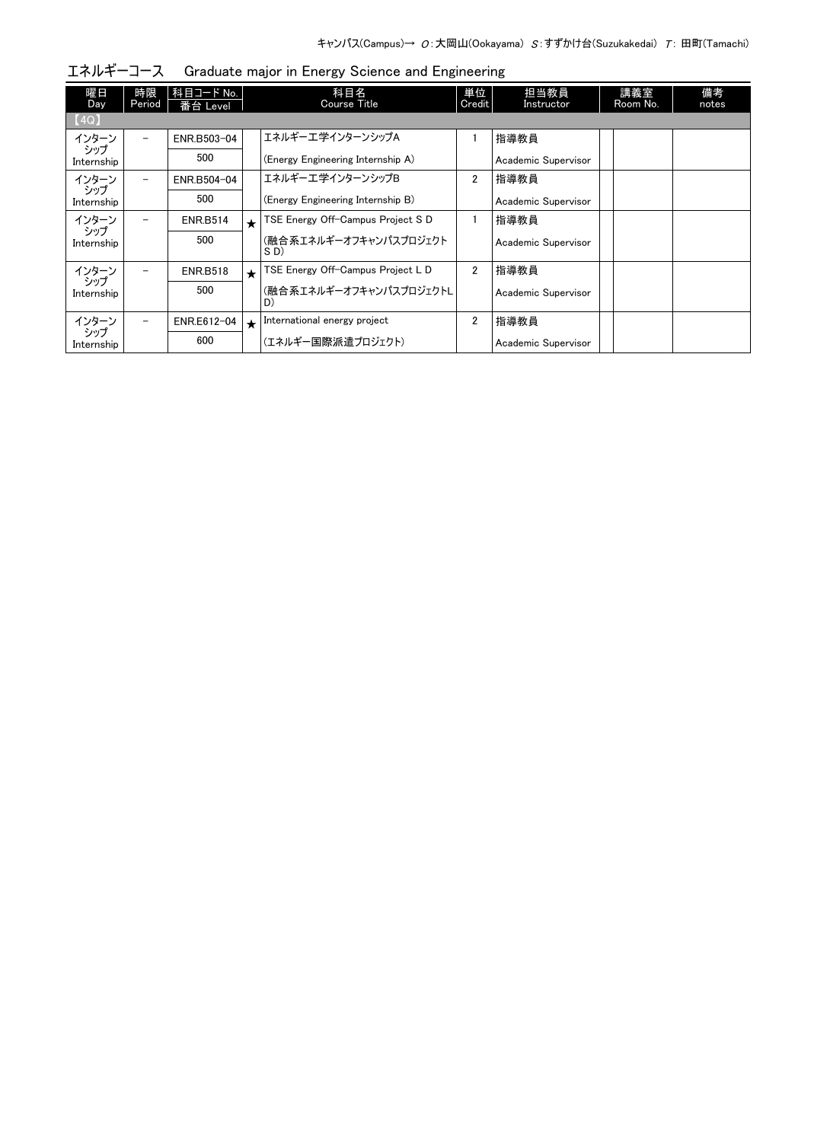| 曜日<br>Day         | 時限<br>Period             | 科目コード No.<br>番台 Level |            | 科目名<br>Course Title               | 単位<br>Credit   | 担当教員<br>Instructor  | 講義室<br>Room No. | 備考<br>notes |
|-------------------|--------------------------|-----------------------|------------|-----------------------------------|----------------|---------------------|-----------------|-------------|
| [4Q]              |                          |                       |            |                                   |                |                     |                 |             |
| インターン             |                          | ENR.B503-04           |            | エネルギーエ学インターンシップA                  |                | 指導教員                |                 |             |
| シップ<br>Internship |                          | 500                   |            | (Energy Engineering Internship A) |                | Academic Supervisor |                 |             |
| インターン             | $\overline{\phantom{0}}$ | ENR.B504-04           |            | エネルギーエ学インターンシップB                  | $\overline{2}$ | 指導教員                |                 |             |
| シップ<br>Internship |                          | 500                   |            | (Energy Engineering Internship B) |                | Academic Supervisor |                 |             |
| インターン             | $\overline{\phantom{0}}$ | <b>ENR.B514</b>       | $\star$    | TSE Energy Off-Campus Project S D |                | 指導教員                |                 |             |
| シップ<br>Internship |                          | 500                   |            | (融合系エネルギーオフキャンパスプロジェクト<br>SD)     |                | Academic Supervisor |                 |             |
| インターン             |                          | <b>ENR.B518</b>       | $\star$    | TSE Energy Off-Campus Project L D | $\overline{2}$ | 指導教員                |                 |             |
| シップ<br>Internship |                          | 500                   |            | (融合系エネルギーオフキャンパスプロジェクトL<br>D)     |                | Academic Supervisor |                 |             |
| インターン             | $\overline{\phantom{0}}$ | ENR.E612-04           | $\bigstar$ | International energy project      | $\overline{2}$ | 指導教員                |                 |             |
| シップ<br>Internship |                          | 600                   |            | (エネルギー国際派遣プロジェクト)                 |                | Academic Supervisor |                 |             |

エネルギーコース Graduate major in Energy Science and Engineering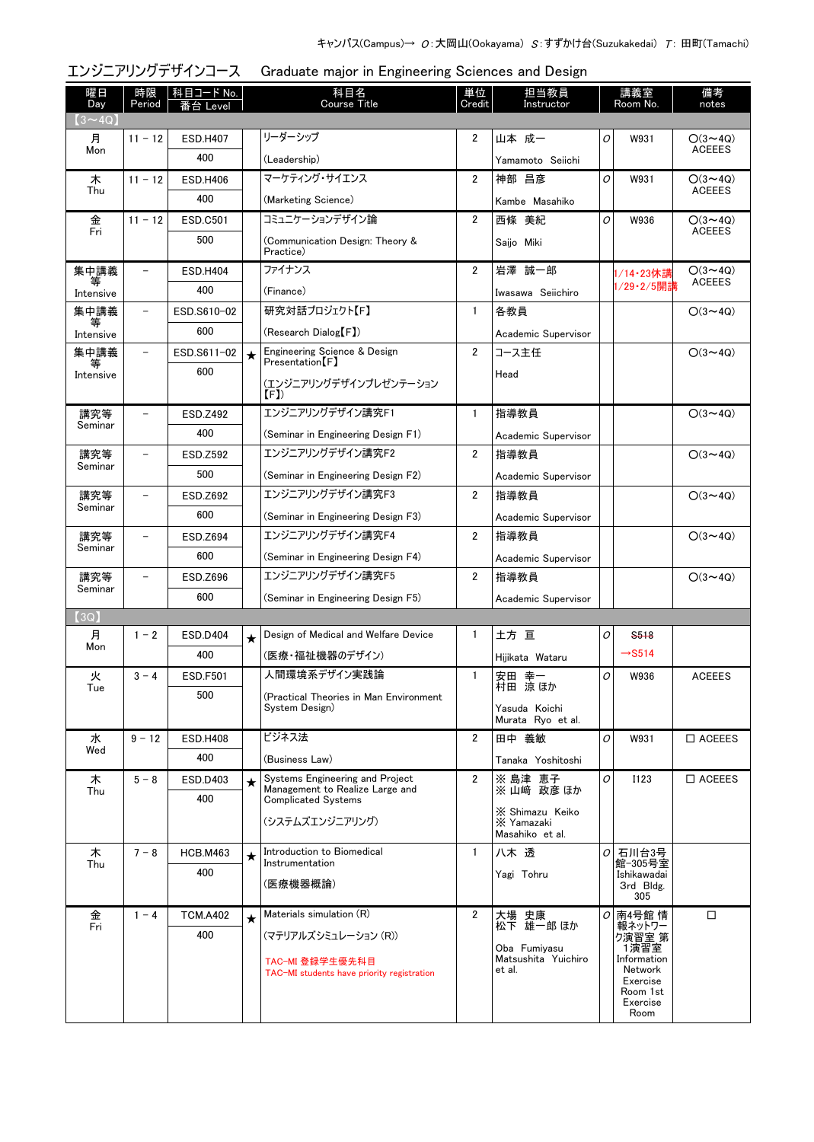|                |                          | エンジニアリングデザインコース        |         | Graduate major in Engineering Sciences and Design             |                |                                                  |    |                            |                                 |
|----------------|--------------------------|------------------------|---------|---------------------------------------------------------------|----------------|--------------------------------------------------|----|----------------------------|---------------------------------|
| 曜日<br>Day      | 時限<br>Period             | 科目コード No.<br>番台 Level  |         | 科目名<br><b>Course Title</b>                                    | 単位<br>Credit   | 担当教員<br>Instructor                               |    | 講義室<br>Room No.            | 備考<br>notes                     |
| $(3 \sim 4Q)$  |                          |                        |         |                                                               |                |                                                  |    |                            |                                 |
| 月<br>Mon       | $11 - 12$                | <b>ESD.H407</b>        |         | リーダーシップ                                                       | 2              | 山本 成一                                            | 0  | W931                       | $O(3 \sim 4Q)$<br><b>ACEEES</b> |
|                |                          | 400                    |         | (Leadership)                                                  |                | Yamamoto Seiichi                                 |    |                            |                                 |
| 木<br>Thu       | $11 - 12$                | <b>ESD.H406</b>        |         | マーケティング・サイエンス                                                 | $\overline{2}$ | 神部 昌彦                                            | 0  | W931                       | $O(3 \sim 4Q)$<br><b>ACEEES</b> |
|                |                          | 400                    |         | (Marketing Science)                                           |                | Kambe Masahiko                                   |    |                            |                                 |
| 金<br>Fri       | $11 - 12$                | <b>ESD.C501</b>        |         | コミュニケーションデザイン論                                                | $\overline{2}$ | 西條 美紀                                            | O  | W936                       | $O(3 \sim 4Q)$<br><b>ACEEES</b> |
|                |                          | 500                    |         | (Communication Design: Theory &<br>Practice)                  |                | Saijo Miki                                       |    |                            |                                 |
| 集中講義           | $\overline{\phantom{0}}$ | <b>ESD.H404</b>        |         | ファイナンス                                                        | $\overline{2}$ | 岩澤 誠一郎                                           |    | 1/14·23休講                  | $O(3 \sim 4Q)$<br><b>ACEEES</b> |
| Intensive      |                          | 400                    |         | (Finance)                                                     |                | Iwasawa Seiichiro                                |    | 1/29・2/5開講                 |                                 |
| 集中講義           | $\overline{\phantom{0}}$ | ESD.S610-02            |         | 研究対話プロジェクト【F】                                                 | $\mathbf{1}$   | 各教員                                              |    |                            | $O(3 \sim 4Q)$                  |
| Intensive      |                          | 600                    |         | (Research Dialog [F])                                         |                | Academic Supervisor                              |    |                            |                                 |
| 集中講義           | $\overline{\phantom{0}}$ | ESD.S611-02            | $\star$ | Engineering Science & Design<br>$Presentation$ $[$ F $]$      | $\overline{2}$ | コース主任                                            |    |                            | $O(3 \sim 4Q)$                  |
| Intensive      |                          | 600                    |         | (エンジニアリングデザインプレゼンテーション                                        |                | Head                                             |    |                            |                                 |
| 講究等            | $\overline{\phantom{a}}$ | <b>ESD.Z492</b>        |         | (F)<br>エンジニアリングデザイン講究F1                                       | $\mathbf{1}$   | 指導教員                                             |    |                            | $O(3 \sim 4Q)$                  |
| Seminar        |                          | 400                    |         | (Seminar in Engineering Design F1)                            |                |                                                  |    |                            |                                 |
| 講究等            | $\qquad \qquad -$        | <b>ESD.Z592</b>        |         | エンジニアリングデザイン講究F2                                              | $\overline{2}$ | Academic Supervisor<br>指導教員                      |    |                            | $O(3 \sim 4Q)$                  |
| Seminar        |                          | 500                    |         |                                                               |                |                                                  |    |                            |                                 |
| 講究等            | $\qquad \qquad -$        |                        |         | (Seminar in Engineering Design F2)<br>エンジニアリングデザイン講究F3        | $\overline{2}$ | Academic Supervisor<br>指導教員                      |    |                            | $O(3 \sim 4Q)$                  |
| Seminar        |                          | ESD.Z692<br>600        |         |                                                               |                |                                                  |    |                            |                                 |
|                | $\qquad \qquad -$        |                        |         | (Seminar in Engineering Design F3)<br>エンジニアリングデザイン講究F4        | $\overline{2}$ | Academic Supervisor                              |    |                            |                                 |
| 講究等<br>Seminar |                          | <b>ESD.Z694</b><br>600 |         |                                                               |                | 指導教員                                             |    |                            | $O(3 \sim 4Q)$                  |
|                |                          |                        |         | (Seminar in Engineering Design F4)                            |                | Academic Supervisor                              |    |                            |                                 |
| 講究等<br>Seminar | $\overline{\phantom{0}}$ | ESD.Z696               |         | エンジニアリングデザイン講究F5                                              | $\overline{2}$ | 指導教員                                             |    |                            | $O(3 \sim 4Q)$                  |
|                |                          | 600                    |         | (Seminar in Engineering Design F5)                            |                | Academic Supervisor                              |    |                            |                                 |
| (3Q)<br>月      | $1 - 2$                  | <b>ESD.D404</b>        |         | Design of Medical and Welfare Device                          | 1              | 土方 亘                                             | 0  | S <sub>518</sub>           |                                 |
| Mon            |                          | 400                    | $\star$ | (医療・福祉機器のデザイン)                                                |                |                                                  |    | $\rightarrow$ S514         |                                 |
|                | $3 - 4$                  |                        |         | 人間環境系デザイン実践論                                                  | $\mathbf{1}$   | Hijikata Wataru<br>安田 幸一                         | 0  | W936                       | <b>ACEEES</b>                   |
| 火<br>Tue       |                          | <b>ESD.F501</b><br>500 |         |                                                               |                | 村田 涼ほか                                           |    |                            |                                 |
|                |                          |                        |         | (Practical Theories in Man Environment<br>System Design)      |                | Yasuda Koichi<br>Murata Rvo et al.               |    |                            |                                 |
| 水              | $9 - 12$                 | <b>ESD.H408</b>        |         | ビジネス法                                                         | 2              | 田中 義敏                                            | 0  | W931                       | $\square$ ACEEES                |
| Wed            |                          | 400                    |         | (Business Law)                                                |                | Tanaka Yoshitoshi                                |    |                            |                                 |
| 木              | $5 - 8$                  | ESD.D403               | $\star$ | Systems Engineering and Project                               | $\overline{2}$ | ※ 島津 恵子<br>※ 山﨑 政彦 ほか                            | 0  | <b>I123</b>                | $\square$ ACEEES                |
| Thu            |                          | 400                    |         | Management to Realize Large and<br><b>Complicated Systems</b> |                |                                                  |    |                            |                                 |
|                |                          |                        |         | (システムズエンジニアリング)                                               |                | X Shimazu Keiko<br>X Yamazaki<br>Masahiko et al. |    |                            |                                 |
| 木              | $7 - 8$                  | <b>HCB.M463</b>        | $\star$ | Introduction to Biomedical<br>Instrumentation                 | $\mathbf{1}$   | 八木 透                                             | 0  | 石川台3号<br>館-305号室           |                                 |
| Thu            |                          | 400                    |         |                                                               |                | Yagi Tohru                                       |    | Ishikawadai                |                                 |
|                |                          |                        |         | (医療機器概論)                                                      |                |                                                  |    | 3rd Bldg.<br>305           |                                 |
| 金              | $1 - 4$                  | <b>TCM.A402</b>        | $\star$ | Materials simulation (R)                                      | $\overline{2}$ | 大場 史康<br>松下 雄一郎 ほか                               | 01 | 南4号館情                      | □                               |
| Fri            |                          | 400                    |         | (マテリアルズシミュレーション (R))                                          |                |                                                  |    | 報ネットワー<br>- ^演習室 第<br>1演習室 |                                 |
|                |                          |                        |         | TAC-MI 登録学生優先科目                                               |                | Oba Fumiyasu<br>Matsushita Yuichiro              |    | Information                |                                 |
|                |                          |                        |         | TAC-MI students have priority registration                    |                | et al.                                           |    | Network<br>Exercise        |                                 |
|                |                          |                        |         |                                                               |                |                                                  |    | Room 1st<br>Exercise       |                                 |
|                |                          |                        |         |                                                               |                |                                                  |    | Room                       |                                 |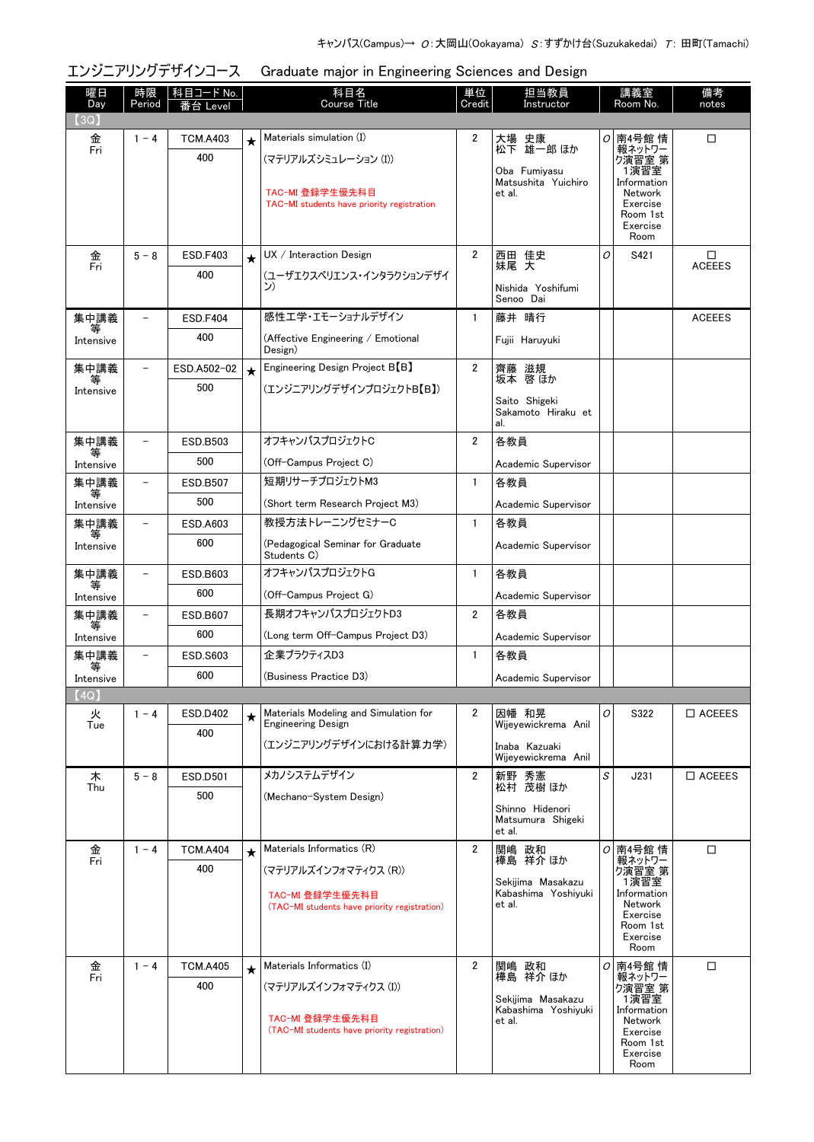## エンジニアリングデザインコース Graduate major in Engineering Sciences and Design

| 曜日<br>Day      | 時限<br>Period             | 科目コード No.<br>番台 Level |         | 科目名<br><b>Course Title</b>                                         | 単位<br>Credit   | 担当教員<br>Instructor                       |   | 講義室<br>Room No.          | 備考<br>notes        |
|----------------|--------------------------|-----------------------|---------|--------------------------------------------------------------------|----------------|------------------------------------------|---|--------------------------|--------------------|
| 3Q)            |                          |                       |         |                                                                    |                |                                          |   |                          |                    |
| 金<br>Fri       | $1 - 4$                  | <b>TCM.A403</b>       | $\star$ | Materials simulation (I)                                           | $\overline{2}$ | 大場 史康<br>松下 雄一郎 ほか                       |   | ○ 南4号館 情<br>報ネットワー       | □                  |
|                |                          | 400                   |         | (マテリアルズシミュレーション (I))                                               |                | Oba Fumiyasu                             |   | 7演習室 第<br>1演習室           |                    |
|                |                          |                       |         | TAC-MI 登録学生優先科目                                                    |                | Matsushita Yuichiro<br>et al.            |   | Information<br>Network   |                    |
|                |                          |                       |         | TAC-MI students have priority registration                         |                |                                          |   | Exercise                 |                    |
|                |                          |                       |         |                                                                    |                |                                          |   | Room 1st<br>Exercise     |                    |
|                |                          | <b>ESD.F403</b>       |         | UX / Interator                                                     | $\overline{2}$ |                                          |   | Room                     |                    |
| 金<br>Fri       | $5 - 8$                  | 400                   | $\star$ |                                                                    |                | 西田 佳史<br>妹尾 天                            | O | S421                     | □<br><b>ACEEES</b> |
|                |                          |                       |         | (ユーザエクスペリエンス・インタラクションデザイ<br>ン)                                     |                | Nishida Yoshifumi                        |   |                          |                    |
| 集中講義           |                          | <b>ESD.F404</b>       |         | 感性エ学・エモーショナルデザイン                                                   | $\mathbf{1}$   | Senoo Dai<br>藤井 晴行                       |   |                          | <b>ACEEES</b>      |
| 等              |                          | 400                   |         | (Affective Engineering / Emotional                                 |                |                                          |   |                          |                    |
| Intensive      |                          |                       |         | Design)                                                            |                | Fujii Haruyuki                           |   |                          |                    |
| 集中講義<br>等      | $\overline{\phantom{a}}$ | ESD.A502-02           | $\star$ | Engineering Design Project B <sup>[B]</sup>                        | $\overline{2}$ | 齊藤 滋規<br>坂本 啓ほか                          |   |                          |                    |
| Intensive      |                          | 500                   |         | (エンジニアリングデザインプロジェクトB【B】)                                           |                | Saito Shigeki                            |   |                          |                    |
|                |                          |                       |         |                                                                    |                | Sakamoto Hiraku et<br>al.                |   |                          |                    |
| 集中講義           |                          | ESD.B503              |         | オフキャンパスプロジェクトC                                                     | 2              | 各教員                                      |   |                          |                    |
| 等<br>Intensive |                          | 500                   |         | (Off-Campus Project C)                                             |                | Academic Supervisor                      |   |                          |                    |
| 集中講義           | $\overline{\phantom{0}}$ | <b>ESD.B507</b>       |         | 短期リサーチプロジェクトM3                                                     | $\mathbf{1}$   | 各教員                                      |   |                          |                    |
| 等<br>Intensive |                          | 500                   |         | (Short term Research Project M3)                                   |                | Academic Supervisor                      |   |                          |                    |
| 集中講義           | $\overline{\phantom{0}}$ | ESD.A603              |         | 教授方法トレーニングセミナーC                                                    | $\mathbf{1}$   | 各教員                                      |   |                          |                    |
| 等<br>Intensive |                          | 600                   |         | (Pedagogical Seminar for Graduate<br>Students C)                   |                | Academic Supervisor                      |   |                          |                    |
| 集中講義           | $\overline{\phantom{0}}$ | ESD.B603              |         | オフキャンパスプロジェクトG                                                     | $\mathbf{1}$   | 各教員                                      |   |                          |                    |
| 等<br>Intensive |                          | 600                   |         | (Off-Campus Project G)                                             |                | Academic Supervisor                      |   |                          |                    |
| 集中講義<br>等      | $\overline{\phantom{0}}$ | <b>ESD.B607</b>       |         | 長期オフキャンパスプロジェクトD3                                                  | $\overline{2}$ | 各教員                                      |   |                          |                    |
| Intensive      |                          | 600                   |         | (Long term Off-Campus Project D3)                                  |                | Academic Supervisor                      |   |                          |                    |
| 集中講義<br>等      | $\overline{\phantom{0}}$ | <b>ESD.S603</b>       |         | 企業プラクティスD3                                                         | $\mathbf{1}$   | 各教員                                      |   |                          |                    |
| Intensive      |                          | 600                   |         | (Business Practice D3)                                             |                | Academic Supervisor                      |   |                          |                    |
| (4Q)           |                          |                       |         |                                                                    |                |                                          |   |                          |                    |
| 火<br>Tue       | $1 - 4$                  | <b>ESD.D402</b>       | $\star$ | Materials Modeling and Simulation for<br><b>Engineering Design</b> | $\overline{2}$ | 因幡 和晃<br>Wijeyewickrema Anil             | O | S322                     | $\Box$ ACEEES      |
|                |                          | 400                   |         | (エンジニアリングデザインにおける計算力学)                                             |                | Inaba Kazuaki                            |   |                          |                    |
|                |                          |                       |         |                                                                    |                | Wijeyewickrema Anil                      |   |                          |                    |
| 木<br>Thu       | $5 - 8$                  | <b>ESD.D501</b>       |         | メカノシステムデザイン                                                        | $\overline{2}$ | 新野 秀憲<br>松村 茂樹 ほか                        | S | J231                     | $\square$ ACEEES   |
|                |                          | 500                   |         | (Mechano-System Design)                                            |                | Shinno Hidenori                          |   |                          |                    |
|                |                          |                       |         |                                                                    |                | Matsumura Shigeki<br>et al.              |   |                          |                    |
| 金<br>Fri       | $1 - 4$                  | <b>TCM.A404</b>       | $\star$ | Materials Informatics (R)                                          | $\overline{2}$ | 関嶋 政和                                    |   | <i>O</i> 南4号館 情          | □                  |
|                |                          | 400                   |         | (マテリアルズインフォマティクス (R))                                              |                | 樺島 祥介 ほか                                 |   | 報ネットワー<br>り演習室 第         |                    |
|                |                          |                       |         | TAC-MI 登録学生優先科目                                                    |                | Sekijima Masakazu<br>Kabashima Yoshiyuki |   | 1演習室<br>Information      |                    |
|                |                          |                       |         | (TAC-MI students have priority registration)                       |                | et al.                                   |   | Network<br>Exercise      |                    |
|                |                          |                       |         |                                                                    |                |                                          |   | Room 1st<br>Exercise     |                    |
|                |                          |                       |         |                                                                    |                |                                          |   | Room                     |                    |
| 金<br>Fri       | $1 - 4$                  | <b>TCM.A405</b>       | $\star$ | Materials Informatics (I)                                          | $\overline{2}$ | 関嶋 政和<br>樺島 祥介 ほか                        |   | <i>이</i> 南4号館情           | $\Box$             |
|                |                          | 400                   |         | (マテリアルズインフォマティクス (I))                                              |                | Sekijima Masakazu                        |   | 報ネットワー<br>ク演習室 第<br>1演習室 |                    |
|                |                          |                       |         | TAC-MI 登録学生優先科目                                                    |                | Kabashima Yoshiyuki<br>et al.            |   | Information<br>Network   |                    |
|                |                          |                       |         | (TAC-MI students have priority registration)                       |                |                                          |   | Exercise<br>Room 1st     |                    |
|                |                          |                       |         |                                                                    |                |                                          |   | Exercise                 |                    |
|                |                          |                       |         |                                                                    |                |                                          |   | Room                     |                    |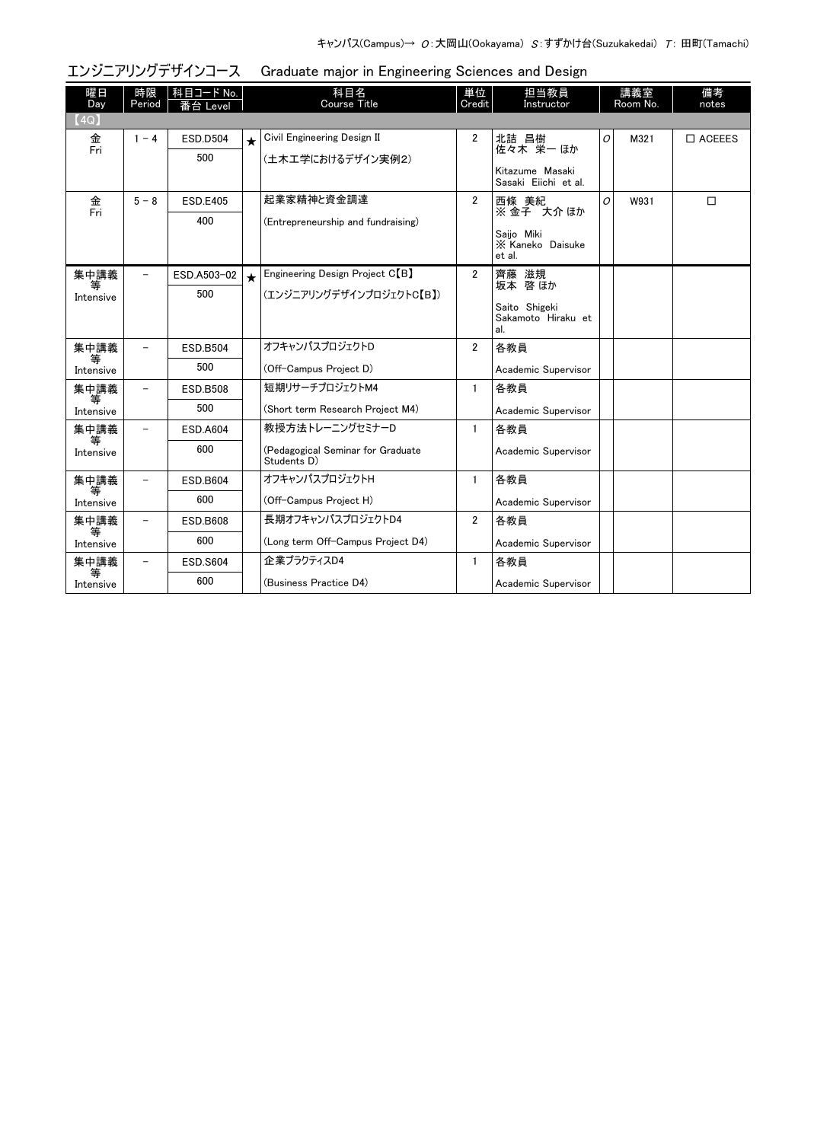| 曜日<br>Day       | 時限<br>Period             | 科目コード No.<br>番台 Level |         | 科目名<br>Course Title                              | 単位<br>Credit   | 担当教員<br>Instructor                         |   | 講義室<br>Room No. | 備考<br>notes   |
|-----------------|--------------------------|-----------------------|---------|--------------------------------------------------|----------------|--------------------------------------------|---|-----------------|---------------|
| (4Q)            |                          |                       |         |                                                  |                |                                            |   |                 |               |
| 金               | $1 - 4$                  | <b>ESD.D504</b>       | $\star$ | Civil Engineering Design II                      | $\overline{2}$ | 北詰 昌樹                                      | 0 | M321            | $\Box$ ACEEES |
| $\overline{Fr}$ |                          | 500                   |         | (土木工学におけるデザイン実例2)                                |                | 佐々木 栄一ほか                                   |   |                 |               |
|                 |                          |                       |         |                                                  |                | Kitazume Masaki<br>Sasaki Eiichi et al.    |   |                 |               |
| 金<br>Fri        | $5 - 8$                  | <b>ESD.E405</b>       |         | 起業家精神と資金調達                                       | $\overline{2}$ | 西條 美紀                                      | O | W931            | $\Box$        |
|                 |                          | 400                   |         | (Entrepreneurship and fundraising)               |                | ※金子 大介ほか                                   |   |                 |               |
|                 |                          |                       |         |                                                  |                | Saiio Miki<br>X Kaneko Daisuke<br>et al.   |   |                 |               |
| 集中講義            | $\overline{\phantom{0}}$ | ESD.A503-02           | $\star$ | Engineering Design Project C <sup>[B]</sup>      | $\overline{2}$ | 齊藤 滋規<br>坂本 啓ほか                            |   |                 |               |
| 等<br>Intensive  |                          | 500                   |         | (エンジニアリングデザインプロジェクトC【B】)                         |                |                                            |   |                 |               |
|                 |                          |                       |         |                                                  |                | Saito Shigeki<br>Sakamoto Hiraku et<br>al. |   |                 |               |
| 集中講義            |                          | <b>ESD.B504</b>       |         | オフキャンパスプロジェクトD                                   | $\overline{2}$ | 各教員                                        |   |                 |               |
| 等<br>Intensive  |                          | 500                   |         | (Off-Campus Project D)                           |                | Academic Supervisor                        |   |                 |               |
| 集中講義<br>等       |                          | <b>ESD.B508</b>       |         | 短期リサーチプロジェクトM4                                   | 1              | 各教員                                        |   |                 |               |
| Intensive       |                          | 500                   |         | (Short term Research Project M4)                 |                | Academic Supervisor                        |   |                 |               |
| 集中講義<br>等       |                          | <b>ESD.A604</b>       |         | 教授方法トレーニングセミナーD                                  | 1.             | 各教員                                        |   |                 |               |
| Intensive       |                          | 600                   |         | (Pedagogical Seminar for Graduate<br>Students D) |                | Academic Supervisor                        |   |                 |               |
| 集中講義            | $\equiv$                 | <b>ESD.B604</b>       |         | オフキャンパスプロジェクトH                                   | $\mathbf{1}$   | 各教員                                        |   |                 |               |
| 等<br>Intensive  |                          | 600                   |         | (Off-Campus Project H)                           |                | Academic Supervisor                        |   |                 |               |
| 集中講義            | $\overline{\phantom{0}}$ | <b>ESD.B608</b>       |         | 長期オフキャンパスプロジェクトD4                                | $\mathbf{2}$   | 各教員                                        |   |                 |               |
| 等<br>Intensive  |                          | 600                   |         | (Long term Off-Campus Project D4)                |                | Academic Supervisor                        |   |                 |               |
| 集中講義            | $\overline{\phantom{0}}$ | <b>ESD.S604</b>       |         | 企業プラクティスD4                                       | $\mathbf{1}$   | 各教員                                        |   |                 |               |
| Intensive       |                          | 600                   |         | (Business Practice D4)                           |                | Academic Supervisor                        |   |                 |               |

#### エンジニアリングデザインコース Graduate major in Engineering Sciences and Design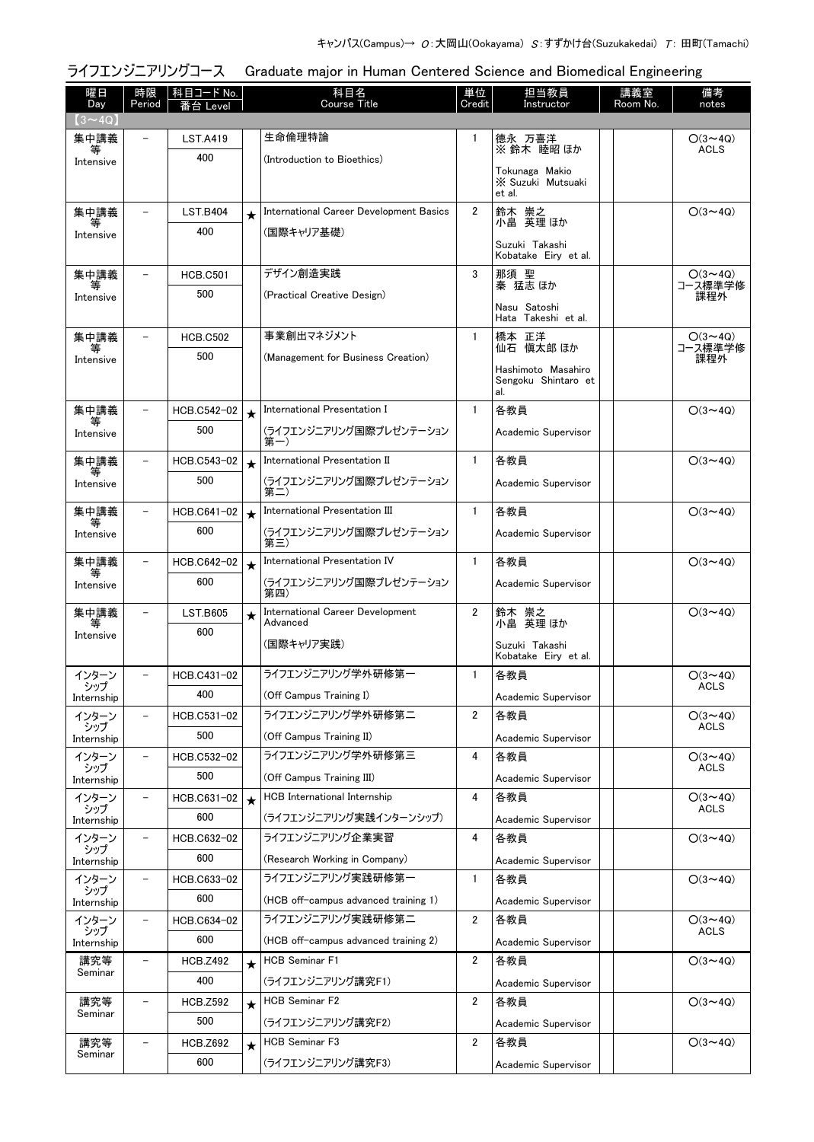#### 曜日 Day 時限 Period ■ 科目コード No. ■ 科目名 Course Title 番台 Level notes 単位 **Credit** 担当教員 Instructor 講義室 Room No. 備考  $\sqrt{3}$   $\sim$  4Q 生命倫理特論 [\(Introduction to Bioethics\)](http://www.ocw.titech.ac.jp/index.php?module=General&action=T0300&JWC=201916816&lang=JA&vid=03) 集中講義 等 Intensive - LST.A419 400 1 │德永 万喜洋 │ │ │ 〇(3~4Q) ACLS ※ 鈴木 睦昭 ほか Tokunaga Makio ※ Suzuki Mutsuaki et al. ★ │[International Career Development Basics](http://www.ocw.titech.ac.jp/index.php?module=General&action=T0300&JWC=201920336&lang=JA&vid=03) │ 2 │鈴木 崇之 │ │ 〇(3~4Q) (国際キャリア基礎) 集中講義 等 Intensive LST.B404 400 鈴木 崇之<br>小畠 英理ほか Suzuki Takashi Kobatake Eiry et al. デザイン創造実践 [\(Practical Creative Design\)](http://www.ocw.titech.ac.jp/index.php?module=General&action=T0300&JWC=201917431&lang=JA&vid=03) 集中講義 等 Intensive - HCB.C501 500 3 ○(3~4Q) コース標準学修 課程外 那須 聖 秦 猛志 ほか Nasu Satoshi Hata Takeshi et al. 事業創出マネジメント [\(Management for Business Creation\)](http://www.ocw.titech.ac.jp/index.php?module=General&action=T0300&JWC=201926650&lang=JA&vid=03) 集中講義 等 Intensive - HCB.C502 500 1 │橋本 正洋 │ │ │ 〇(3~4Q) コース標準学修 課程外 仙石 愼太郎 ほか Hashimoto Masahiro Sengoku Shintaro et al. ★ │International Presentation I 1 │各教員 O(3~4Q) [\(ライフエンジニアリング国際プレゼンテーション](http://www.ocw.titech.ac.jp/index.php?module=General&action=T0300&JWC=201906743&lang=JA&vid=03) 第一) 集中講義 等 Intensive - HCB.C542-02 500 Academic Supervisor ★ │International Presentation II 1 │各教員 O(3~4Q) [\(ライフエンジニアリング国際プレゼンテーション](http://www.ocw.titech.ac.jp/index.php?module=General&action=T0300&JWC=201906745&lang=JA&vid=03) 第二) 集中講義 等 Intensive HCB.C543-02 500 Academic Supervisor ★ │International Presentation III │ 1 │各教員 │ │ 〇(3~4Q) [\(ライフエンジニアリング国際プレゼンテーション](http://www.ocw.titech.ac.jp/index.php?module=General&action=T0300&JWC=201906726&lang=JA&vid=03) 第三) 集中講義 等 Intensive  $-$  HCB C641-02 600 Academic Supervisor ★ │International Presentation IV 1 │各教員 O(3~4Q) [\(ライフエンジニアリング国際プレゼンテーション](http://www.ocw.titech.ac.jp/index.php?module=General&action=T0300&JWC=201906727&lang=JA&vid=03) 第四) 集中講義 等 **Intensive** - HCB.C642-02 600 Academic Supervisor ★ [International Career Development](http://www.ocw.titech.ac.jp/index.php?module=General&action=T0300&JWC=201920338&lang=JA&vid=03) | 2 |鈴木 崇之 。 | | 〇(3~4Q) Advanced (国際キャリア実践) 集中講義 等 Intensive LST.B605 600 鈴木 崇之<br>小畠 英理 ほか Suzuki Takashi Kobatake Eiry et al. [ライフエンジニアリング学外研修第一](http://www.ocw.titech.ac.jp/index.php?module=General&action=T0300&JWC=201906707&lang=JA&vid=03) (Off Campus Training I) インターン シップ Internship HCB.C431-02 400 1 ○(3~4Q) ACLS<sup>T</sup> 各教員 Academic Supervisor [ライフエンジニアリング学外研修第二](http://www.ocw.titech.ac.jp/index.php?module=General&action=T0300&JWC=201906746&lang=JA&vid=03) (Off Campus Training II) インターン シップ Internship HCB.C531-02 500 2 ○(3~4Q) **ACLS** 各教員 Academic Supervisor [ライフエンジニアリング学外研修第三](http://www.ocw.titech.ac.jp/index.php?module=General&action=T0300&JWC=201906747&lang=JA&vid=03) (Off Campus Training III) インターン シップ Internship - HCB.C532-02 500 4 ○(3~4Q) ACLS 各教員 Academic Supervisor ★ HCB International Internship 4 |各教員 O(3~4Q) [\(ライフエンジニアリング実践インターンシップ\)](http://www.ocw.titech.ac.jp/index.php?module=General&action=T0300&JWC=201906725&lang=JA&vid=03) インターン シップ Internship  $-$  HCB.C631-02 600 ACLS 各教員 Academic Supervisor ライフエンジニアリング企業実習 [\(Research Working in Company\)](http://www.ocw.titech.ac.jp/index.php?module=General&action=T0300&JWC=201906728&lang=JA&vid=03) インターン シップ Internship  $-$  HCB.C632-02 600 4 各教員 ○(3~4Q) Academic Supervisor ライフエンジニアリング実践研修第一 [\(HCB off-campus advanced training 1\)](http://www.ocw.titech.ac.jp/index.php?module=General&action=T0300&JWC=201911971&lang=JA&vid=03) インターン シップ Internship - HCB.C633-02 600 1 各教員 O(3~4Q) Academic Supervisor ライフエンジニアリング実践研修第二 [\(HCB off-campus advanced training 2\)](http://www.ocw.titech.ac.jp/index.php?module=General&action=T0300&JWC=201911973&lang=JA&vid=03) インターン シップ Internship  $-$  HCB.C634-02 600 2 ○(3~4Q) ACLS 各教員 Academic Supervisor HCB Seminar F1 [\(ライフエンジニアリング講究F1\)](http://www.ocw.titech.ac.jp/index.php?module=General&action=T0300&JWC=201906722&lang=JA&vid=03) 講究等 Seminar HCB 7492 400 ★ │ HCB Seminar F1 2 │各教員 │ │ │ │ │ │ │ │ │ 〇(3~4Q) Academic Supervisor ★ │HCB Seminar F2 2 │各教員 │ │ 〇(3~4Q) [\(ライフエンジニアリング講究F2\)](http://www.ocw.titech.ac.jp/index.php?module=General&action=T0300&JWC=201906754&lang=JA&vid=03) 講究等 講究等 - HCB.Z592<br>Seminar 500 Academic Supervisor ★ │HCB Seminar F3 2 │各教員 │ │ 〇(3~4Q) [\(ライフエンジニアリング講究F3\)](http://www.ocw.titech.ac.jp/index.php?module=General&action=T0300&JWC=201906734&lang=JA&vid=03) 講究等 講究等  $\begin{array}{|c|c|c|c|}\n \hline \text{HCB.Z692} & \text{HCB.Z692} \\
\text{Seminar} & \text{HCB.Z692}\n \hline \end{array}$ 600 Academic Supervisor

ライフエンジニアリングコース Graduate major in Human Centered Science and Biomedical Engineering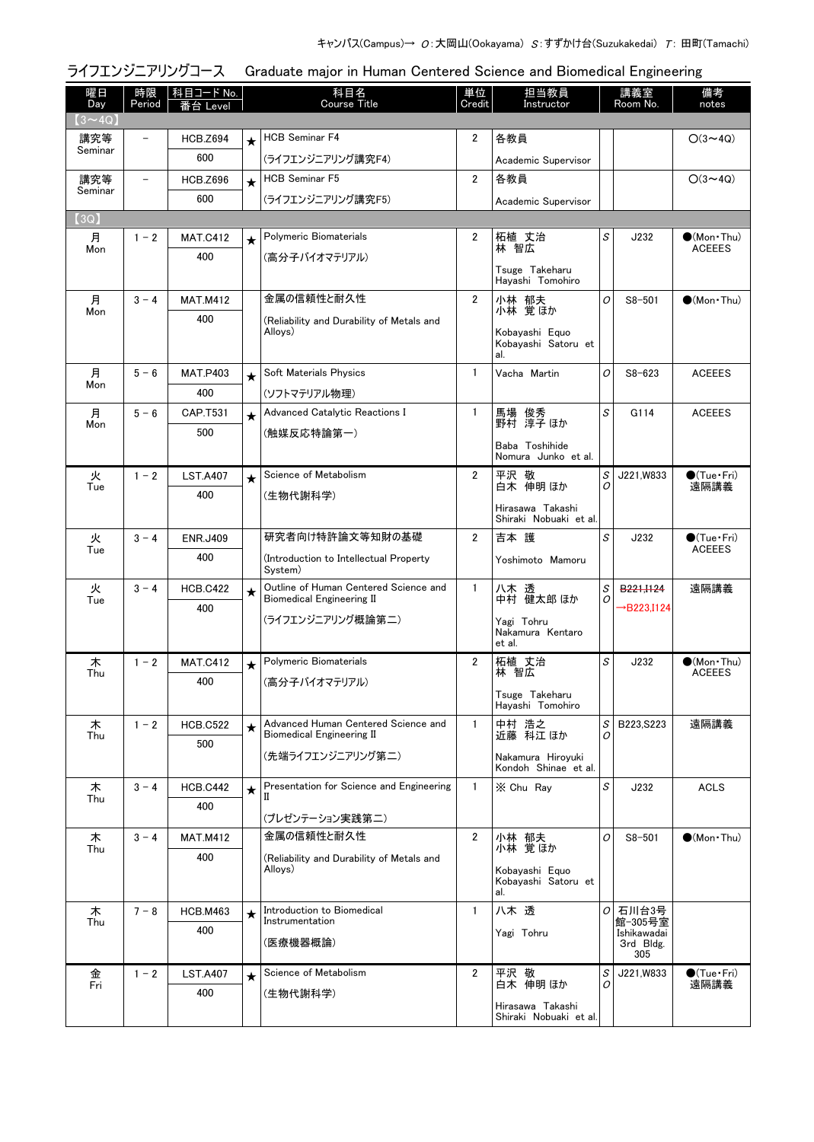|                |                          | ライフエンジニアリングコース               |         | Graduate major in Human Centered Science and Biomedical Engineering       |                |                                              |               |                         |                                      |
|----------------|--------------------------|------------------------------|---------|---------------------------------------------------------------------------|----------------|----------------------------------------------|---------------|-------------------------|--------------------------------------|
| 曜日<br>Day      | 時限<br>Period             | <u>科目コード No.</u><br>番台 Level |         | 科目名<br><b>Course Title</b>                                                | 単位<br>Credit   | 担当教員<br>Instructor                           |               | 講義室<br>Room No.         | 備考<br>notes                          |
| $(3 \sim 4Q)$  | $\overline{\phantom{0}}$ |                              |         | <b>HCB Seminar F4</b>                                                     | 2              | 各教員                                          |               |                         |                                      |
| 講究等<br>Seminar |                          | <b>HCB.Z694</b>              | $\star$ |                                                                           |                |                                              |               |                         | $O(3 \sim 4Q)$                       |
|                |                          | 600                          |         | (ライフエンジニアリング講究F4)                                                         |                | Academic Supervisor                          |               |                         |                                      |
| 講究等<br>Seminar | $\qquad \qquad -$        | <b>HCB.Z696</b>              | $\star$ | <b>HCB Seminar F5</b>                                                     | $\mathbf{2}$   | 各教員                                          |               |                         | $O(3 \sim 4Q)$                       |
|                |                          | 600                          |         | (ライフエンジニアリング講究F5)                                                         |                | Academic Supervisor                          |               |                         |                                      |
| (3Q)           | $1 - 2$                  |                              |         | Polymeric Biomaterials                                                    | 2              |                                              | S             |                         |                                      |
| 月<br>Mon       |                          | <b>MAT.C412</b>              | $\star$ |                                                                           |                | 柘植 丈治<br>林 智広                                |               | J232                    | $\bullet$ (Mon•Thu)<br><b>ACEEES</b> |
|                |                          | 400                          |         | (高分子バイオマテリアル)                                                             |                | Tsuge Takeharu<br>Hayashi Tomohiro           |               |                         |                                      |
| 月              | $3 - 4$                  | <b>MAT.M412</b>              |         | 金属の信頼性と耐久性                                                                | $\overline{2}$ | 小林 郁夫                                        | O             | $S8 - 501$              | $\bullet$ (Mon $\cdot$ Thu)          |
| Mon            |                          | 400                          |         | (Reliability and Durability of Metals and                                 |                | 小林 覚ほか                                       |               |                         |                                      |
|                |                          |                              |         | Alloys)                                                                   |                | Kobayashi Equo<br>Kobayashi Satoru et<br>al. |               |                         |                                      |
| 月              | $5 - 6$                  | <b>MAT.P403</b>              | $\star$ | Soft Materials Physics                                                    | $\mathbf{1}$   | Vacha Martin                                 | 0             | $S8 - 623$              | <b>ACEEES</b>                        |
| Mon            |                          | 400                          |         | (ソフトマテリアル物理)                                                              |                |                                              |               |                         |                                      |
| 月              | $5 - 6$                  | CAP.T531                     | $\star$ | Advanced Catalytic Reactions I                                            | $\mathbf{1}$   | 馬場 俊秀<br>野村 淳子ほか                             | S             | G114                    | <b>ACEEES</b>                        |
| Mon            |                          | 500                          |         | (触媒反応特論第一)                                                                |                |                                              |               |                         |                                      |
|                |                          |                              |         |                                                                           |                | Baba Toshihide<br>Nomura Junko et al.        |               |                         |                                      |
| 火              | $1 - 2$                  | <b>LST.A407</b>              | $\star$ | Science of Metabolism                                                     | $\overline{2}$ | 平沢 敬                                         | S             | J221,W833               | $\bullet$ (Tue · Fri)                |
| Tue            |                          | 400                          |         | (生物代謝科学)                                                                  |                | 白木 伸明 ほか                                     | Ο             |                         | 遠隔講義                                 |
|                |                          |                              |         |                                                                           |                | Hirasawa Takashi<br>Shiraki Nobuaki et al.   |               |                         |                                      |
| 火<br>Tue       | $3 - 4$                  | <b>ENR.J409</b>              |         | 研究者向け特許論文等知財の基礎                                                           | $\overline{2}$ | 吉本 護                                         | S             | J232                    | $\bullet$ (Tue•Fri)<br><b>ACEEES</b> |
|                |                          | 400                          |         | (Introduction to Intellectual Property<br>System)                         |                | Yoshimoto Mamoru                             |               |                         |                                      |
| 火<br>Tue       | $3 - 4$                  | <b>HCB.C422</b>              | $\star$ | Outline of Human Centered Science and<br><b>Biomedical Engineering II</b> | $\mathbf{1}$   | 八木透<br>中村 健太郎 ほか                             | S<br>0        | B <sub>221</sub> ,1124  | 遠隔講義                                 |
|                |                          | 400                          |         | (ライフエンジニアリング概論第二)                                                         |                | Yagi Tohru                                   |               | $\rightarrow$ B223,I124 |                                      |
|                |                          |                              |         |                                                                           |                | Nakamura Kentaro<br>et al.                   |               |                         |                                      |
| 木              | $1 - 2$                  | <b>MAT.C412</b>              |         | Polymeric Biomaterials                                                    | $\overline{2}$ | 柘植 丈治                                        | S             | J232                    | (Mon Thu)                            |
| Thu            |                          | 400                          |         | (高分子バイオマテリアル)                                                             |                | 林 智広                                         |               |                         | <b>ACEEES</b>                        |
|                |                          |                              |         |                                                                           |                | Tsuge Takeharu<br>Havashi Tomohiro           |               |                         |                                      |
| 木<br>Thu       | $1 - 2$                  | <b>HCB.C522</b>              | $\star$ | Advanced Human Centered Science and<br><b>Biomedical Engineering II</b>   | $\mathbf{1}$   | 中村 浩之<br>近藤 科江ほか                             | S<br>O        | B223, S223              | 遠隔講義                                 |
|                |                          | 500                          |         | (先端ライフエンジニアリング第二)                                                         |                | Nakamura Hirovuki<br>Kondoh Shinae et al.    |               |                         |                                      |
| 木              | $3 - 4$                  | <b>HCB.C442</b>              | $\star$ | Presentation for Science and Engineering                                  | $\mathbf{1}$   | X Chu Ray                                    | S             | J232                    | <b>ACLS</b>                          |
| Thu            |                          | 400                          |         |                                                                           |                |                                              |               |                         |                                      |
| 木              | $3 - 4$                  | <b>MAT.M412</b>              |         | (プレゼンテーション実践第二)<br>金属の信頼性と耐久性                                             | $\overline{2}$ | 小林 郁夫                                        | O             | $S8 - 501$              | $\bigcirc$ (Mon Thu)                 |
| Thu            |                          | 400                          |         | (Reliability and Durability of Metals and                                 |                | 小林 覚ほか                                       |               |                         |                                      |
|                |                          |                              |         | Alloys)                                                                   |                | Kobayashi Equo<br>Kobayashi Satoru et<br>al. |               |                         |                                      |
| 木              | $7 - 8$                  | <b>HCB.M463</b>              | $\star$ | Introduction to Biomedical                                                | $\mathbf{1}$   | 八木 透                                         | 01            | 石川台3号                   |                                      |
| Thu            |                          | 400                          |         | Instrumentation                                                           |                | Yagi Tohru                                   |               | 館-305号室<br>Ishikawadai  |                                      |
|                |                          |                              |         | (医療機器概論)                                                                  |                |                                              |               | 3rd Bldg.<br>305        |                                      |
| 金              | $1 - 2$                  | <b>LST.A407</b>              | $\star$ | Science of Metabolism                                                     | $\overline{2}$ | 平沢 敬                                         | S<br>$\Omega$ | J221, W833              | $\bullet$ (Tue · Fri)                |
| Fri            |                          | 400                          |         | (生物代謝科学)                                                                  |                | 白木 伸明 ほか                                     |               |                         | 遠隔講義                                 |
|                |                          |                              |         |                                                                           |                | Hirasawa Takashi<br>Shiraki Nobuaki et al.   |               |                         |                                      |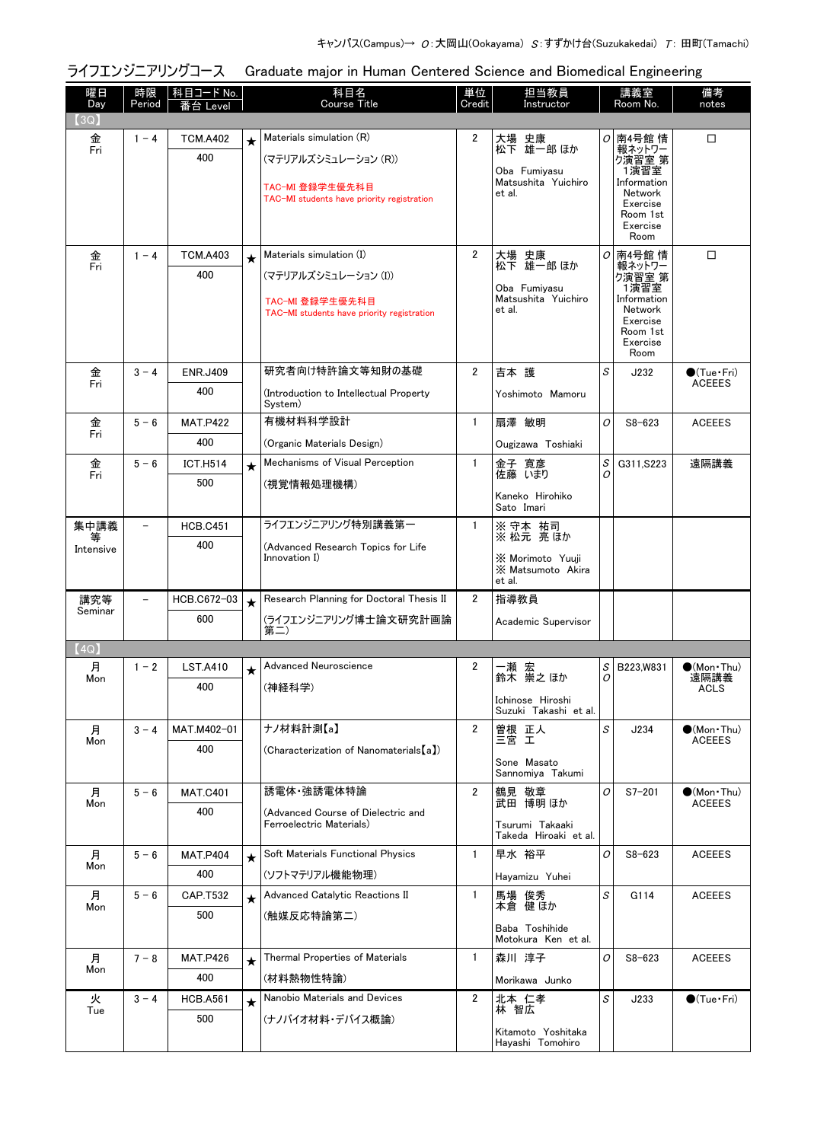| 科目名<br>担当教員<br>曜日<br>時限   科目コード No.<br>単位<br>講義室<br>備考<br>Period<br><b>Course Title</b><br>Credit<br>Day<br>Room No.<br>Instructor<br>番台 Level<br>(3Q)<br>Materials simulation (R)<br>2<br>大場 史康<br>南4号館 情<br>□<br>金<br>$1 - 4$<br><b>TCM.A402</b><br>0<br>$\star$<br>松下 雄一郎 ほか<br>Fri<br>報ネットワー<br>400<br>(マテリアルズシミュレーション (R))<br>り演習室 第<br>1演習室<br>Oba Fumiyasu<br>Information<br>Matsushita Yuichiro<br>TAC-MI 登録学生優先科目<br>Network<br>et al.<br>TAC-MI students have priority registration<br>Exercise<br>Room 1st<br>Exercise<br>Room<br>Materials simulation (I)<br>$\overline{2}$<br>金<br>Fri<br><b>TCM.A403</b><br>大場 史康<br>松下 雄一郎 ほか<br>$\sigma$<br>南4号館 情<br>□<br>$1 - 4$<br>$\star$<br>報ネットワー<br>400<br>(マテリアルズシミュレーション (I))<br>ク演習室 第<br>1演習室<br>Oba Fumiyasu<br>Matsushita Yuichiro<br>Information<br>TAC-MI 登録学生優先科目<br>Network<br>et al.<br>TAC-MI students have priority registration<br>Exercise<br>Room 1st<br>Exercise<br>Room<br>研究者向け特許論文等知財の基礎<br>S<br>$\overline{2}$<br>吉本 護<br>金<br>$3 - 4$<br><b>ENR.J409</b><br>J232<br>$\bigcirc$ (Tue · Fri)<br>Fri<br>400<br>(Introduction to Intellectual Property<br>Yoshimoto Mamoru | notes                                |                     |                |                                                                   |             |     |
|-----------------------------------------------------------------------------------------------------------------------------------------------------------------------------------------------------------------------------------------------------------------------------------------------------------------------------------------------------------------------------------------------------------------------------------------------------------------------------------------------------------------------------------------------------------------------------------------------------------------------------------------------------------------------------------------------------------------------------------------------------------------------------------------------------------------------------------------------------------------------------------------------------------------------------------------------------------------------------------------------------------------------------------------------------------------------------------------------------------------------------------------------------|--------------------------------------|---------------------|----------------|-------------------------------------------------------------------|-------------|-----|
|                                                                                                                                                                                                                                                                                                                                                                                                                                                                                                                                                                                                                                                                                                                                                                                                                                                                                                                                                                                                                                                                                                                                                     |                                      |                     |                |                                                                   |             |     |
|                                                                                                                                                                                                                                                                                                                                                                                                                                                                                                                                                                                                                                                                                                                                                                                                                                                                                                                                                                                                                                                                                                                                                     |                                      |                     |                |                                                                   |             |     |
|                                                                                                                                                                                                                                                                                                                                                                                                                                                                                                                                                                                                                                                                                                                                                                                                                                                                                                                                                                                                                                                                                                                                                     |                                      |                     |                |                                                                   |             |     |
|                                                                                                                                                                                                                                                                                                                                                                                                                                                                                                                                                                                                                                                                                                                                                                                                                                                                                                                                                                                                                                                                                                                                                     |                                      |                     |                |                                                                   |             |     |
|                                                                                                                                                                                                                                                                                                                                                                                                                                                                                                                                                                                                                                                                                                                                                                                                                                                                                                                                                                                                                                                                                                                                                     |                                      |                     |                |                                                                   |             |     |
|                                                                                                                                                                                                                                                                                                                                                                                                                                                                                                                                                                                                                                                                                                                                                                                                                                                                                                                                                                                                                                                                                                                                                     |                                      |                     |                |                                                                   |             |     |
|                                                                                                                                                                                                                                                                                                                                                                                                                                                                                                                                                                                                                                                                                                                                                                                                                                                                                                                                                                                                                                                                                                                                                     |                                      |                     |                |                                                                   |             |     |
|                                                                                                                                                                                                                                                                                                                                                                                                                                                                                                                                                                                                                                                                                                                                                                                                                                                                                                                                                                                                                                                                                                                                                     |                                      |                     |                |                                                                   |             |     |
|                                                                                                                                                                                                                                                                                                                                                                                                                                                                                                                                                                                                                                                                                                                                                                                                                                                                                                                                                                                                                                                                                                                                                     |                                      |                     |                |                                                                   |             |     |
|                                                                                                                                                                                                                                                                                                                                                                                                                                                                                                                                                                                                                                                                                                                                                                                                                                                                                                                                                                                                                                                                                                                                                     |                                      |                     |                |                                                                   |             |     |
|                                                                                                                                                                                                                                                                                                                                                                                                                                                                                                                                                                                                                                                                                                                                                                                                                                                                                                                                                                                                                                                                                                                                                     |                                      |                     |                |                                                                   |             |     |
|                                                                                                                                                                                                                                                                                                                                                                                                                                                                                                                                                                                                                                                                                                                                                                                                                                                                                                                                                                                                                                                                                                                                                     |                                      |                     |                |                                                                   |             |     |
|                                                                                                                                                                                                                                                                                                                                                                                                                                                                                                                                                                                                                                                                                                                                                                                                                                                                                                                                                                                                                                                                                                                                                     |                                      |                     |                |                                                                   |             |     |
|                                                                                                                                                                                                                                                                                                                                                                                                                                                                                                                                                                                                                                                                                                                                                                                                                                                                                                                                                                                                                                                                                                                                                     |                                      |                     |                |                                                                   |             |     |
|                                                                                                                                                                                                                                                                                                                                                                                                                                                                                                                                                                                                                                                                                                                                                                                                                                                                                                                                                                                                                                                                                                                                                     | <b>ACEEES</b>                        |                     |                |                                                                   |             |     |
| System)                                                                                                                                                                                                                                                                                                                                                                                                                                                                                                                                                                                                                                                                                                                                                                                                                                                                                                                                                                                                                                                                                                                                             |                                      |                     |                |                                                                   |             |     |
| 有機材料科学設計<br>$\mathbf{1}$<br>扇澤 敏明<br>金<br>0<br>$5 - 6$<br><b>MAT.P422</b><br>$S8 - 623$<br>Fri                                                                                                                                                                                                                                                                                                                                                                                                                                                                                                                                                                                                                                                                                                                                                                                                                                                                                                                                                                                                                                                      | <b>ACEEES</b>                        |                     |                |                                                                   |             |     |
| 400<br>(Organic Materials Design)<br>Ougizawa Toshiaki                                                                                                                                                                                                                                                                                                                                                                                                                                                                                                                                                                                                                                                                                                                                                                                                                                                                                                                                                                                                                                                                                              |                                      |                     |                |                                                                   |             |     |
| Mechanisms of Visual Perception<br>1<br>S<br>金<br>金子 寛彦<br>G311, S223<br>$5 - 6$<br><b>ICT.H514</b><br>$\star$<br>Fri                                                                                                                                                                                                                                                                                                                                                                                                                                                                                                                                                                                                                                                                                                                                                                                                                                                                                                                                                                                                                               | 遠隔講義                                 |                     |                |                                                                   |             |     |
| 500<br>(視覚情報処理機構)                                                                                                                                                                                                                                                                                                                                                                                                                                                                                                                                                                                                                                                                                                                                                                                                                                                                                                                                                                                                                                                                                                                                   |                                      |                     |                |                                                                   |             |     |
| Sato Imari                                                                                                                                                                                                                                                                                                                                                                                                                                                                                                                                                                                                                                                                                                                                                                                                                                                                                                                                                                                                                                                                                                                                          |                                      | 佐藤 いまり<br>0         |                |                                                                   |             |     |
| ライフエンジニアリング特別講義第一<br>集中講義<br>※ 守本 祐司<br><b>HCB.C451</b><br>1.                                                                                                                                                                                                                                                                                                                                                                                                                                                                                                                                                                                                                                                                                                                                                                                                                                                                                                                                                                                                                                                                                       |                                      | Kaneko Hirohiko     |                |                                                                   |             |     |
| 400<br>(Advanced Research Topics for Life<br>Intensive                                                                                                                                                                                                                                                                                                                                                                                                                                                                                                                                                                                                                                                                                                                                                                                                                                                                                                                                                                                                                                                                                              |                                      |                     |                |                                                                   |             |     |
| X Matsumoto Akira                                                                                                                                                                                                                                                                                                                                                                                                                                                                                                                                                                                                                                                                                                                                                                                                                                                                                                                                                                                                                                                                                                                                   |                                      | ※ 松元 亮 ほか           |                |                                                                   |             |     |
|                                                                                                                                                                                                                                                                                                                                                                                                                                                                                                                                                                                                                                                                                                                                                                                                                                                                                                                                                                                                                                                                                                                                                     |                                      | X Morimoto Yuuji    |                | Innovation I)                                                     |             |     |
| Seminar<br>600                                                                                                                                                                                                                                                                                                                                                                                                                                                                                                                                                                                                                                                                                                                                                                                                                                                                                                                                                                                                                                                                                                                                      |                                      | et al.              | $\overline{2}$ |                                                                   |             |     |
|                                                                                                                                                                                                                                                                                                                                                                                                                                                                                                                                                                                                                                                                                                                                                                                                                                                                                                                                                                                                                                                                                                                                                     |                                      | 指導教員                |                | Research Planning for Doctoral Thesis II<br>(ライフエンジニアリング博士論文研究計画論 | HCB.C672-03 | 講究等 |
|                                                                                                                                                                                                                                                                                                                                                                                                                                                                                                                                                                                                                                                                                                                                                                                                                                                                                                                                                                                                                                                                                                                                                     |                                      | Academic Supervisor |                | 第二)                                                               |             |     |
| (4Q)                                                                                                                                                                                                                                                                                                                                                                                                                                                                                                                                                                                                                                                                                                                                                                                                                                                                                                                                                                                                                                                                                                                                                |                                      |                     |                |                                                                   |             |     |
| $S$ B223,W831<br>月<br>瀬 宏<br>Advanced Neuroscience<br>$\overline{2}$<br>$1 - 2$<br><b>LST.A410</b><br>*<br>鈴木 崇之ほか<br>0<br>Mon                                                                                                                                                                                                                                                                                                                                                                                                                                                                                                                                                                                                                                                                                                                                                                                                                                                                                                                                                                                                                      | $\bigcirc$ (Mon Thu)<br>遠隔講義         |                     |                |                                                                   |             |     |
| 400<br>(神経科学)<br>ACLS<br>Ichinose Hiroshi                                                                                                                                                                                                                                                                                                                                                                                                                                                                                                                                                                                                                                                                                                                                                                                                                                                                                                                                                                                                                                                                                                           |                                      |                     |                |                                                                   |             |     |
| Suzuki Takashi et al.                                                                                                                                                                                                                                                                                                                                                                                                                                                                                                                                                                                                                                                                                                                                                                                                                                                                                                                                                                                                                                                                                                                               |                                      |                     |                |                                                                   |             |     |
| ナノ材料計測【a】<br>S<br>$\overline{2}$<br>月<br>$3 - 4$<br>曽根 正人<br>MAT.M402-01<br>J234<br>三宮 工<br>Mon                                                                                                                                                                                                                                                                                                                                                                                                                                                                                                                                                                                                                                                                                                                                                                                                                                                                                                                                                                                                                                                     | $\bullet$ (Mon Thu)<br><b>ACEEES</b> |                     |                |                                                                   |             |     |
| 400<br>(Characterization of Nanomaterials [a])<br>Sone Masato                                                                                                                                                                                                                                                                                                                                                                                                                                                                                                                                                                                                                                                                                                                                                                                                                                                                                                                                                                                                                                                                                       |                                      |                     |                |                                                                   |             |     |
| Sannomiya Takumi                                                                                                                                                                                                                                                                                                                                                                                                                                                                                                                                                                                                                                                                                                                                                                                                                                                                                                                                                                                                                                                                                                                                    |                                      |                     |                |                                                                   |             |     |
| 誘雷体 強誘電体特論<br>月<br>$\overline{2}$<br>$5 - 6$<br>鶴見 敬章<br>O<br>$S7 - 201$<br><b>MAT.C401</b><br>武田 博明 ほか<br>Mon                                                                                                                                                                                                                                                                                                                                                                                                                                                                                                                                                                                                                                                                                                                                                                                                                                                                                                                                                                                                                                      | $\bullet$ (Mon•Thu)<br><b>ACEEES</b> |                     |                |                                                                   |             |     |
| 400<br>(Advanced Course of Dielectric and<br>Ferroelectric Materials)<br>Tsurumi Takaaki                                                                                                                                                                                                                                                                                                                                                                                                                                                                                                                                                                                                                                                                                                                                                                                                                                                                                                                                                                                                                                                            |                                      |                     |                |                                                                   |             |     |
| Takeda Hiroaki et al.                                                                                                                                                                                                                                                                                                                                                                                                                                                                                                                                                                                                                                                                                                                                                                                                                                                                                                                                                                                                                                                                                                                               |                                      |                     |                |                                                                   |             |     |
| 月<br>Soft Materials Functional Physics<br>$5 - 6$<br><b>MAT.P404</b><br>1<br>早水 裕平<br>0<br>$S8 - 623$<br>$\star$<br>Mon<br>400                                                                                                                                                                                                                                                                                                                                                                                                                                                                                                                                                                                                                                                                                                                                                                                                                                                                                                                                                                                                                      | <b>ACEEES</b>                        |                     |                |                                                                   |             |     |
| (ソフトマテリアル機能物理)<br>Hayamizu Yuhei<br>Advanced Catalytic Reactions II<br>1                                                                                                                                                                                                                                                                                                                                                                                                                                                                                                                                                                                                                                                                                                                                                                                                                                                                                                                                                                                                                                                                            |                                      |                     |                |                                                                   |             |     |
| 馬場 俊秀<br>S<br>月<br>$5-6$<br><b>CAP.T532</b><br>G114<br>$\star$<br>本倉 健 ほか<br>Mon<br>500                                                                                                                                                                                                                                                                                                                                                                                                                                                                                                                                                                                                                                                                                                                                                                                                                                                                                                                                                                                                                                                             | <b>ACEEES</b>                        |                     |                |                                                                   |             |     |
| (触媒反応特論第二)<br>Baba Toshihide                                                                                                                                                                                                                                                                                                                                                                                                                                                                                                                                                                                                                                                                                                                                                                                                                                                                                                                                                                                                                                                                                                                        |                                      |                     |                |                                                                   |             |     |
| Motokura Ken et al.<br>Thermal Properties of Materials<br>$\mathbf{1}$<br>O<br>$S8 - 623$                                                                                                                                                                                                                                                                                                                                                                                                                                                                                                                                                                                                                                                                                                                                                                                                                                                                                                                                                                                                                                                           |                                      |                     |                |                                                                   |             |     |
| 森川 淳子<br>月<br>$7 - 8$<br><b>MAT.P426</b><br>$\star$<br>Mon<br>400                                                                                                                                                                                                                                                                                                                                                                                                                                                                                                                                                                                                                                                                                                                                                                                                                                                                                                                                                                                                                                                                                   | <b>ACEEES</b>                        |                     |                |                                                                   |             |     |
| (材料熱物性特論)<br>Morikawa Junko<br>Nanobio Materials and Devices<br>$\overline{2}$<br>S<br>$3 - 4$<br><b>HCB.A561</b><br>J233                                                                                                                                                                                                                                                                                                                                                                                                                                                                                                                                                                                                                                                                                                                                                                                                                                                                                                                                                                                                                           | $\bigcirc$ (Tue · Fri)               |                     |                |                                                                   |             |     |
| 火<br>北本 仁孝<br>$\star$<br>林 智広<br>Tue<br>500<br>(ナノバイオ材料・デバイス概論)                                                                                                                                                                                                                                                                                                                                                                                                                                                                                                                                                                                                                                                                                                                                                                                                                                                                                                                                                                                                                                                                                     |                                      |                     |                |                                                                   |             |     |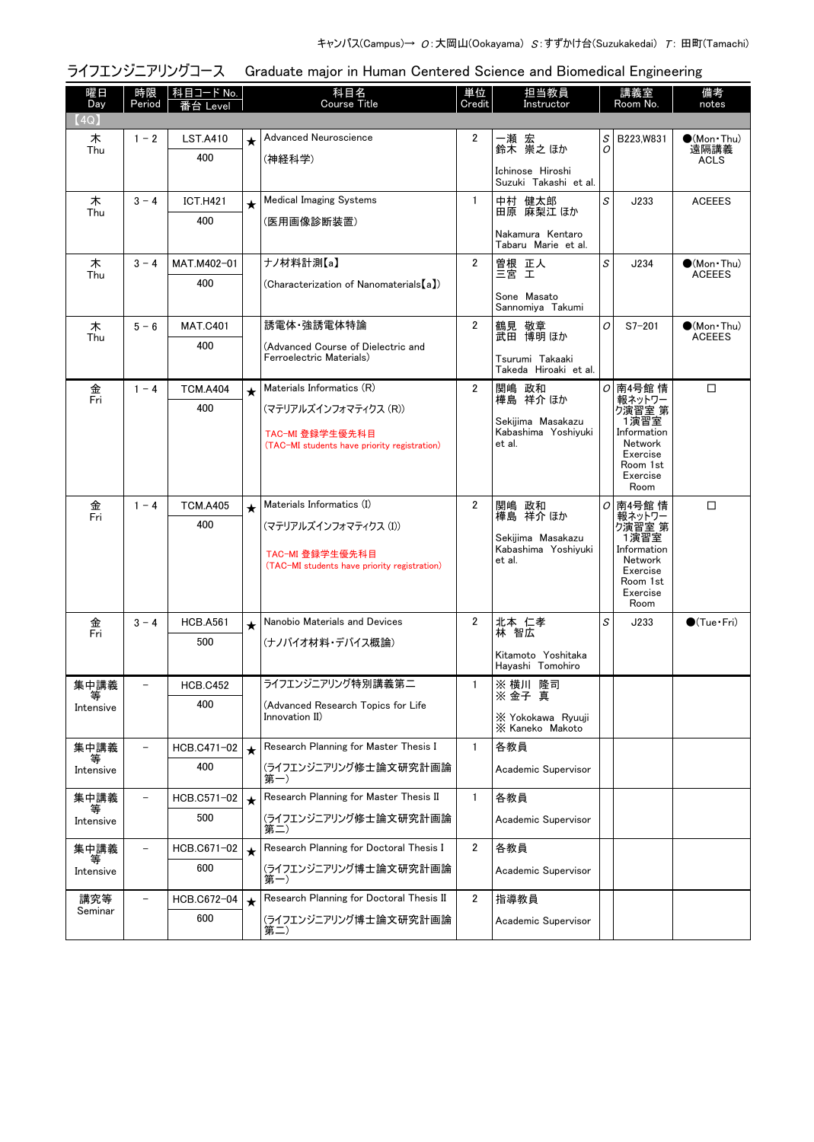| 曜日<br>Day | 時限<br>Period | 科目コード No.<br>番台 Level |         | 科目名<br><b>Course Title</b>                                      | 単位<br>Credit   | 担当教員<br>Instructor                        |        | 講義室<br>Room No.            | 備考<br>notes                          |
|-----------|--------------|-----------------------|---------|-----------------------------------------------------------------|----------------|-------------------------------------------|--------|----------------------------|--------------------------------------|
| 【4Q】      |              |                       |         |                                                                 |                |                                           |        |                            |                                      |
| 木<br>Thu  | $1 - 2$      | <b>LST.A410</b>       | $\star$ | Advanced Neuroscience                                           | $\overline{2}$ | 一瀬 宏<br>鈴木 崇之ほか                           | S<br>O | B223, W831                 | $\bullet$ (Mon•Thu)<br>遠隔講義          |
|           |              | 400                   |         | (神経科学)                                                          |                | Ichinose Hiroshi<br>Suzuki Takashi et al. |        |                            | <b>ACLS</b>                          |
| 木         | $3 - 4$      | <b>ICT.H421</b>       | $\star$ | <b>Medical Imaging Systems</b>                                  | $\mathbf{1}$   | 中村 健太郎                                    | S      | J233                       | <b>ACEEES</b>                        |
| Thu       |              | 400                   |         | (医用画像診断装置)                                                      |                | 田原 麻梨江 ほか                                 |        |                            |                                      |
|           |              |                       |         |                                                                 |                | Nakamura Kentaro<br>Tabaru Marie et al.   |        |                            |                                      |
| 木<br>Thu  | $3 - 4$      | MAT.M402-01           |         | ナノ材料計測【a】                                                       | $\overline{2}$ | 曽根 正人<br>三宮 工                             | S      | J234                       | $\bullet$ (Mon Thu)<br><b>ACEEES</b> |
|           |              | 400                   |         | (Characterization of Nanomaterials [a])                         |                | Sone Masato<br>Sannomiya Takumi           |        |                            |                                      |
| 木         | $5 - 6$      | <b>MAT.C401</b>       |         | 誘電体・強誘電体特論                                                      | $\overline{2}$ | 鶴見 敬章                                     | 0      | $S7 - 201$                 | $\bigcirc$ (Mon Thu)                 |
| Thu       |              | 400                   |         | (Advanced Course of Dielectric and                              |                | 武田 博明 ほか                                  |        |                            | <b>ACEEES</b>                        |
|           |              |                       |         | Ferroelectric Materials)                                        |                | Tsurumi Takaaki<br>Takeda Hiroaki et al.  |        |                            |                                      |
| 金<br>Fri  | $1 - 4$      | <b>TCM.A404</b>       | $\star$ | Materials Informatics (R)                                       | $\overline{2}$ | 関嶋 政和<br>樺島 祥介 ほか                         |        | o 南4号館 情<br>報ネットワー         | $\Box$                               |
|           |              | 400                   |         | (マテリアルズインフォマティクス (R))                                           |                | Sekijima Masakazu                         |        | - ベロック<br>- 1演習室<br>- 1演習室 |                                      |
|           |              |                       |         | TAC-MI 登録学生優先科目<br>(TAC-MI students have priority registration) |                | Kabashima Yoshiyuki<br>et al.             |        | Information<br>Network     |                                      |
|           |              |                       |         |                                                                 |                |                                           |        | Exercise<br>Room 1st       |                                      |
|           |              |                       |         |                                                                 |                |                                           |        | Exercise<br>Room           |                                      |
| 金         | $1 - 4$      | <b>TCM.A405</b>       | $\star$ | Materials Informatics (I)                                       | $\overline{2}$ | 関嶋 政和                                     | 0      | 南4号館 情                     | □                                    |
| Fri       |              | 400                   |         | (マテリアルズインフォマティクス (I))                                           |                | 祥介 ほか<br>樺島                               |        | 報ネットワー<br>ク演習室 第<br>1演習室   |                                      |
|           |              |                       |         | TAC-MI 登録学生優先科目                                                 |                | Sekijima Masakazu<br>Kabashima Yoshiyuki  |        | Information<br>Network     |                                      |
|           |              |                       |         | (TAC-MI students have priority registration)                    |                | et al.                                    |        | Exercise<br>Room 1st       |                                      |
|           |              |                       |         |                                                                 |                |                                           |        | Exercise<br>Room           |                                      |
| 金         | $3 - 4$      | <b>HCB.A561</b>       | $\star$ | Nanobio Materials and Devices                                   | $\overline{2}$ | 北本 仁孝                                     | S      | J233                       | $\bigcirc$ (Tue · Fri)               |
| Fri       |              | 500                   |         | (ナノバイオ材料・デバイス概論)                                                |                | 林 智広                                      |        |                            |                                      |
|           |              |                       |         |                                                                 |                | Kitamoto Yoshitaka<br>Havashi Tomohiro    |        |                            |                                      |
| 集中講義<br>等 |              | <b>HCB.C452</b>       |         | ライフエンジニアリング特別講義第二                                               | 1              | ※ 横川 降司<br>※ 金子 真                         |        |                            |                                      |
| Intensive |              | 400                   |         | (Advanced Research Topics for Life<br>Innovation II)            |                | X Yokokawa Ryuuji                         |        |                            |                                      |
|           |              |                       |         |                                                                 |                | X Kaneko Makoto                           |        |                            |                                      |
| 集中講義      |              | HCB.C471-02           | $\star$ | Research Planning for Master Thesis I                           | 1              | 各教員                                       |        |                            |                                      |
| Intensive |              | 400                   |         | (ライフエンジニアリング修士論文研究計画論<br>第一)                                    |                | Academic Supervisor                       |        |                            |                                      |
| 集中講義<br>等 |              | HCB.C571-02           | $\star$ | Research Planning for Master Thesis II                          | 1              | 各教員                                       |        |                            |                                      |
| Intensive |              | 500                   |         | (ライフエンジニアリング修士論文研究計画論<br>第二)                                    |                | Academic Supervisor                       |        |                            |                                      |
| 集中講義      |              | HCB.C671-02           | $\star$ | Research Planning for Doctoral Thesis I                         | 2              | 各教員                                       |        |                            |                                      |
| Intensive |              | 600                   |         | (ライフエンジニアリング博士論文研究計画論<br>第一)                                    |                | Academic Supervisor                       |        |                            |                                      |
| 講究等       |              | HCB.C672-04           | $\star$ | Research Planning for Doctoral Thesis II                        | $\overline{2}$ | 指導教員                                      |        |                            |                                      |
| Seminar   |              | 600                   |         | (ライフエンジニアリング博士論文研究計画論<br>第二)                                    |                | Academic Supervisor                       |        |                            |                                      |

## ライフエンジニアリングコース Graduate major in Human Centered Science and Biomedical Engineering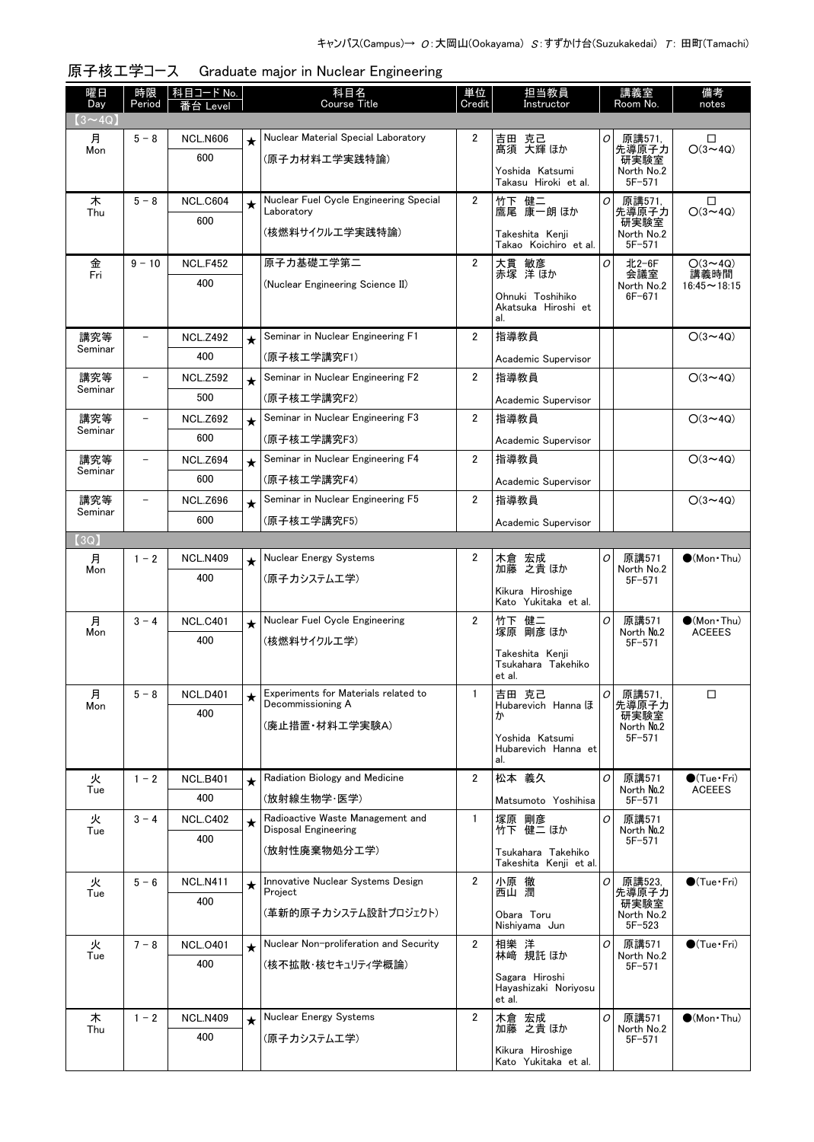| 曜日<br>Day      | 時限<br>Period             | 科目コード No.<br>Level |         | 科目名<br><b>Course Title</b>                                | 単位<br>Credit   | 担当教員<br>Instructor                           |   | 講義室<br>Room No.          | 備考<br>notes                |
|----------------|--------------------------|--------------------|---------|-----------------------------------------------------------|----------------|----------------------------------------------|---|--------------------------|----------------------------|
| $(3 \sim 4Q)$  |                          |                    |         |                                                           |                |                                              |   |                          |                            |
| 月              | $5 - 8$                  | <b>NCL.N606</b>    | $\star$ | Nuclear Material Special Laboratory                       | 2              | 吉田 克己                                        | 0 | 原講571,                   | □                          |
| Mon            |                          | 600                |         | (原子力材料工学実践特論)                                             |                | 髙須 大輝 ほか                                     |   | 先導原子力<br>研実験室            | $O(3 \sim 4Q)$             |
|                |                          |                    |         |                                                           |                | Yoshida Katsumi<br>Takasu Hiroki et al.      |   | North No.2<br>$5F - 571$ |                            |
| 木              | $5 - 8$                  | <b>NCL.C604</b>    | $\star$ | Nuclear Fuel Cycle Engineering Special                    | $\overline{2}$ | 竹下 健二                                        | 0 | 原講571,                   | $\Box$                     |
| Thu            |                          | 600                |         | Laboratory                                                |                | 鷹尾 康一朗 ほか                                    |   | 先導原子力<br>研実験室            | $O(3 \sim 4Q)$             |
|                |                          |                    |         | (核燃料サイクルエ学実践特論)                                           |                | Takeshita Kenji<br>Takao Koichiro et al.     |   | North No.2<br>$5F - 571$ |                            |
| 金<br>Fri       | $9 - 10$                 | <b>NCL.F452</b>    |         | 原子力基礎工学第二                                                 | $\overline{2}$ | 大貫 敏彦                                        | 0 | 北2-6F                    | $O(3 \sim 4Q)$             |
|                |                          | 400                |         | (Nuclear Engineering Science II)                          |                | 赤塚 洋ほか                                       |   | 会議室<br>North No.2        | 講義時間<br>$16:45 \sim 18:15$ |
|                |                          |                    |         |                                                           |                | Ohnuki Toshihiko<br>Akatsuka Hiroshi et      |   | $6F - 671$               |                            |
|                |                          |                    |         |                                                           |                | al.                                          |   |                          |                            |
| 講究等<br>Seminar | $\overline{\phantom{0}}$ | <b>NCL.Z492</b>    | $\star$ | Seminar in Nuclear Engineering F1                         | $\overline{2}$ | 指導教員                                         |   |                          | $O(3 \sim 4Q)$             |
|                |                          | 400                |         | (原子核工学講究F1)                                               |                | Academic Supervisor                          |   |                          |                            |
| 講究等<br>Seminar |                          | <b>NCL.Z592</b>    | $\star$ | Seminar in Nuclear Engineering F2                         | 2              | 指導教員                                         |   |                          | $O(3 \sim 4Q)$             |
|                |                          | 500                |         | (原子核工学講究F2)                                               |                | Academic Supervisor                          |   |                          |                            |
| 講究等<br>Seminar | $\overline{\phantom{0}}$ | <b>NCL.Z692</b>    | $\star$ | Seminar in Nuclear Engineering F3                         | $\overline{2}$ | 指導教員                                         |   |                          | $O(3 \sim 4Q)$             |
|                |                          | 600                |         | (原子核工学講究F3)                                               |                | Academic Supervisor                          |   |                          |                            |
| 講究等<br>Seminar | $\overline{\phantom{0}}$ | <b>NCL.Z694</b>    | $\star$ | Seminar in Nuclear Engineering F4                         | $\overline{2}$ | 指導教員                                         |   |                          | $O(3 \sim 4Q)$             |
|                |                          | 600                |         | (原子核工学講究F4)                                               |                | Academic Supervisor                          |   |                          |                            |
| 講究等<br>Seminar |                          | <b>NCL.Z696</b>    | $\star$ | Seminar in Nuclear Engineering F5                         | $\overline{2}$ | 指導教員                                         |   |                          | $O(3 \sim 4Q)$             |
|                |                          | 600                |         | (原子核工学講究F5)                                               |                | Academic Supervisor                          |   |                          |                            |
| (3Q)<br>月      | $1 - 2$                  | <b>NCL.N409</b>    |         | Nuclear Energy Systems                                    | 2              |                                              | Ο | 原講571                    | $\bigcirc$ (Mon Thu)       |
| Mon            |                          | 400                | $\star$ | (原子カシステムエ学)                                               |                | 木倉 宏成<br>加藤 之貴ほか                             |   | North No.2<br>$5F - 571$ |                            |
|                |                          |                    |         |                                                           |                | Kikura Hiroshige                             |   |                          |                            |
| 月              | $3 - 4$                  | <b>NCL.C401</b>    |         | Nuclear Fuel Cycle Engineering                            | $\overline{2}$ | Kato Yukitaka et al.                         | 0 | 原講571                    | $\bullet$ (Mon•Thu)        |
| Mon            |                          | 400                | $\star$ | (核燃料サイクルエ学)                                               |                | 竹下 健二<br>塚原 剛彦 ほか                            |   | North No.2               | <b>ACEEES</b>              |
|                |                          |                    |         |                                                           |                | Takeshita Kenji                              |   | $5F - 571$               |                            |
|                |                          |                    |         |                                                           |                | Tsukahara Takehiko<br>et al.                 |   |                          |                            |
| 月              | $5 - 8$                  | <b>NCL.D401</b>    | ★       | Experiments for Materials related to<br>Decommissioning A | -1             | 吉田 克己                                        | O | 原講571,                   | □                          |
| Mon            |                          | 400                |         |                                                           |                | Hubarevich Hanna ほ                           |   | 先導原子力<br>研実験室            |                            |
|                |                          |                    |         | (廃止措置·材料工学実験A)                                            |                | Yoshida Katsumi                              |   | North No.2<br>$5F - 571$ |                            |
|                |                          |                    |         |                                                           |                | Hubarevich Hanna et<br>al.                   |   |                          |                            |
| 火              | $1 - 2$                  | <b>NCL.B401</b>    |         | Radiation Biology and Medicine                            | $\overline{2}$ | 松本 義久                                        | 0 | 原講571                    | $\bigcirc$ (Tue · Fri)     |
| Tue            |                          | 400                |         | (放射線生物学·医学)                                               |                | Matsumoto Yoshihisa                          |   | North No.2<br>$5F - 571$ | <b>ACEEES</b>              |
| 火              | $3 - 4$                  | <b>NCL.C402</b>    | $\star$ | Radioactive Waste Management and<br>Disposal Engineering  | $\mathbf{1}$   | 塚原 剛彦<br>竹下 健二 ほか                            | O | 原講571                    |                            |
| Tue            |                          | 400                |         | (放射性廃棄物処分工学)                                              |                |                                              |   | North No.2<br>$5F - 571$ |                            |
|                |                          |                    |         |                                                           |                | Tsukahara Takehiko<br>Takeshita Kenji et al. |   |                          |                            |
| 火              | $5 - 6$                  | <b>NCL.N411</b>    | $\star$ | Innovative Nuclear Systems Design                         | 2              | 小原 徹                                         | Ο | 原講523,                   | $\bigcirc$ (Tue · Fri)     |
| Tue            |                          | 400                |         | Project                                                   |                | 西山 潤                                         |   | 先導原子力<br>研実験室            |                            |
|                |                          |                    |         | (革新的原子カシステム設計プロジェクト)                                      |                | Obara Toru<br>Nishiyama Jun                  |   | North No.2<br>$5F - 523$ |                            |
| 火              | $7 - 8$                  | <b>NCL.0401</b>    | $\star$ | Nuclear Non-proliferation and Security                    | $\overline{2}$ | 相樂 洋                                         | 0 | 原講571                    | $\bigcirc$ (Tue · Fri)     |
| Tue            |                          | 400                |         | (核不拡散・核セキュリティ学概論)                                         |                | 林﨑 規託 ほか                                     |   | North No.2<br>$5F - 571$ |                            |
|                |                          |                    |         |                                                           |                | Sagara Hiroshi<br>Hayashizaki Noriyosu       |   |                          |                            |
|                |                          |                    |         |                                                           |                | et al.                                       |   |                          |                            |
| 木<br>Thu       | $1 - 2$                  | <b>NCL.N409</b>    |         | Nuclear Energy Systems                                    | 2              | 木倉 宏成<br>加藤 之貴 ほか                            | 0 | 原講571<br>North No.2      | $\bigcirc$ (Mon Thu)       |
|                |                          | 400                |         | (原子カシステムエ学)                                               |                | Kikura Hiroshige                             |   | $5F - 571$               |                            |
|                |                          |                    |         |                                                           |                | Kato Yukitaka et al.                         |   |                          |                            |

| 原子核工学コース Graduate major in Nuclear Engineering |
|------------------------------------------------|
|------------------------------------------------|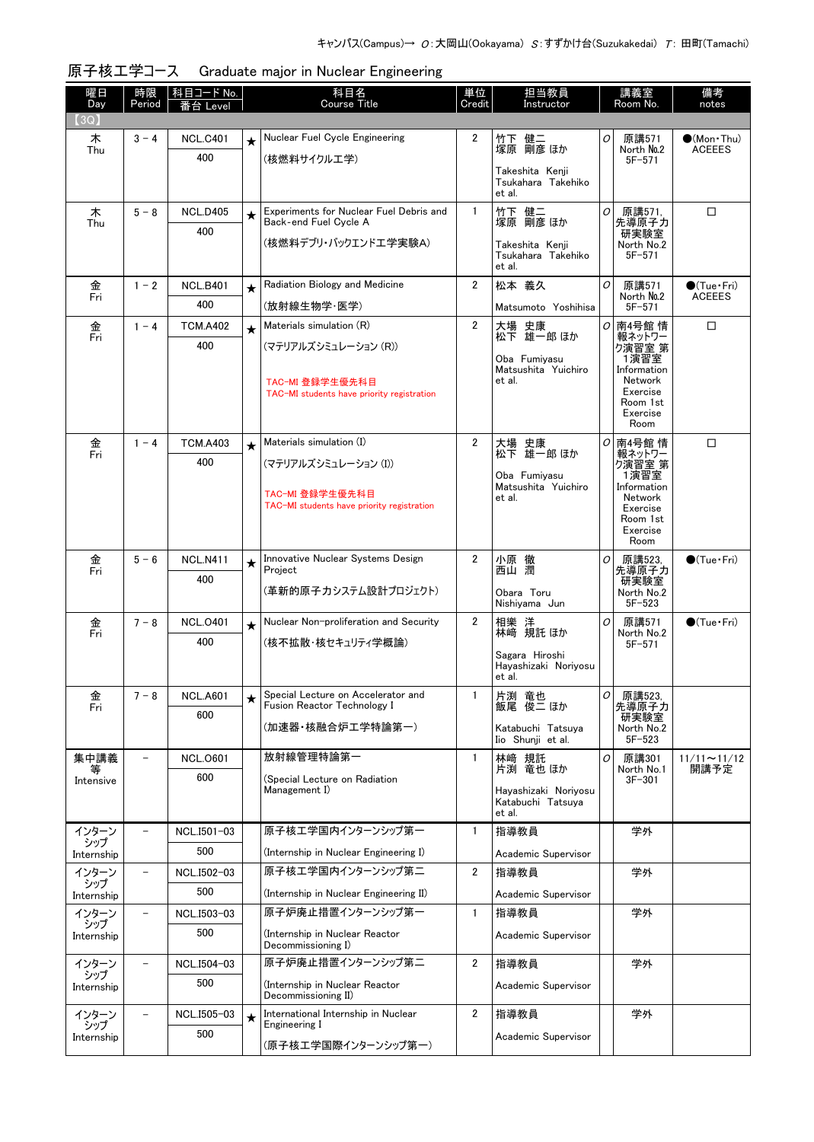| 曜日<br>Day         | 時限<br>Period             | <u> 科目コード No.  </u><br>番台 I evel |            | 科目名<br>Course Title                                               | 単位<br>Credit   | 担当教員<br>Instructor                        |   | 講義室<br>Room No.          | 備考<br>notes            |
|-------------------|--------------------------|----------------------------------|------------|-------------------------------------------------------------------|----------------|-------------------------------------------|---|--------------------------|------------------------|
| (3Q)              |                          |                                  |            |                                                                   |                |                                           |   |                          |                        |
| 木                 | $3 - 4$                  | <b>NCL.C401</b>                  | $\star$    | Nuclear Fuel Cycle Engineering                                    | 2              | 竹下 健二                                     | 0 | 原講571                    | $\bullet$ (Mon Thu)    |
| Thu               |                          | 400                              |            | (核燃料サイクルエ学)                                                       |                | 塚原 剛彦 ほか                                  |   | North No.2<br>$5F - 571$ | <b>ACEEES</b>          |
|                   |                          |                                  |            |                                                                   |                | Takeshita Kenji<br>Tsukahara Takehiko     |   |                          |                        |
|                   |                          |                                  |            |                                                                   |                | et al.                                    |   |                          |                        |
| 木<br>Thu          | $5 - 8$                  | <b>NCL.D405</b>                  | $\star$    | Experiments for Nuclear Fuel Debris and<br>Back-end Fuel Cycle A  | $\mathbf{1}$   | 竹下 健二<br>塚原 剛彦 ほか                         | 0 | 原講571,<br>先導原子力          | □                      |
|                   |                          | 400                              |            | (核燃料デブリ・バックエンドエ学実験A)                                              |                | Takeshita Kenji                           |   | 研実験室<br>North No.2       |                        |
|                   |                          |                                  |            |                                                                   |                | Tsukahara Takehiko<br>et al.              |   | $5F - 571$               |                        |
| 金                 | $1 - 2$                  | <b>NCL.B401</b>                  | $\star$    | Radiation Biology and Medicine                                    | $\overline{2}$ | 松本 義久                                     | 0 | 原講571                    | $\bigcirc$ (Tue · Fri) |
| Fri               |                          | 400                              |            | (放射線生物学·医学)                                                       |                | Matsumoto Yoshihisa                       |   | North No.2<br>$5F - 571$ | <b>ACEEES</b>          |
| 金                 | $1 - 4$                  | <b>TCM.A402</b>                  | $\star$    | Materials simulation (R)                                          | $\overline{2}$ |                                           | 0 | 南4号館 情                   | □                      |
| Fri               |                          | 400                              |            | (マテリアルズシミュレーション (R))                                              |                | 大場 史康<br>松下 雄一郎 ほか                        |   | 報ネットワー<br>ク演習室 第         |                        |
|                   |                          |                                  |            |                                                                   |                | Oba Fumiyasu                              |   | 1演習室                     |                        |
|                   |                          |                                  |            | TAC-MI 登録学生優先科目                                                   |                | Matsushita Yuichiro<br>et al.             |   | Information<br>Network   |                        |
|                   |                          |                                  |            | TAC-MI students have priority registration                        |                |                                           |   | Exercise<br>Room 1st     |                        |
|                   |                          |                                  |            |                                                                   |                |                                           |   | Exercise<br>Room         |                        |
| 金                 | $1 - 4$                  | <b>TCM.A403</b>                  | $\star$    | Materials simulation (I)                                          | $\overline{2}$ | 大場<br>史康                                  | 0 | 南4号館 情                   | □                      |
| Fri               |                          | 400                              |            | (マテリアルズシミュレーション (I))                                              |                | 松下 雄一郎 ほか                                 |   | 報ネットワー<br>ク演習室 第         |                        |
|                   |                          |                                  |            |                                                                   |                | Oba Fumiyasu<br>Matsushita Yuichiro       |   | 1演習室<br>Information      |                        |
|                   |                          |                                  |            | TAC-MI 登録学生優先科目                                                   |                | et al.                                    |   | Network                  |                        |
|                   |                          |                                  |            | TAC-MI students have priority registration                        |                |                                           |   | Exercise<br>Room 1st     |                        |
|                   |                          |                                  |            |                                                                   |                |                                           |   | Exercise<br>Room         |                        |
| 金                 | $5 - 6$                  | <b>NCL.N411</b>                  | $\star$    | Innovative Nuclear Systems Design                                 | 2              | 小原 徹                                      | O | 原講523,                   | $\bigcirc$ (Tue Fri)   |
| Fri               |                          | 400                              |            | Project                                                           |                | 西山潤                                       |   | 先導原子力<br>研実験室            |                        |
|                   |                          |                                  |            | (革新的原子カシステム設計プロジェクト)                                              |                | Obara Toru<br>Nishiyama Jun               |   | North No.2<br>$5F - 523$ |                        |
| 金                 | $7 - 8$                  | <b>NCL.0401</b>                  | $\star$    | Nuclear Non-proliferation and Security                            | $\mathbf{2}$   |                                           | 0 | 原講571                    | $\bigcirc$ (Tue·Fri)   |
| Fri               |                          | 400                              |            | (核不拡散・核セキュリティ学概論)                                                 |                | 相樂 洋<br>林﨑 規託ほか                           |   | North No.2<br>$5F - 571$ |                        |
|                   |                          |                                  |            |                                                                   |                | Sagara Hiroshi<br>Hayashizaki Noriyosu    |   |                          |                        |
|                   |                          |                                  |            |                                                                   |                | et al.                                    |   |                          |                        |
| 金                 | $7 - 8$                  | <b>NCL.A601</b>                  | ★          | Special Lecture on Accelerator and<br>Fusion Reactor Technology I |                | 片渕 竜也<br>飯尾 俊二 ほか                         | 0 | 原講523,                   |                        |
| Fri               |                          | 600                              |            |                                                                   |                |                                           |   | 先導原子力<br>研実験室            |                        |
|                   |                          |                                  |            | (加速器・核融合炉工学特論第一)                                                  |                | Katabuchi Tatsuya<br>Iio Shunji et al.    |   | North No.2<br>$5F - 523$ |                        |
| 集中講義              | $\overline{\phantom{0}}$ | <b>NCL.0601</b>                  |            | 放射線管理特論第一                                                         | $\mathbf{1}$   | 林崎 規託                                     | 0 | 原講301                    | $11/11 \sim 11/12$     |
| 等<br>Intensive    |                          | 600                              |            | (Special Lecture on Radiation                                     |                | 片渕 竜也 ほか                                  |   | North No.1<br>$3F - 301$ | 開講予定                   |
|                   |                          |                                  |            | Management I)                                                     |                | Hayashizaki Noriyosu<br>Katabuchi Tatsuya |   |                          |                        |
|                   |                          |                                  |            |                                                                   |                | et al.                                    |   |                          |                        |
| インターン<br>シップ      |                          | NCL.I501-03                      |            | 原子核エ学国内インターンシップ第一                                                 | $\mathbf{1}$   | 指導教員                                      |   | 学外                       |                        |
| Internship        |                          | 500                              |            | (Internship in Nuclear Engineering I)                             |                | Academic Supervisor                       |   |                          |                        |
| インターン<br>シップ      | $\overline{\phantom{a}}$ | NCL.I502-03                      |            | 原子核工学国内インターンシップ第二                                                 | $\overline{2}$ | 指導教員                                      |   | 学外                       |                        |
| Internship        |                          | 500                              |            | (Internship in Nuclear Engineering II)                            |                | Academic Supervisor                       |   |                          |                        |
| インターン<br>シップ      |                          | NCL.I503-03                      |            | 原子炉廃止措置インターンシップ第一                                                 | 1              | 指導教員                                      |   | 学外                       |                        |
| Internship        |                          | 500                              |            | (Internship in Nuclear Reactor<br>Decommissioning I)              |                | Academic Supervisor                       |   |                          |                        |
| インターン             |                          | NCL.I504-03                      |            | 原子炉廃止措置インターンシップ第二                                                 | 2              | 指導教員                                      |   | 学外                       |                        |
| シップ<br>Internship |                          | 500                              |            | (Internship in Nuclear Reactor                                    |                | Academic Supervisor                       |   |                          |                        |
|                   |                          |                                  |            | Decommissioning II)                                               |                |                                           |   |                          |                        |
| インターン<br>シップ      |                          | NCL.I505-03                      | $\bigstar$ | International Internship in Nuclear<br>Engineering I              | 2              | 指導教員                                      |   | 学外                       |                        |
| Internship        |                          | 500                              |            | (原子核工学国際インターンシップ第一)                                               |                | Academic Supervisor                       |   |                          |                        |
|                   |                          |                                  |            |                                                                   |                |                                           |   |                          |                        |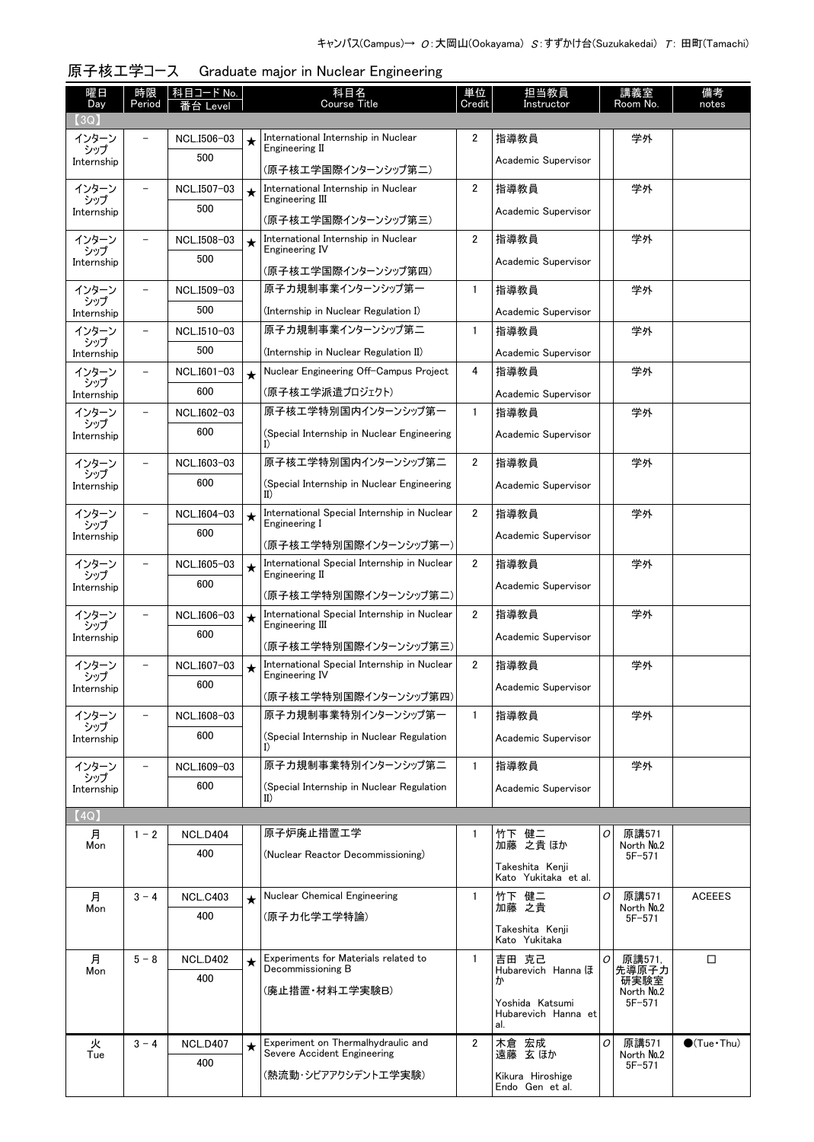| 曜日<br>Day           | 時限                       | 科目コード No.          |            | 科目名<br><b>Course Title</b>                                           | 単位             | 担当教員                                    |   | 講義室                      | 備考                     |
|---------------------|--------------------------|--------------------|------------|----------------------------------------------------------------------|----------------|-----------------------------------------|---|--------------------------|------------------------|
| (3Q)                | Period                   | ≸台 Level           |            |                                                                      | Credit         | Instructor                              |   | Room No.                 | notes                  |
| インターン               |                          | NCL.I506-03        | $\star$    | International Internship in Nuclear                                  | 2              | 指導教員                                    |   | 学外                       |                        |
| シップ<br>Internship   |                          | 500                |            | Engineering II<br>(原子核工学国際インターンシップ第二)                                |                | Academic Supervisor                     |   |                          |                        |
| インターン               |                          | NCL.I507-03        | $\star$    | International Internship in Nuclear<br>Engineering III               | $\overline{2}$ | 指導教員                                    |   | 学外                       |                        |
| シップ<br>Internship   |                          | 500                |            | (原子核工学国際インターンシップ第三)                                                  |                | Academic Supervisor                     |   |                          |                        |
| インターン               | $\overline{\phantom{0}}$ | NCL.I508-03        | $\star$    | International Internship in Nuclear                                  | 2              | 指導教員                                    |   | 学外                       |                        |
| シップ<br>Internship   |                          | 500                |            | Engineering IV                                                       |                | Academic Supervisor                     |   |                          |                        |
|                     | $\overline{\phantom{a}}$ |                    |            | (原子核工学国際インターンシップ第四)<br>原子力規制事業インターンシップ第一                             | 1              |                                         |   |                          |                        |
| インターン<br>シップ        |                          | NCL.I509-03<br>500 |            | (Internship in Nuclear Regulation I)                                 |                | 指導教員                                    |   | 学外                       |                        |
| Internship<br>インターン | $\overline{\phantom{a}}$ | NCL.I510-03        |            | 原子力規制事業インターンシップ第二                                                    | $\mathbf{1}$   | Academic Supervisor<br>指導教員             |   | 学外                       |                        |
| シップ                 |                          | 500                |            | (Internship in Nuclear Regulation II)                                |                |                                         |   |                          |                        |
| Internship<br>インターン | $\overline{\phantom{0}}$ | NCL.I601-03        |            | Nuclear Engineering Off-Campus Project                               | 4              | Academic Supervisor<br>指導教員             |   | 学外                       |                        |
| シップ                 |                          | 600                | $\star$    | (原子核工学派遣プロジェクト)                                                      |                | Academic Supervisor                     |   |                          |                        |
| Internship<br>インターン | $\overline{\phantom{a}}$ | NCL.I602-03        |            | 原子核工学特別国内インターンシップ第一                                                  | 1              | 指導教員                                    |   | 学外                       |                        |
| シップ<br>Internship   |                          | 600                |            | (Special Internship in Nuclear Engineering                           |                | Academic Supervisor                     |   |                          |                        |
|                     |                          |                    |            | I)                                                                   |                |                                         |   |                          |                        |
| インターン<br>シップ        | $\overline{\phantom{a}}$ | NCL.I603-03        |            | 原子核工学特別国内インターンシップ第二                                                  | $\overline{2}$ | 指導教員                                    |   | 学外                       |                        |
| Internship          |                          | 600                |            | (Special Internship in Nuclear Engineering<br>$\mathbf{II}$          |                | Academic Supervisor                     |   |                          |                        |
| インターン<br>シップ        |                          | NCL.I604-03        | $\star$    | International Special Internship in Nuclear<br>Engineering I         | 2              | 指導教員                                    |   | 学外                       |                        |
| Internship          |                          | 600                |            | (原子核工学特別国際インターンシップ第一)                                                |                | Academic Supervisor                     |   |                          |                        |
| インターン               |                          | NCL.I605-03        | $\star$    | International Special Internship in Nuclear                          | $\overline{2}$ | 指導教員                                    |   | 学外                       |                        |
| シップ<br>Internship   |                          | 600                |            | Engineering II                                                       |                | Academic Supervisor                     |   |                          |                        |
| インターン               | -                        | NCL.I606-03        | $\star$    | (原子核工学特別国際インターンシップ第二)<br>International Special Internship in Nuclear | $\overline{2}$ | 指導教員                                    |   | 学外                       |                        |
| シップ<br>Internship   |                          | 600                |            | Engineering III                                                      |                | Academic Supervisor                     |   |                          |                        |
|                     |                          |                    |            | (原子核工学特別国際インターンシップ第三)                                                |                |                                         |   |                          |                        |
| インターン<br>シップ        | -                        | NCL.I607-03        | $\star$    | International Special Internship in Nuclear<br>Engineering IV        | $\overline{2}$ | 指導教員                                    |   | 学外                       |                        |
| Internship          |                          | 600                |            | (原子核工学特別国際インターンシップ第四)                                                |                | Academic Supervisor                     |   |                          |                        |
| インターン               |                          | NCL.I608-03        |            | 原子力規制事業特別インターンシップ第一                                                  | $\mathbf{1}$   | 指導教員                                    |   | 学外                       |                        |
| シップ<br>Internship   |                          | 600                |            | (Special Internship in Nuclear Regulation<br>I)                      |                | Academic Supervisor                     |   |                          |                        |
| インターン               |                          | NCL.I609-03        |            | 原子力規制事業特別インターンシップ第二                                                  | $\mathbf{1}$   | 指導教員                                    |   | 学外                       |                        |
| シップ<br>Internship   |                          | 600                |            | (Special Internship in Nuclear Regulation<br>$_{II}$                 |                | Academic Supervisor                     |   |                          |                        |
| (4Q)                |                          |                    |            |                                                                      |                |                                         |   |                          |                        |
| 月                   | $1 - 2$                  | <b>NCL.D404</b>    |            | 原子炉廃止措置工学                                                            | 1              | 竹下 健二                                   | 0 | 原講571                    |                        |
| Mon                 |                          | 400                |            | (Nuclear Reactor Decommissioning)                                    |                | 加藤 之貴 ほか                                |   | North No.2<br>$5F - 571$ |                        |
|                     |                          |                    |            |                                                                      |                | Takeshita Kenji<br>Kato Yukitaka et al. |   |                          |                        |
| 月                   | $3 - 4$                  | <b>NCL.C403</b>    | $\star$    | Nuclear Chemical Engineering                                         | 1              | 竹下 健二                                   | 0 | 原講571                    | <b>ACEEES</b>          |
| Mon                 |                          | 400                |            | (原子力化学工学特論)                                                          |                | 加藤 之貴                                   |   | North No.2<br>$5F - 571$ |                        |
|                     |                          |                    |            |                                                                      |                | Takeshita Kenji<br>Kato Yukitaka        |   |                          |                        |
| 月                   | $5 - 8$                  | <b>NCL.D402</b>    | $\bigstar$ | Experiments for Materials related to<br>Decommissioning B            | $\mathbf{1}$   | 吉田 克己                                   | 0 | 原講571,                   | □                      |
| Mon                 |                          | 400                |            |                                                                      |                | Hubarevich Hanna ほ<br>ゕ                 |   | 先導原子力<br>研実験室            |                        |
|                     |                          |                    |            | (廃止措置・材料工学実験B)                                                       |                | Yoshida Katsumi                         |   | North No.2<br>$5F - 571$ |                        |
|                     |                          |                    |            |                                                                      |                | Hubarevich Hanna et<br>al.              |   |                          |                        |
| 火<br>Tue            | $3 - 4$                  | <b>NCL.D407</b>    | $\star$    | Experiment on Thermalhydraulic and<br>Severe Accident Engineering    | $\overline{2}$ | 木倉 宏成<br>遠藤 玄ほか                         | 0 | 原講571<br>North No.2      | $\bigcirc$ (Tue · Thu) |
|                     |                          | 400                |            | (熱流動・シビアアクシデントエ学実験)                                                  |                | Kikura Hiroshige                        |   | $5F - 571$               |                        |
|                     |                          |                    |            |                                                                      |                | Endo Gen et al.                         |   |                          |                        |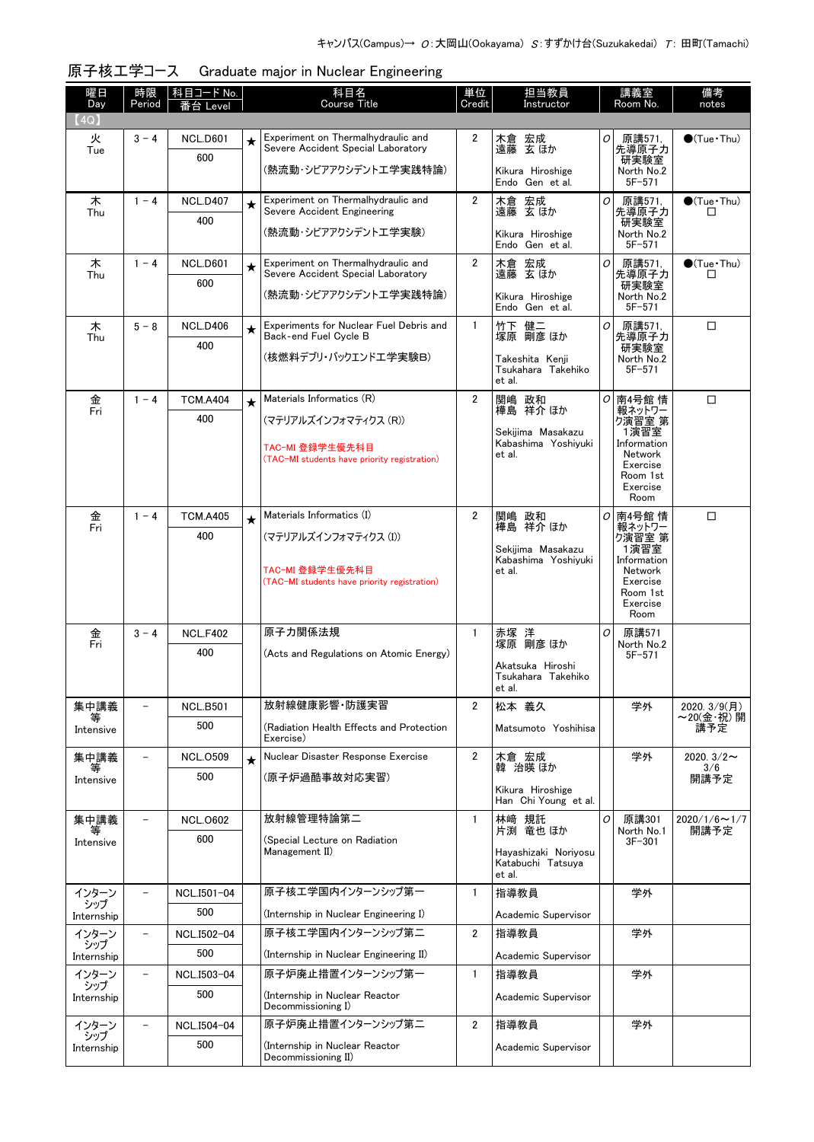| 曜日<br>Day         | 時限<br>Period             | 科目コード No.<br>番台 Level  |         | 科目名<br><b>Course Title</b>                                               | 単位<br>Credit   | 担当教員<br>Instructor                       |          | 講義室<br>Room No.                           | 備考<br>notes                 |
|-------------------|--------------------------|------------------------|---------|--------------------------------------------------------------------------|----------------|------------------------------------------|----------|-------------------------------------------|-----------------------------|
| 【4Q】              |                          |                        |         |                                                                          |                |                                          |          |                                           |                             |
| 火<br>Tue          | $3 - 4$                  | <b>NCL.D601</b><br>600 | $\star$ | Experiment on Thermalhydraulic and<br>Severe Accident Special Laboratory | $\mathbf{2}$   | 木倉 宏成<br>遠藤 玄ほか                          | 0        | 原講571,<br>先導原子力                           | $\bigcirc$ (Tue · Thu)      |
|                   |                          |                        |         | (熱流動・シビアアクシデントエ学実践特論)                                                    |                | Kikura Hiroshige<br>Endo Gen et al.      |          | 研実験室<br>North No.2<br>$5F - 571$          |                             |
| 木                 | $1 - 4$                  | <b>NCL.D407</b>        | $\star$ | Experiment on Thermalhydraulic and<br>Severe Accident Engineering        | $\overline{2}$ | 木倉 宏成<br>遠藤 玄ほか                          | 0        | 原講571,                                    | $\bullet$ (Tue Thu)         |
| Thu               |                          | 400                    |         | (熱流動・シビアアクシデントエ学実験)                                                      |                | Kikura Hiroshige<br>Endo Gen et al.      |          | 先導原子力<br>研実験室<br>North No.2<br>$5F - 571$ | □                           |
| 木                 | $1 - 4$                  | <b>NCL.D601</b>        | $\star$ | Experiment on Thermalhydraulic and                                       | 2              | 木倉 宏成                                    | 0        | 原講571.                                    | $\bullet$ (Tue · Thu)       |
| Thu               |                          | 600                    |         | Severe Accident Special Laboratory                                       |                | 遠藤 玄ほか                                   |          | 先導原子力<br>研実験室                             | □                           |
|                   |                          |                        |         | (熱流動・シビアアクシデントエ学実践特論)                                                    |                | Kikura Hiroshige<br>Endo Gen et al.      |          | North No.2<br>$5F - 571$                  |                             |
| 木<br>Thu          | $5 - 8$                  | <b>NCL.D406</b>        | $\star$ | Experiments for Nuclear Fuel Debris and<br>Back-end Fuel Cycle B         | $\mathbf{1}$   | 竹下 健二<br>塚原 剛彦 ほか                        | 0        | 原講571.<br>先導原子力                           | □                           |
|                   |                          | 400                    |         | (核燃料デブリ・バックエンドエ学実験B)                                                     |                | Takeshita Kenii                          |          | 研実験室                                      |                             |
|                   |                          |                        |         |                                                                          |                | Tsukahara Takehiko<br>et al.             |          | North No.2<br>$5F - 571$                  |                             |
| 金<br>Fri          | $1 - 4$                  | <b>TCM.A404</b>        | $\star$ | Materials Informatics (R)                                                | $\overline{2}$ | 関嶋 政和<br>樺島 祥介 ほか                        | $\sigma$ | 南4号館 情<br>報ネットワー                          | $\Box$                      |
|                   |                          | 400                    |         | (マテリアルズインフォマティクス (R))                                                    |                |                                          |          | ク演習室 第                                    |                             |
|                   |                          |                        |         | TAC-MI 登録学生優先科目                                                          |                | Sekijima Masakazu<br>Kabashima Yoshiyuki |          | 1演習室<br>Information                       |                             |
|                   |                          |                        |         | (TAC-MI students have priority registration)                             |                | et al.                                   |          | Network<br>Exercise                       |                             |
|                   |                          |                        |         |                                                                          |                |                                          |          | Room 1st<br>Exercise                      |                             |
|                   |                          |                        |         |                                                                          |                |                                          |          | Room                                      |                             |
| 金<br>Fri          | $1 - 4$                  | <b>TCM.A405</b>        | $\star$ | Materials Informatics (I)                                                | $\overline{2}$ | 関嶋 政和<br>樺島 祥介 ほか                        | 0        | 南4号館情<br>報ネットワー                           | □                           |
|                   |                          | 400                    |         | (マテリアルズインフォマティクス(I))                                                     |                |                                          |          | ク演習室 第                                    |                             |
|                   |                          |                        |         |                                                                          |                | Sekijima Masakazu<br>Kabashima Yoshiyuki |          | 1演習室<br>Information                       |                             |
|                   |                          |                        |         | TAC-MI 登録学生優先科目<br>(TAC-MI students have priority registration)          |                | et al.                                   |          | Network<br>Exercise                       |                             |
|                   |                          |                        |         |                                                                          |                |                                          |          | Room 1st<br>Exercise                      |                             |
|                   |                          |                        |         |                                                                          |                |                                          |          | Room                                      |                             |
| 金<br>Fri          | $3 - 4$                  | <b>NCL.F402</b>        |         | 原子力関係法規                                                                  | $\mathbf{1}$   | 赤塚 洋<br>塚原 剛彦 ほか                         | 0        | 原講571<br>North No.2                       |                             |
|                   |                          | 400                    |         | (Acts and Regulations on Atomic Energy)                                  |                |                                          |          | $5F - 571$                                |                             |
|                   |                          |                        |         |                                                                          |                | Akatsuka Hiroshi<br>Tsukahara Takehiko   |          |                                           |                             |
|                   |                          |                        |         |                                                                          |                | et al.                                   |          |                                           |                             |
| 集中講義              |                          | <b>NCL.B501</b>        |         | 放射線健康影響 防護実習                                                             | $\overline{2}$ | 松本 義久                                    |          | 学外                                        | 2020. 3/9(月)<br>~20(金·祝) 開  |
| Intensive         |                          | 500                    |         | (Radiation Health Effects and Protection<br>Exercise)                    |                | Matsumoto Yoshihisa                      |          |                                           | 講予定                         |
| 集中講義<br>等         | $\overline{\phantom{a}}$ | <b>NCL.0509</b>        | $\star$ | Nuclear Disaster Response Exercise                                       | $\overline{2}$ | 木倉 宏成<br>韓 治暎 ほか                         |          | 学外                                        | 2020. $3/2 \sim$<br>3/6     |
| Intensive         |                          | 500                    |         | (原子炉過酷事故対応実習)                                                            |                | Kikura Hiroshige                         |          |                                           | 開講予定                        |
|                   |                          |                        |         |                                                                          |                | Han Chi Young et al.                     |          |                                           |                             |
| 集中講義<br>等         | $\qquad \qquad -$        | <b>NCL.0602</b>        |         | 放射線管理特論第二                                                                | $\mathbf{1}$   | 林崎 規託<br>片渕 竜也ほか                         | 0        | 原講301<br>North No.1                       | $2020/1/6 \sim 1/7$<br>開講予定 |
| Intensive         |                          | 600                    |         | (Special Lecture on Radiation<br>Management II)                          |                | Hayashizaki Noriyosu                     |          | $3F - 301$                                |                             |
|                   |                          |                        |         |                                                                          |                | Katabuchi Tatsuya                        |          |                                           |                             |
| インターン             |                          | NCL.I501-04            |         | 原子核エ学国内インターンシップ第一                                                        | $\mathbf{1}$   | et al.<br>指導教員                           |          | 学外                                        |                             |
| シップ               |                          | 500                    |         |                                                                          |                |                                          |          |                                           |                             |
| Internship        | $\qquad \qquad -$        |                        |         | (Internship in Nuclear Engineering I)<br>原子核エ学国内インターンシップ第二               | 2              | Academic Supervisor                      |          | 学外                                        |                             |
| インターン<br>シップ      |                          | NCL.I502-04<br>500     |         |                                                                          |                | 指導教員                                     |          |                                           |                             |
| Internship        |                          |                        |         | (Internship in Nuclear Engineering II)<br>原子炉廃止措置インターンシップ第一              |                | Academic Supervisor                      |          |                                           |                             |
| インターン<br>シップ      | $\qquad \qquad -$        | NCL.I503-04            |         |                                                                          | $\mathbf{1}$   | 指導教員                                     |          | 学外                                        |                             |
| Internship        |                          | 500                    |         | (Internship in Nuclear Reactor<br>Decommissioning I)                     |                | Academic Supervisor                      |          |                                           |                             |
| インターン             | $\overline{\phantom{a}}$ | NCL.I504-04            |         | 原子炉廃止措置インターンシップ第二                                                        | $\overline{2}$ | 指導教員                                     |          | 学外                                        |                             |
| シップ<br>Internship |                          | 500                    |         | (Internship in Nuclear Reactor                                           |                | Academic Supervisor                      |          |                                           |                             |
|                   |                          |                        |         | Decommissioning II)                                                      |                |                                          |          |                                           |                             |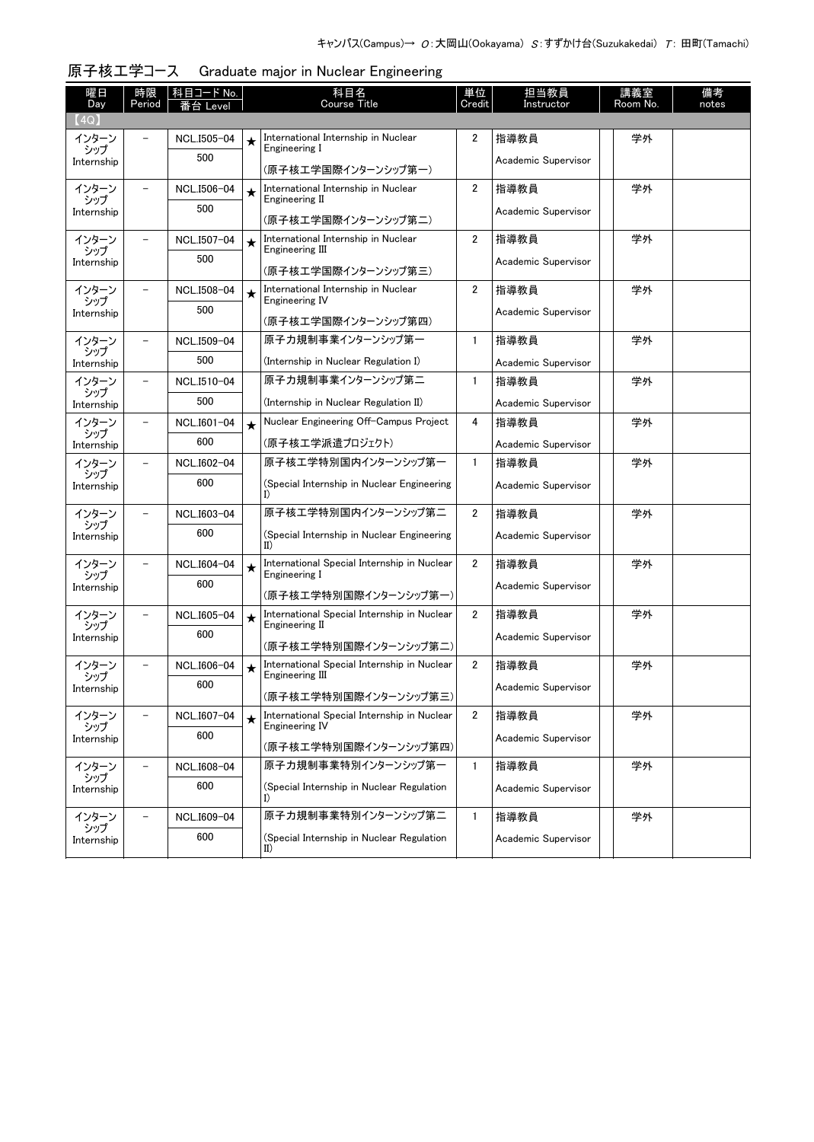| 曜日<br>Day         | 時限<br>Period             | 科目コード No.<br>i台 Level |         | 科目名<br><b>Course Title</b>                                    | 単位<br>Credit   | 担当教員<br>Instructor  | 講義室<br>Room No. | 備考<br>notes |
|-------------------|--------------------------|-----------------------|---------|---------------------------------------------------------------|----------------|---------------------|-----------------|-------------|
| (4Q)              |                          |                       |         |                                                               |                |                     |                 |             |
| インターン<br>シップ      |                          | NCL.I505-04           | $\star$ | International Internship in Nuclear<br>Engineering I          | 2              | 指導教員                | 学外              |             |
| Internship        |                          | 500                   |         | (原子核工学国際インターンシップ第一)                                           |                | Academic Supervisor |                 |             |
| インターン<br>シップ      |                          | NCL.I506-04           | $\star$ | International Internship in Nuclear<br>Engineering II         | $\overline{2}$ | 指導教員                | 学外              |             |
| Internship        |                          | 500                   |         | (原子核工学国際インターンシップ第二)                                           |                | Academic Supervisor |                 |             |
| インターン             | $\overline{\phantom{0}}$ | NCL.I507-04           | $\star$ | International Internship in Nuclear                           | 2              | 指導教員                | 学外              |             |
| シップ<br>Internship |                          | 500                   |         | Engineering III                                               |                | Academic Supervisor |                 |             |
|                   |                          |                       |         | (原子核工学国際インターンシップ第三)                                           |                |                     |                 |             |
| インターン<br>シップ      | $\overline{\phantom{a}}$ | NCL.I508-04<br>500    | $\star$ | International Internship in Nuclear<br>Engineering IV         | 2              | 指導教員                | 学外              |             |
| Internship        |                          |                       |         | (原子核工学国際インターンシップ第四)                                           |                | Academic Supervisor |                 |             |
| インターン<br>シップ      | $\overline{\phantom{0}}$ | NCL.I509-04           |         | 原子力規制事業インターンシップ第一                                             | 1              | 指導教員                | 学外              |             |
| Internship        |                          | 500                   |         | (Internship in Nuclear Regulation I)                          |                | Academic Supervisor |                 |             |
| インターン<br>シップ      | $\overline{\phantom{0}}$ | NCL.I510-04           |         | 原子力規制事業インターンシップ第二                                             | $\mathbf{1}$   | 指導教員                | 学外              |             |
| Internship        |                          | 500                   |         | (Internship in Nuclear Regulation II)                         |                | Academic Supervisor |                 |             |
| インターン<br>シップ      | $\overline{\phantom{0}}$ | NCL.I601-04           | $\star$ | Nuclear Engineering Off-Campus Project                        | 4              | 指導教員                | 学外              |             |
| Internship        |                          | 600                   |         | (原子核エ学派遣プロジェクト)                                               |                | Academic Supervisor |                 |             |
| インターン<br>シップ      | $\overline{\phantom{a}}$ | NCL.I602-04           |         | 原子核工学特別国内インターンシップ第一                                           | $\mathbf{1}$   | 指導教員                | 学外              |             |
| Internship        |                          | 600                   |         | (Special Internship in Nuclear Engineering<br>I)              |                | Academic Supervisor |                 |             |
| インターン<br>シップ      |                          | NCL.I603-04           |         | 原子核工学特別国内インターンシップ第二                                           | $\overline{2}$ | 指導教員                | 学外              |             |
| Internship        |                          | 600                   |         | (Special Internship in Nuclear Engineering<br>II)             |                | Academic Supervisor |                 |             |
| インターン<br>シップ      |                          | NCL.I604-04           | $\star$ | International Special Internship in Nuclear<br>Engineering I  | $\overline{2}$ | 指導教員                | 学外              |             |
| Internship        |                          | 600                   |         | (原子核工学特別国際インターンシップ第一)                                         |                | Academic Supervisor |                 |             |
| インターン             | -                        | NCL.I605-04           | $\star$ | International Special Internship in Nuclear                   | $\overline{2}$ | 指導教員                | 学外              |             |
| シップ<br>Internship |                          | 600                   |         | Engineering II<br>(原子核工学特別国際インターンシップ第二)                       |                | Academic Supervisor |                 |             |
| インターン             | -                        | NCL.I606-04           | $\star$ | International Special Internship in Nuclear                   | $\overline{2}$ | 指導教員                | 学外              |             |
| シップ<br>Internship |                          | 600                   |         | Engineering III                                               |                | Academic Supervisor |                 |             |
|                   |                          |                       |         | (原子核工学特別国際インターンシップ第三)                                         |                |                     |                 |             |
| インターン<br>シップ      |                          | NCL.I607-04           | $\star$ | International Special Internship in Nuclear<br>Engineering IV | $\overline{2}$ | 指導教員                | 学外              |             |
| Internship        |                          | 600                   |         | (原子核工学特別国際インターンシップ第四)                                         |                | Academic Supervisor |                 |             |
| インターン<br>シップ      |                          | NCL.I608-04           |         | 原子力規制事業特別インターンシップ第一                                           | 1              | 指導教員                | 学外              |             |
| Internship        |                          | 600                   |         | (Special Internship in Nuclear Regulation<br>I)               |                | Academic Supervisor |                 |             |
| インターン             |                          | NCL.I609-04           |         | 原子力規制事業特別インターンシップ第二                                           | 1              | 指導教員                | 学外              |             |
| シップ<br>Internship |                          | 600                   |         | (Special Internship in Nuclear Regulation<br>II)              |                | Academic Supervisor |                 |             |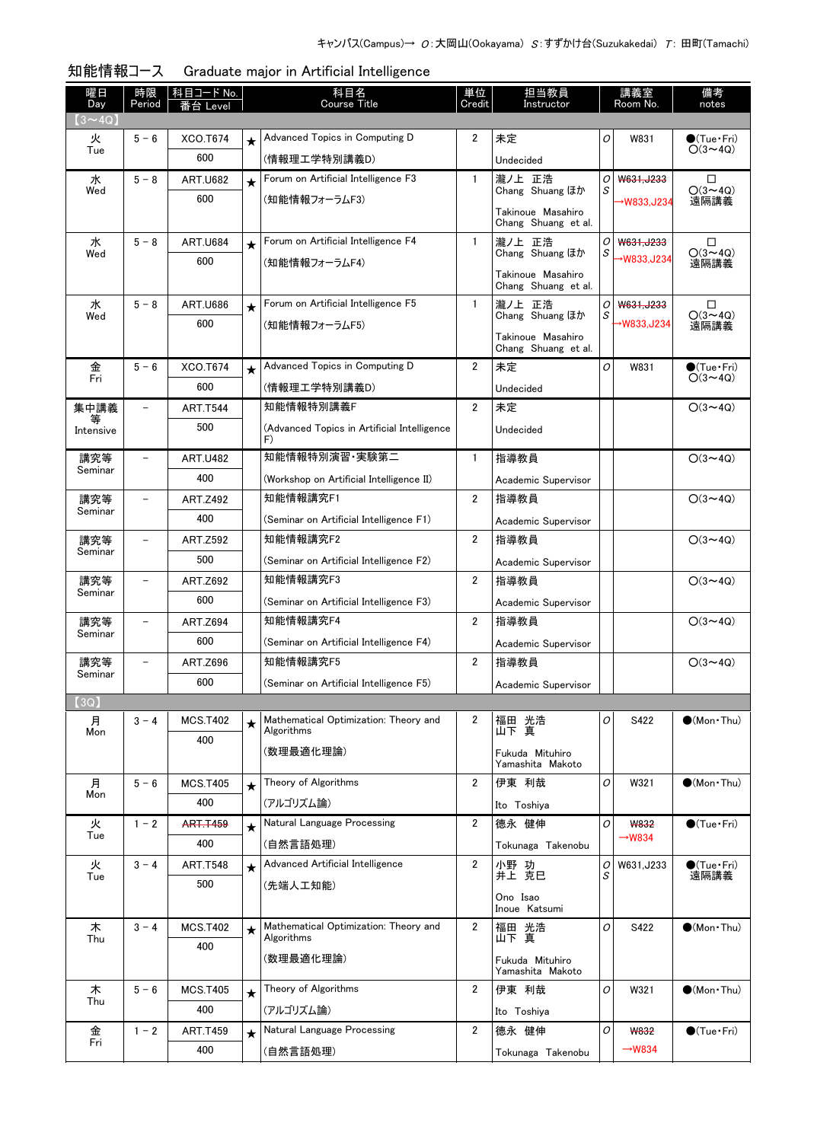| $(3 \sim 4Q)$<br>Advanced Topics in Computing D<br>未定<br>2<br>0<br>W831<br>$\bullet$ (Tue•Fri)<br>火<br>$5 - 6$<br>XCO.T674<br>$\star$<br>$O(3 \sim 4Q)$<br>Tue<br>600<br>(情報理工学特別講義D)<br>Undecided<br>Forum on Artificial Intelligence F3<br>水<br>$5 - 8$<br><b>ART.U682</b><br>$\mathbf{1}$<br>瀧ノ上 正浩<br>01<br>W631.J233<br>□<br>$\star$<br>$O(3 \sim 4Q)$<br>Chang Shuang ほか<br>Wed<br>S<br>600<br>(知能情報フォーラムF3)<br>遠隔講義<br>→W833,J234<br>Takinoue Masahiro<br>Chang Shuang et al.<br>Forum on Artificial Intelligence F4<br>水<br>$5 - 8$<br>$\mathbf{1}$<br>瀧ノ上 正浩<br><b>ART.U684</b><br>$\Box$<br>0<br>W631, J233<br>$\star$<br>Chang Shuang ほか<br>$O(3 \sim 4Q)$<br>S<br>Wed<br>→W833,J234<br>600<br>(知能情報フォーラムF4)<br>遠隔講義<br>Takinoue Masahiro<br>Chang Shuang et al.<br>Forum on Artificial Intelligence F5<br>$5 - 8$<br>水<br><b>ART.U686</b><br>$\mathbf{1}$<br>瀧ノ上 正浩<br>W631, J233<br>□<br>0<br>$\star$<br>Chang Shuang ほか<br>$O(3 \sim 4Q)$<br>S<br>Wed<br>600<br>→W833,J234<br>(知能情報フォーラムF5)<br>遠隔講義<br>Takinoue Masahiro<br>Chang Shuang et al.<br>金<br>Advanced Topics in Computing D<br>$5 - 6$<br>$\overline{2}$<br>O<br>XCO.T674<br>未定<br>$\bullet$ (Tue•Fri)<br>W831<br>$\star$<br>Fri<br>$O(3 \sim 4Q)$<br>600<br>(情報理工学特別講義D)<br>Undecided<br>知能情報特別講義F<br>集中講義<br>$\overline{2}$<br><b>ART.T544</b><br>未定<br>$O(3 \sim 4Q)$<br>500<br>(Advanced Topics in Artificial Intelligence<br>Undecided<br>Intensive<br>F)<br>知能情報特別演習 実験第二<br>指導教員<br>講究等<br>$\mathbf{1}$<br>$O(3 \sim 4Q)$<br><b>ART.U482</b><br>$\overline{\phantom{0}}$<br>Seminar<br>400<br>(Workshop on Artificial Intelligence II)<br>Academic Supervisor<br>知能情報講究F1<br>講究等<br>2<br><b>ART.Z492</b><br>指導教員<br>$O(3 \sim 4Q)$<br>$\overline{\phantom{0}}$<br>Seminar<br>400<br>(Seminar on Artificial Intelligence F1)<br>Academic Supervisor<br>知能情報講究F2<br>2<br><b>ART.Z592</b><br>指導教員<br>$O(3 \sim 4Q)$<br>講究等<br>$\qquad \qquad -$<br>Seminar<br>500<br>(Seminar on Artificial Intelligence F2)<br>Academic Supervisor<br>知能情報講究F3<br>$\overline{2}$<br>講究等<br>指導教員<br>$O(3 \sim 4Q)$<br><b>ART.Z692</b><br>-<br>Seminar<br>600<br>(Seminar on Artificial Intelligence F3)<br>Academic Supervisor<br>知能情報講究F4<br>講究等<br>2<br><b>ART.Z694</b><br>指導教員<br>$O(3 \sim 4Q)$<br>-<br>Seminar<br>600<br>(Seminar on Artificial Intelligence F4)<br>Academic Supervisor<br>知能情報講究F5<br>2<br>$O(3 \sim 4Q)$<br>講究等<br><b>ART.Z696</b><br>指導教員<br>÷<br>Seminar<br>600<br>(Seminar on Artificial Intelligence F5)<br>Academic Supervisor<br>(3Q)<br>Mathematical Optimization: Theory and<br>福田 光浩<br>山下 真<br>月<br>$3 - 4$<br><b>MCS.T402</b><br>2<br>O<br>S422<br>$\bullet$ (Mon Thu)<br>★<br>Algorithms<br>Mon<br>400<br>(数理最適化理論)<br>Fukuda Mituhiro<br>Yamashita Makoto<br>Theory of Algorithms<br>伊東 利哉<br><b>MCS.T405</b><br>2<br>0<br>W321<br>$\bullet$ (Mon Thu)<br>月<br>$5 - 6$<br>$\star$<br>Mon<br>400<br>(アルゴリズム論)<br>Ito Toshiya<br>Natural Language Processing<br>德永 健伸<br>$\bigcirc$ (Tue · Fri)<br>2<br>0<br><b>W832</b><br>火<br>$1 - 2$<br><b>ART.T459</b><br>$\star$<br>Tue<br>$\rightarrow$ W834<br>400<br>(自然言語処理)<br>Tokunaga Takenobu<br>Advanced Artificial Intelligence<br>$3 - 4$<br>2<br>火<br><b>ART.T548</b><br>小野 功<br>0<br>W631, J233<br>$\bigcirc$ (Tue · Fri)<br>$\star$<br>井上 克巳<br>遠隔講義<br>S<br>Tue<br>500<br>(先端人工知能)<br>Ono Isao<br>Inoue Katsumi<br>Mathematical Optimization: Theory and<br>木<br>$3 - 4$<br>$\overline{2}$<br>福田 光浩<br>O<br>$\bullet$ (Mon · Thu)<br><b>MCS.T402</b><br>S422<br>$\star$<br>山下真<br>Algorithms<br>Thu<br>400<br>(数理最適化理論)<br>Fukuda Mituhiro<br>Yamashita Makoto<br>Theory of Algorithms<br>木<br>2<br>伊東 利哉<br>0<br>$5 - 6$<br><b>MCS.T405</b><br>$\bullet$ (Mon Thu)<br>W321<br>$\star$<br>Thu<br>400<br>(アルゴリズム論)<br>Ito Toshiya<br>Natural Language Processing<br>2<br>德永 健伸<br>O<br>$\bigcirc$ (Tue · Fri)<br>金<br><b>ART.T459</b><br>$1 - 2$<br><b>W832</b><br>$\star$<br>Fri<br>$\rightarrow$ W834<br>400<br>(自然言語処理)<br>Tokunaga Takenobu | 曜日<br>Day | 時限<br>Period | 科目コード No.<br>≸台 Level | 科目名<br>Course Title | 単位<br>Credit | 担当教員<br>Instructor | 講義室<br>Room No. | 備考<br>notes |
|----------------------------------------------------------------------------------------------------------------------------------------------------------------------------------------------------------------------------------------------------------------------------------------------------------------------------------------------------------------------------------------------------------------------------------------------------------------------------------------------------------------------------------------------------------------------------------------------------------------------------------------------------------------------------------------------------------------------------------------------------------------------------------------------------------------------------------------------------------------------------------------------------------------------------------------------------------------------------------------------------------------------------------------------------------------------------------------------------------------------------------------------------------------------------------------------------------------------------------------------------------------------------------------------------------------------------------------------------------------------------------------------------------------------------------------------------------------------------------------------------------------------------------------------------------------------------------------------------------------------------------------------------------------------------------------------------------------------------------------------------------------------------------------------------------------------------------------------------------------------------------------------------------------------------------------------------------------------------------------------------------------------------------------------------------------------------------------------------------------------------------------------------------------------------------------------------------------------------------------------------------------------------------------------------------------------------------------------------------------------------------------------------------------------------------------------------------------------------------------------------------------------------------------------------------------------------------------------------------------------------------------------------------------------------------------------------------------------------------------------------------------------------------------------------------------------------------------------------------------------------------------------------------------------------------------------------------------------------------------------------------------------------------------------------------------------------------------------------------------------------------------------------------------------------------------------------------------------------------------------------------------------------------------------------------------------------------------------------------------------------------------------------------------------------------------------------------------------------------------------------------------------------------------------------------------------------------------------------------------------------------------------------------------------------------------------------------------------------------------------------------------------------------------------------------------------------------------------------------------------------------------------------------------------------------------------------------------------------------------------------|-----------|--------------|-----------------------|---------------------|--------------|--------------------|-----------------|-------------|
|                                                                                                                                                                                                                                                                                                                                                                                                                                                                                                                                                                                                                                                                                                                                                                                                                                                                                                                                                                                                                                                                                                                                                                                                                                                                                                                                                                                                                                                                                                                                                                                                                                                                                                                                                                                                                                                                                                                                                                                                                                                                                                                                                                                                                                                                                                                                                                                                                                                                                                                                                                                                                                                                                                                                                                                                                                                                                                                                                                                                                                                                                                                                                                                                                                                                                                                                                                                                                                                                                                                                                                                                                                                                                                                                                                                                                                                                                                                                                                                                    |           |              |                       |                     |              |                    |                 |             |
|                                                                                                                                                                                                                                                                                                                                                                                                                                                                                                                                                                                                                                                                                                                                                                                                                                                                                                                                                                                                                                                                                                                                                                                                                                                                                                                                                                                                                                                                                                                                                                                                                                                                                                                                                                                                                                                                                                                                                                                                                                                                                                                                                                                                                                                                                                                                                                                                                                                                                                                                                                                                                                                                                                                                                                                                                                                                                                                                                                                                                                                                                                                                                                                                                                                                                                                                                                                                                                                                                                                                                                                                                                                                                                                                                                                                                                                                                                                                                                                                    |           |              |                       |                     |              |                    |                 |             |
|                                                                                                                                                                                                                                                                                                                                                                                                                                                                                                                                                                                                                                                                                                                                                                                                                                                                                                                                                                                                                                                                                                                                                                                                                                                                                                                                                                                                                                                                                                                                                                                                                                                                                                                                                                                                                                                                                                                                                                                                                                                                                                                                                                                                                                                                                                                                                                                                                                                                                                                                                                                                                                                                                                                                                                                                                                                                                                                                                                                                                                                                                                                                                                                                                                                                                                                                                                                                                                                                                                                                                                                                                                                                                                                                                                                                                                                                                                                                                                                                    |           |              |                       |                     |              |                    |                 |             |
|                                                                                                                                                                                                                                                                                                                                                                                                                                                                                                                                                                                                                                                                                                                                                                                                                                                                                                                                                                                                                                                                                                                                                                                                                                                                                                                                                                                                                                                                                                                                                                                                                                                                                                                                                                                                                                                                                                                                                                                                                                                                                                                                                                                                                                                                                                                                                                                                                                                                                                                                                                                                                                                                                                                                                                                                                                                                                                                                                                                                                                                                                                                                                                                                                                                                                                                                                                                                                                                                                                                                                                                                                                                                                                                                                                                                                                                                                                                                                                                                    |           |              |                       |                     |              |                    |                 |             |
|                                                                                                                                                                                                                                                                                                                                                                                                                                                                                                                                                                                                                                                                                                                                                                                                                                                                                                                                                                                                                                                                                                                                                                                                                                                                                                                                                                                                                                                                                                                                                                                                                                                                                                                                                                                                                                                                                                                                                                                                                                                                                                                                                                                                                                                                                                                                                                                                                                                                                                                                                                                                                                                                                                                                                                                                                                                                                                                                                                                                                                                                                                                                                                                                                                                                                                                                                                                                                                                                                                                                                                                                                                                                                                                                                                                                                                                                                                                                                                                                    |           |              |                       |                     |              |                    |                 |             |
|                                                                                                                                                                                                                                                                                                                                                                                                                                                                                                                                                                                                                                                                                                                                                                                                                                                                                                                                                                                                                                                                                                                                                                                                                                                                                                                                                                                                                                                                                                                                                                                                                                                                                                                                                                                                                                                                                                                                                                                                                                                                                                                                                                                                                                                                                                                                                                                                                                                                                                                                                                                                                                                                                                                                                                                                                                                                                                                                                                                                                                                                                                                                                                                                                                                                                                                                                                                                                                                                                                                                                                                                                                                                                                                                                                                                                                                                                                                                                                                                    |           |              |                       |                     |              |                    |                 |             |
|                                                                                                                                                                                                                                                                                                                                                                                                                                                                                                                                                                                                                                                                                                                                                                                                                                                                                                                                                                                                                                                                                                                                                                                                                                                                                                                                                                                                                                                                                                                                                                                                                                                                                                                                                                                                                                                                                                                                                                                                                                                                                                                                                                                                                                                                                                                                                                                                                                                                                                                                                                                                                                                                                                                                                                                                                                                                                                                                                                                                                                                                                                                                                                                                                                                                                                                                                                                                                                                                                                                                                                                                                                                                                                                                                                                                                                                                                                                                                                                                    |           |              |                       |                     |              |                    |                 |             |
|                                                                                                                                                                                                                                                                                                                                                                                                                                                                                                                                                                                                                                                                                                                                                                                                                                                                                                                                                                                                                                                                                                                                                                                                                                                                                                                                                                                                                                                                                                                                                                                                                                                                                                                                                                                                                                                                                                                                                                                                                                                                                                                                                                                                                                                                                                                                                                                                                                                                                                                                                                                                                                                                                                                                                                                                                                                                                                                                                                                                                                                                                                                                                                                                                                                                                                                                                                                                                                                                                                                                                                                                                                                                                                                                                                                                                                                                                                                                                                                                    |           |              |                       |                     |              |                    |                 |             |
|                                                                                                                                                                                                                                                                                                                                                                                                                                                                                                                                                                                                                                                                                                                                                                                                                                                                                                                                                                                                                                                                                                                                                                                                                                                                                                                                                                                                                                                                                                                                                                                                                                                                                                                                                                                                                                                                                                                                                                                                                                                                                                                                                                                                                                                                                                                                                                                                                                                                                                                                                                                                                                                                                                                                                                                                                                                                                                                                                                                                                                                                                                                                                                                                                                                                                                                                                                                                                                                                                                                                                                                                                                                                                                                                                                                                                                                                                                                                                                                                    |           |              |                       |                     |              |                    |                 |             |
|                                                                                                                                                                                                                                                                                                                                                                                                                                                                                                                                                                                                                                                                                                                                                                                                                                                                                                                                                                                                                                                                                                                                                                                                                                                                                                                                                                                                                                                                                                                                                                                                                                                                                                                                                                                                                                                                                                                                                                                                                                                                                                                                                                                                                                                                                                                                                                                                                                                                                                                                                                                                                                                                                                                                                                                                                                                                                                                                                                                                                                                                                                                                                                                                                                                                                                                                                                                                                                                                                                                                                                                                                                                                                                                                                                                                                                                                                                                                                                                                    |           |              |                       |                     |              |                    |                 |             |
|                                                                                                                                                                                                                                                                                                                                                                                                                                                                                                                                                                                                                                                                                                                                                                                                                                                                                                                                                                                                                                                                                                                                                                                                                                                                                                                                                                                                                                                                                                                                                                                                                                                                                                                                                                                                                                                                                                                                                                                                                                                                                                                                                                                                                                                                                                                                                                                                                                                                                                                                                                                                                                                                                                                                                                                                                                                                                                                                                                                                                                                                                                                                                                                                                                                                                                                                                                                                                                                                                                                                                                                                                                                                                                                                                                                                                                                                                                                                                                                                    |           |              |                       |                     |              |                    |                 |             |
|                                                                                                                                                                                                                                                                                                                                                                                                                                                                                                                                                                                                                                                                                                                                                                                                                                                                                                                                                                                                                                                                                                                                                                                                                                                                                                                                                                                                                                                                                                                                                                                                                                                                                                                                                                                                                                                                                                                                                                                                                                                                                                                                                                                                                                                                                                                                                                                                                                                                                                                                                                                                                                                                                                                                                                                                                                                                                                                                                                                                                                                                                                                                                                                                                                                                                                                                                                                                                                                                                                                                                                                                                                                                                                                                                                                                                                                                                                                                                                                                    |           |              |                       |                     |              |                    |                 |             |
|                                                                                                                                                                                                                                                                                                                                                                                                                                                                                                                                                                                                                                                                                                                                                                                                                                                                                                                                                                                                                                                                                                                                                                                                                                                                                                                                                                                                                                                                                                                                                                                                                                                                                                                                                                                                                                                                                                                                                                                                                                                                                                                                                                                                                                                                                                                                                                                                                                                                                                                                                                                                                                                                                                                                                                                                                                                                                                                                                                                                                                                                                                                                                                                                                                                                                                                                                                                                                                                                                                                                                                                                                                                                                                                                                                                                                                                                                                                                                                                                    |           |              |                       |                     |              |                    |                 |             |
|                                                                                                                                                                                                                                                                                                                                                                                                                                                                                                                                                                                                                                                                                                                                                                                                                                                                                                                                                                                                                                                                                                                                                                                                                                                                                                                                                                                                                                                                                                                                                                                                                                                                                                                                                                                                                                                                                                                                                                                                                                                                                                                                                                                                                                                                                                                                                                                                                                                                                                                                                                                                                                                                                                                                                                                                                                                                                                                                                                                                                                                                                                                                                                                                                                                                                                                                                                                                                                                                                                                                                                                                                                                                                                                                                                                                                                                                                                                                                                                                    |           |              |                       |                     |              |                    |                 |             |
|                                                                                                                                                                                                                                                                                                                                                                                                                                                                                                                                                                                                                                                                                                                                                                                                                                                                                                                                                                                                                                                                                                                                                                                                                                                                                                                                                                                                                                                                                                                                                                                                                                                                                                                                                                                                                                                                                                                                                                                                                                                                                                                                                                                                                                                                                                                                                                                                                                                                                                                                                                                                                                                                                                                                                                                                                                                                                                                                                                                                                                                                                                                                                                                                                                                                                                                                                                                                                                                                                                                                                                                                                                                                                                                                                                                                                                                                                                                                                                                                    |           |              |                       |                     |              |                    |                 |             |
|                                                                                                                                                                                                                                                                                                                                                                                                                                                                                                                                                                                                                                                                                                                                                                                                                                                                                                                                                                                                                                                                                                                                                                                                                                                                                                                                                                                                                                                                                                                                                                                                                                                                                                                                                                                                                                                                                                                                                                                                                                                                                                                                                                                                                                                                                                                                                                                                                                                                                                                                                                                                                                                                                                                                                                                                                                                                                                                                                                                                                                                                                                                                                                                                                                                                                                                                                                                                                                                                                                                                                                                                                                                                                                                                                                                                                                                                                                                                                                                                    |           |              |                       |                     |              |                    |                 |             |
|                                                                                                                                                                                                                                                                                                                                                                                                                                                                                                                                                                                                                                                                                                                                                                                                                                                                                                                                                                                                                                                                                                                                                                                                                                                                                                                                                                                                                                                                                                                                                                                                                                                                                                                                                                                                                                                                                                                                                                                                                                                                                                                                                                                                                                                                                                                                                                                                                                                                                                                                                                                                                                                                                                                                                                                                                                                                                                                                                                                                                                                                                                                                                                                                                                                                                                                                                                                                                                                                                                                                                                                                                                                                                                                                                                                                                                                                                                                                                                                                    |           |              |                       |                     |              |                    |                 |             |
|                                                                                                                                                                                                                                                                                                                                                                                                                                                                                                                                                                                                                                                                                                                                                                                                                                                                                                                                                                                                                                                                                                                                                                                                                                                                                                                                                                                                                                                                                                                                                                                                                                                                                                                                                                                                                                                                                                                                                                                                                                                                                                                                                                                                                                                                                                                                                                                                                                                                                                                                                                                                                                                                                                                                                                                                                                                                                                                                                                                                                                                                                                                                                                                                                                                                                                                                                                                                                                                                                                                                                                                                                                                                                                                                                                                                                                                                                                                                                                                                    |           |              |                       |                     |              |                    |                 |             |
|                                                                                                                                                                                                                                                                                                                                                                                                                                                                                                                                                                                                                                                                                                                                                                                                                                                                                                                                                                                                                                                                                                                                                                                                                                                                                                                                                                                                                                                                                                                                                                                                                                                                                                                                                                                                                                                                                                                                                                                                                                                                                                                                                                                                                                                                                                                                                                                                                                                                                                                                                                                                                                                                                                                                                                                                                                                                                                                                                                                                                                                                                                                                                                                                                                                                                                                                                                                                                                                                                                                                                                                                                                                                                                                                                                                                                                                                                                                                                                                                    |           |              |                       |                     |              |                    |                 |             |
|                                                                                                                                                                                                                                                                                                                                                                                                                                                                                                                                                                                                                                                                                                                                                                                                                                                                                                                                                                                                                                                                                                                                                                                                                                                                                                                                                                                                                                                                                                                                                                                                                                                                                                                                                                                                                                                                                                                                                                                                                                                                                                                                                                                                                                                                                                                                                                                                                                                                                                                                                                                                                                                                                                                                                                                                                                                                                                                                                                                                                                                                                                                                                                                                                                                                                                                                                                                                                                                                                                                                                                                                                                                                                                                                                                                                                                                                                                                                                                                                    |           |              |                       |                     |              |                    |                 |             |
|                                                                                                                                                                                                                                                                                                                                                                                                                                                                                                                                                                                                                                                                                                                                                                                                                                                                                                                                                                                                                                                                                                                                                                                                                                                                                                                                                                                                                                                                                                                                                                                                                                                                                                                                                                                                                                                                                                                                                                                                                                                                                                                                                                                                                                                                                                                                                                                                                                                                                                                                                                                                                                                                                                                                                                                                                                                                                                                                                                                                                                                                                                                                                                                                                                                                                                                                                                                                                                                                                                                                                                                                                                                                                                                                                                                                                                                                                                                                                                                                    |           |              |                       |                     |              |                    |                 |             |
|                                                                                                                                                                                                                                                                                                                                                                                                                                                                                                                                                                                                                                                                                                                                                                                                                                                                                                                                                                                                                                                                                                                                                                                                                                                                                                                                                                                                                                                                                                                                                                                                                                                                                                                                                                                                                                                                                                                                                                                                                                                                                                                                                                                                                                                                                                                                                                                                                                                                                                                                                                                                                                                                                                                                                                                                                                                                                                                                                                                                                                                                                                                                                                                                                                                                                                                                                                                                                                                                                                                                                                                                                                                                                                                                                                                                                                                                                                                                                                                                    |           |              |                       |                     |              |                    |                 |             |
|                                                                                                                                                                                                                                                                                                                                                                                                                                                                                                                                                                                                                                                                                                                                                                                                                                                                                                                                                                                                                                                                                                                                                                                                                                                                                                                                                                                                                                                                                                                                                                                                                                                                                                                                                                                                                                                                                                                                                                                                                                                                                                                                                                                                                                                                                                                                                                                                                                                                                                                                                                                                                                                                                                                                                                                                                                                                                                                                                                                                                                                                                                                                                                                                                                                                                                                                                                                                                                                                                                                                                                                                                                                                                                                                                                                                                                                                                                                                                                                                    |           |              |                       |                     |              |                    |                 |             |
|                                                                                                                                                                                                                                                                                                                                                                                                                                                                                                                                                                                                                                                                                                                                                                                                                                                                                                                                                                                                                                                                                                                                                                                                                                                                                                                                                                                                                                                                                                                                                                                                                                                                                                                                                                                                                                                                                                                                                                                                                                                                                                                                                                                                                                                                                                                                                                                                                                                                                                                                                                                                                                                                                                                                                                                                                                                                                                                                                                                                                                                                                                                                                                                                                                                                                                                                                                                                                                                                                                                                                                                                                                                                                                                                                                                                                                                                                                                                                                                                    |           |              |                       |                     |              |                    |                 |             |
|                                                                                                                                                                                                                                                                                                                                                                                                                                                                                                                                                                                                                                                                                                                                                                                                                                                                                                                                                                                                                                                                                                                                                                                                                                                                                                                                                                                                                                                                                                                                                                                                                                                                                                                                                                                                                                                                                                                                                                                                                                                                                                                                                                                                                                                                                                                                                                                                                                                                                                                                                                                                                                                                                                                                                                                                                                                                                                                                                                                                                                                                                                                                                                                                                                                                                                                                                                                                                                                                                                                                                                                                                                                                                                                                                                                                                                                                                                                                                                                                    |           |              |                       |                     |              |                    |                 |             |
|                                                                                                                                                                                                                                                                                                                                                                                                                                                                                                                                                                                                                                                                                                                                                                                                                                                                                                                                                                                                                                                                                                                                                                                                                                                                                                                                                                                                                                                                                                                                                                                                                                                                                                                                                                                                                                                                                                                                                                                                                                                                                                                                                                                                                                                                                                                                                                                                                                                                                                                                                                                                                                                                                                                                                                                                                                                                                                                                                                                                                                                                                                                                                                                                                                                                                                                                                                                                                                                                                                                                                                                                                                                                                                                                                                                                                                                                                                                                                                                                    |           |              |                       |                     |              |                    |                 |             |
|                                                                                                                                                                                                                                                                                                                                                                                                                                                                                                                                                                                                                                                                                                                                                                                                                                                                                                                                                                                                                                                                                                                                                                                                                                                                                                                                                                                                                                                                                                                                                                                                                                                                                                                                                                                                                                                                                                                                                                                                                                                                                                                                                                                                                                                                                                                                                                                                                                                                                                                                                                                                                                                                                                                                                                                                                                                                                                                                                                                                                                                                                                                                                                                                                                                                                                                                                                                                                                                                                                                                                                                                                                                                                                                                                                                                                                                                                                                                                                                                    |           |              |                       |                     |              |                    |                 |             |
|                                                                                                                                                                                                                                                                                                                                                                                                                                                                                                                                                                                                                                                                                                                                                                                                                                                                                                                                                                                                                                                                                                                                                                                                                                                                                                                                                                                                                                                                                                                                                                                                                                                                                                                                                                                                                                                                                                                                                                                                                                                                                                                                                                                                                                                                                                                                                                                                                                                                                                                                                                                                                                                                                                                                                                                                                                                                                                                                                                                                                                                                                                                                                                                                                                                                                                                                                                                                                                                                                                                                                                                                                                                                                                                                                                                                                                                                                                                                                                                                    |           |              |                       |                     |              |                    |                 |             |
|                                                                                                                                                                                                                                                                                                                                                                                                                                                                                                                                                                                                                                                                                                                                                                                                                                                                                                                                                                                                                                                                                                                                                                                                                                                                                                                                                                                                                                                                                                                                                                                                                                                                                                                                                                                                                                                                                                                                                                                                                                                                                                                                                                                                                                                                                                                                                                                                                                                                                                                                                                                                                                                                                                                                                                                                                                                                                                                                                                                                                                                                                                                                                                                                                                                                                                                                                                                                                                                                                                                                                                                                                                                                                                                                                                                                                                                                                                                                                                                                    |           |              |                       |                     |              |                    |                 |             |
|                                                                                                                                                                                                                                                                                                                                                                                                                                                                                                                                                                                                                                                                                                                                                                                                                                                                                                                                                                                                                                                                                                                                                                                                                                                                                                                                                                                                                                                                                                                                                                                                                                                                                                                                                                                                                                                                                                                                                                                                                                                                                                                                                                                                                                                                                                                                                                                                                                                                                                                                                                                                                                                                                                                                                                                                                                                                                                                                                                                                                                                                                                                                                                                                                                                                                                                                                                                                                                                                                                                                                                                                                                                                                                                                                                                                                                                                                                                                                                                                    |           |              |                       |                     |              |                    |                 |             |
|                                                                                                                                                                                                                                                                                                                                                                                                                                                                                                                                                                                                                                                                                                                                                                                                                                                                                                                                                                                                                                                                                                                                                                                                                                                                                                                                                                                                                                                                                                                                                                                                                                                                                                                                                                                                                                                                                                                                                                                                                                                                                                                                                                                                                                                                                                                                                                                                                                                                                                                                                                                                                                                                                                                                                                                                                                                                                                                                                                                                                                                                                                                                                                                                                                                                                                                                                                                                                                                                                                                                                                                                                                                                                                                                                                                                                                                                                                                                                                                                    |           |              |                       |                     |              |                    |                 |             |
|                                                                                                                                                                                                                                                                                                                                                                                                                                                                                                                                                                                                                                                                                                                                                                                                                                                                                                                                                                                                                                                                                                                                                                                                                                                                                                                                                                                                                                                                                                                                                                                                                                                                                                                                                                                                                                                                                                                                                                                                                                                                                                                                                                                                                                                                                                                                                                                                                                                                                                                                                                                                                                                                                                                                                                                                                                                                                                                                                                                                                                                                                                                                                                                                                                                                                                                                                                                                                                                                                                                                                                                                                                                                                                                                                                                                                                                                                                                                                                                                    |           |              |                       |                     |              |                    |                 |             |
|                                                                                                                                                                                                                                                                                                                                                                                                                                                                                                                                                                                                                                                                                                                                                                                                                                                                                                                                                                                                                                                                                                                                                                                                                                                                                                                                                                                                                                                                                                                                                                                                                                                                                                                                                                                                                                                                                                                                                                                                                                                                                                                                                                                                                                                                                                                                                                                                                                                                                                                                                                                                                                                                                                                                                                                                                                                                                                                                                                                                                                                                                                                                                                                                                                                                                                                                                                                                                                                                                                                                                                                                                                                                                                                                                                                                                                                                                                                                                                                                    |           |              |                       |                     |              |                    |                 |             |
|                                                                                                                                                                                                                                                                                                                                                                                                                                                                                                                                                                                                                                                                                                                                                                                                                                                                                                                                                                                                                                                                                                                                                                                                                                                                                                                                                                                                                                                                                                                                                                                                                                                                                                                                                                                                                                                                                                                                                                                                                                                                                                                                                                                                                                                                                                                                                                                                                                                                                                                                                                                                                                                                                                                                                                                                                                                                                                                                                                                                                                                                                                                                                                                                                                                                                                                                                                                                                                                                                                                                                                                                                                                                                                                                                                                                                                                                                                                                                                                                    |           |              |                       |                     |              |                    |                 |             |
|                                                                                                                                                                                                                                                                                                                                                                                                                                                                                                                                                                                                                                                                                                                                                                                                                                                                                                                                                                                                                                                                                                                                                                                                                                                                                                                                                                                                                                                                                                                                                                                                                                                                                                                                                                                                                                                                                                                                                                                                                                                                                                                                                                                                                                                                                                                                                                                                                                                                                                                                                                                                                                                                                                                                                                                                                                                                                                                                                                                                                                                                                                                                                                                                                                                                                                                                                                                                                                                                                                                                                                                                                                                                                                                                                                                                                                                                                                                                                                                                    |           |              |                       |                     |              |                    |                 |             |
|                                                                                                                                                                                                                                                                                                                                                                                                                                                                                                                                                                                                                                                                                                                                                                                                                                                                                                                                                                                                                                                                                                                                                                                                                                                                                                                                                                                                                                                                                                                                                                                                                                                                                                                                                                                                                                                                                                                                                                                                                                                                                                                                                                                                                                                                                                                                                                                                                                                                                                                                                                                                                                                                                                                                                                                                                                                                                                                                                                                                                                                                                                                                                                                                                                                                                                                                                                                                                                                                                                                                                                                                                                                                                                                                                                                                                                                                                                                                                                                                    |           |              |                       |                     |              |                    |                 |             |
|                                                                                                                                                                                                                                                                                                                                                                                                                                                                                                                                                                                                                                                                                                                                                                                                                                                                                                                                                                                                                                                                                                                                                                                                                                                                                                                                                                                                                                                                                                                                                                                                                                                                                                                                                                                                                                                                                                                                                                                                                                                                                                                                                                                                                                                                                                                                                                                                                                                                                                                                                                                                                                                                                                                                                                                                                                                                                                                                                                                                                                                                                                                                                                                                                                                                                                                                                                                                                                                                                                                                                                                                                                                                                                                                                                                                                                                                                                                                                                                                    |           |              |                       |                     |              |                    |                 |             |
|                                                                                                                                                                                                                                                                                                                                                                                                                                                                                                                                                                                                                                                                                                                                                                                                                                                                                                                                                                                                                                                                                                                                                                                                                                                                                                                                                                                                                                                                                                                                                                                                                                                                                                                                                                                                                                                                                                                                                                                                                                                                                                                                                                                                                                                                                                                                                                                                                                                                                                                                                                                                                                                                                                                                                                                                                                                                                                                                                                                                                                                                                                                                                                                                                                                                                                                                                                                                                                                                                                                                                                                                                                                                                                                                                                                                                                                                                                                                                                                                    |           |              |                       |                     |              |                    |                 |             |
|                                                                                                                                                                                                                                                                                                                                                                                                                                                                                                                                                                                                                                                                                                                                                                                                                                                                                                                                                                                                                                                                                                                                                                                                                                                                                                                                                                                                                                                                                                                                                                                                                                                                                                                                                                                                                                                                                                                                                                                                                                                                                                                                                                                                                                                                                                                                                                                                                                                                                                                                                                                                                                                                                                                                                                                                                                                                                                                                                                                                                                                                                                                                                                                                                                                                                                                                                                                                                                                                                                                                                                                                                                                                                                                                                                                                                                                                                                                                                                                                    |           |              |                       |                     |              |                    |                 |             |
|                                                                                                                                                                                                                                                                                                                                                                                                                                                                                                                                                                                                                                                                                                                                                                                                                                                                                                                                                                                                                                                                                                                                                                                                                                                                                                                                                                                                                                                                                                                                                                                                                                                                                                                                                                                                                                                                                                                                                                                                                                                                                                                                                                                                                                                                                                                                                                                                                                                                                                                                                                                                                                                                                                                                                                                                                                                                                                                                                                                                                                                                                                                                                                                                                                                                                                                                                                                                                                                                                                                                                                                                                                                                                                                                                                                                                                                                                                                                                                                                    |           |              |                       |                     |              |                    |                 |             |
|                                                                                                                                                                                                                                                                                                                                                                                                                                                                                                                                                                                                                                                                                                                                                                                                                                                                                                                                                                                                                                                                                                                                                                                                                                                                                                                                                                                                                                                                                                                                                                                                                                                                                                                                                                                                                                                                                                                                                                                                                                                                                                                                                                                                                                                                                                                                                                                                                                                                                                                                                                                                                                                                                                                                                                                                                                                                                                                                                                                                                                                                                                                                                                                                                                                                                                                                                                                                                                                                                                                                                                                                                                                                                                                                                                                                                                                                                                                                                                                                    |           |              |                       |                     |              |                    |                 |             |
|                                                                                                                                                                                                                                                                                                                                                                                                                                                                                                                                                                                                                                                                                                                                                                                                                                                                                                                                                                                                                                                                                                                                                                                                                                                                                                                                                                                                                                                                                                                                                                                                                                                                                                                                                                                                                                                                                                                                                                                                                                                                                                                                                                                                                                                                                                                                                                                                                                                                                                                                                                                                                                                                                                                                                                                                                                                                                                                                                                                                                                                                                                                                                                                                                                                                                                                                                                                                                                                                                                                                                                                                                                                                                                                                                                                                                                                                                                                                                                                                    |           |              |                       |                     |              |                    |                 |             |
|                                                                                                                                                                                                                                                                                                                                                                                                                                                                                                                                                                                                                                                                                                                                                                                                                                                                                                                                                                                                                                                                                                                                                                                                                                                                                                                                                                                                                                                                                                                                                                                                                                                                                                                                                                                                                                                                                                                                                                                                                                                                                                                                                                                                                                                                                                                                                                                                                                                                                                                                                                                                                                                                                                                                                                                                                                                                                                                                                                                                                                                                                                                                                                                                                                                                                                                                                                                                                                                                                                                                                                                                                                                                                                                                                                                                                                                                                                                                                                                                    |           |              |                       |                     |              |                    |                 |             |
|                                                                                                                                                                                                                                                                                                                                                                                                                                                                                                                                                                                                                                                                                                                                                                                                                                                                                                                                                                                                                                                                                                                                                                                                                                                                                                                                                                                                                                                                                                                                                                                                                                                                                                                                                                                                                                                                                                                                                                                                                                                                                                                                                                                                                                                                                                                                                                                                                                                                                                                                                                                                                                                                                                                                                                                                                                                                                                                                                                                                                                                                                                                                                                                                                                                                                                                                                                                                                                                                                                                                                                                                                                                                                                                                                                                                                                                                                                                                                                                                    |           |              |                       |                     |              |                    |                 |             |
|                                                                                                                                                                                                                                                                                                                                                                                                                                                                                                                                                                                                                                                                                                                                                                                                                                                                                                                                                                                                                                                                                                                                                                                                                                                                                                                                                                                                                                                                                                                                                                                                                                                                                                                                                                                                                                                                                                                                                                                                                                                                                                                                                                                                                                                                                                                                                                                                                                                                                                                                                                                                                                                                                                                                                                                                                                                                                                                                                                                                                                                                                                                                                                                                                                                                                                                                                                                                                                                                                                                                                                                                                                                                                                                                                                                                                                                                                                                                                                                                    |           |              |                       |                     |              |                    |                 |             |
|                                                                                                                                                                                                                                                                                                                                                                                                                                                                                                                                                                                                                                                                                                                                                                                                                                                                                                                                                                                                                                                                                                                                                                                                                                                                                                                                                                                                                                                                                                                                                                                                                                                                                                                                                                                                                                                                                                                                                                                                                                                                                                                                                                                                                                                                                                                                                                                                                                                                                                                                                                                                                                                                                                                                                                                                                                                                                                                                                                                                                                                                                                                                                                                                                                                                                                                                                                                                                                                                                                                                                                                                                                                                                                                                                                                                                                                                                                                                                                                                    |           |              |                       |                     |              |                    |                 |             |
|                                                                                                                                                                                                                                                                                                                                                                                                                                                                                                                                                                                                                                                                                                                                                                                                                                                                                                                                                                                                                                                                                                                                                                                                                                                                                                                                                                                                                                                                                                                                                                                                                                                                                                                                                                                                                                                                                                                                                                                                                                                                                                                                                                                                                                                                                                                                                                                                                                                                                                                                                                                                                                                                                                                                                                                                                                                                                                                                                                                                                                                                                                                                                                                                                                                                                                                                                                                                                                                                                                                                                                                                                                                                                                                                                                                                                                                                                                                                                                                                    |           |              |                       |                     |              |                    |                 |             |

| 知能情報コース<br>Graduate major in Artificial Intelligence |
|------------------------------------------------------|
|------------------------------------------------------|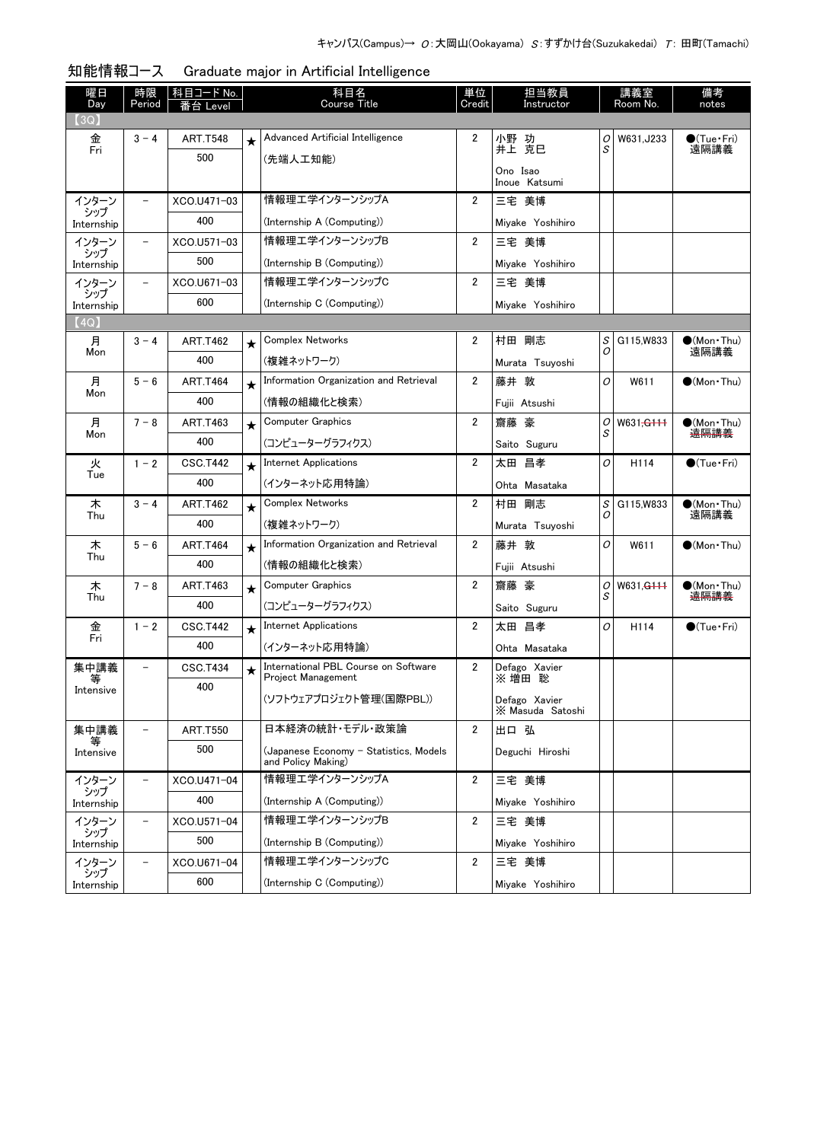| 曜日<br>Day         | 時限<br>Period             | │科目コード No.<br>番台 Level |         | 科目名<br><b>Course Title</b>             | 単位<br>Credit   | 担当教員<br>Instructor                |   | 講義室<br>Room No.       | 備考<br>notes                 |
|-------------------|--------------------------|------------------------|---------|----------------------------------------|----------------|-----------------------------------|---|-----------------------|-----------------------------|
| (3Q)              |                          |                        |         |                                        |                |                                   |   |                       |                             |
| 金                 | $3 - 4$                  | <b>ART.T548</b>        | $\star$ | Advanced Artificial Intelligence       | 2              | 小野 功                              | 0 | W631, J233            | $\bullet$ (Tue•Fri)         |
| Fri               |                          | 500                    |         | (先端人工知能)                               |                | 井上 克巳                             | S |                       | 遠隔講義                        |
|                   |                          |                        |         |                                        |                | Ono Isao<br>Inoue Katsumi         |   |                       |                             |
| インターン             | $\overline{\phantom{0}}$ | XCO.U471-03            |         | 情報理エ学インターンシップA                         | 2              | 三宅 美博                             |   |                       |                             |
| シップ<br>Internship |                          | 400                    |         | (Internship A (Computing))             |                | Miyake Yoshihiro                  |   |                       |                             |
| インターン             | $\overline{\phantom{a}}$ | XCO.U571-03            |         | 情報理エ学インターンシップB                         | $\overline{2}$ | 三宅 美博                             |   |                       |                             |
| シップ<br>Internship |                          | 500                    |         | (Internship B (Computing))             |                | Miyake Yoshihiro                  |   |                       |                             |
| インターン             | $\overline{\phantom{a}}$ | XCO.U671-03            |         | 情報理工学インターンシップC                         | 2              | 三宅 美博                             |   |                       |                             |
| シップ<br>Internship |                          | 600                    |         | (Internship C (Computing))             |                | Miyake Yoshihiro                  |   |                       |                             |
| (4Q)              |                          |                        |         |                                        |                |                                   |   |                       |                             |
| 月                 | $3 - 4$                  | <b>ART.T462</b>        | ★       | Complex Networks                       | 2              | 村田 剛志                             | S | G115, W833            | $\bullet$ (Mon · Thu)       |
| Mon               |                          | 400                    |         | (複雑ネットワーク)                             |                | Murata Tsuyoshi                   | 0 |                       | 遠隔講義                        |
| 月                 | $5 - 6$                  | ART.T464               | $\star$ | Information Organization and Retrieval | $\overline{2}$ | 藤井 敦                              | O | W611                  | $\bigcirc$ (Mon Thu)        |
| Mon               |                          | 400                    |         | (情報の組織化と検索)                            |                | Fujii Atsushi                     |   |                       |                             |
| 月                 | $7 - 8$                  | ART.T463               | $\star$ | <b>Computer Graphics</b>               | $\overline{2}$ | 齋藤 豪                              | 0 | W631 <del>,G111</del> | $\bigcirc$ (Mon Thu)        |
| Mon               |                          | 400                    |         | (コンピューターグラフィクス)                        |                | Saito Suguru                      | S |                       | 遠隔講義                        |
| 火                 | $1 - 2$                  | <b>CSC.T442</b>        | $\star$ | <b>Internet Applications</b>           | $\overline{2}$ | 太田 昌孝                             | O | H <sub>114</sub>      | $\bullet$ (Tue $\cdot$ Fri) |
| Tue               |                          | 400                    |         | (インターネット応用特論)                          |                | Ohta Masataka                     |   |                       |                             |
| 木                 | $3 - 4$                  | ART.T462               | $\star$ | Complex Networks                       | $\overline{2}$ | 剛志<br>村田                          | S | G115, W833            | $\bullet$ (Mon Thu)         |
| Thu               |                          | 400                    |         | (複雑ネットワーク)                             |                | Murata Tsuyoshi                   | 0 |                       | 遠隔講義                        |
| 木                 | $5 - 6$                  | ART.T464               | $\star$ | Information Organization and Retrieval | $\overline{2}$ | 藤井 敦                              | 0 | W611                  | $\bigcirc$ (Mon Thu)        |
| Thu               |                          | 400                    |         | (情報の組織化と検索)                            |                | Fujii Atsushi                     |   |                       |                             |
| 木                 | $7 - 8$                  | <b>ART.T463</b>        |         | Computer Graphics                      | 2              | 齋藤 豪                              | 0 | W631, <del>G111</del> | $\bullet$ (Mon Thu)         |
| Thu               |                          | 400                    | $\star$ | (コンピューターグラフィクス)                        |                | Saito Suguru                      | S |                       | <del>遠隔講義</del>             |
| 金                 | $1 - 2$                  | <b>CSC.T442</b>        | $\star$ | <b>Internet Applications</b>           | 2              | 太田 昌孝                             | 0 | H <sub>114</sub>      | $\bullet$ (Tue•Fri)         |
| Fri               |                          | 400                    |         | (インターネット応用特論)                          |                | Ohta Masataka                     |   |                       |                             |
| 集中講義              | $\overline{\phantom{0}}$ | <b>CSC.T434</b>        |         | International PBL Course on Software   | 2              | Defago Xavier                     |   |                       |                             |
| 等                 |                          | 400                    | $\star$ | <b>Project Management</b>              |                | ※ 増田 聡                            |   |                       |                             |
| Intensive         |                          |                        |         | (ソフトウェアプロジェクト管理(国際PBL))                |                | Defago Xavier<br>X Masuda Satoshi |   |                       |                             |
| 集中講義              | $\overline{\phantom{0}}$ | <b>ART.T550</b>        |         | 日本経済の統計・モデル・政策論                        | $\overline{2}$ | 出口 弘                              |   |                       |                             |
| 等<br>Intensive    |                          | 500                    |         | (Japanese Economy - Statistics, Models |                | Deguchi Hiroshi                   |   |                       |                             |
|                   |                          |                        |         | and Policy Making)                     |                |                                   |   |                       |                             |
| インターン<br>シップ      | $\overline{\phantom{0}}$ | XCO.U471-04            |         | 情報理エ学インターンシップA                         | $\overline{2}$ | 三宅 美博                             |   |                       |                             |
| Internship        |                          | 400                    |         | (Internship A (Computing))             |                | Miyake Yoshihiro                  |   |                       |                             |
| インターン<br>シップ      | $\overline{\phantom{0}}$ | XCO.U571-04            |         | 情報理工学インターンシップB                         | $\overline{2}$ | 三宅 美博                             |   |                       |                             |
| Internship        |                          | 500                    |         | (Internship B (Computing))             |                | Miyake Yoshihiro                  |   |                       |                             |
| インターン<br>シップ      | $\qquad \qquad -$        | XCO.U671-04            |         | 情報理エ学インターンシップC                         | $\overline{2}$ | 三宅 美博                             |   |                       |                             |
| Internship        |                          | 600                    |         | (Internship C (Computing))             |                | Miyake Yoshihiro                  |   |                       |                             |

知能情報コース Graduate major in Artificial Intelligence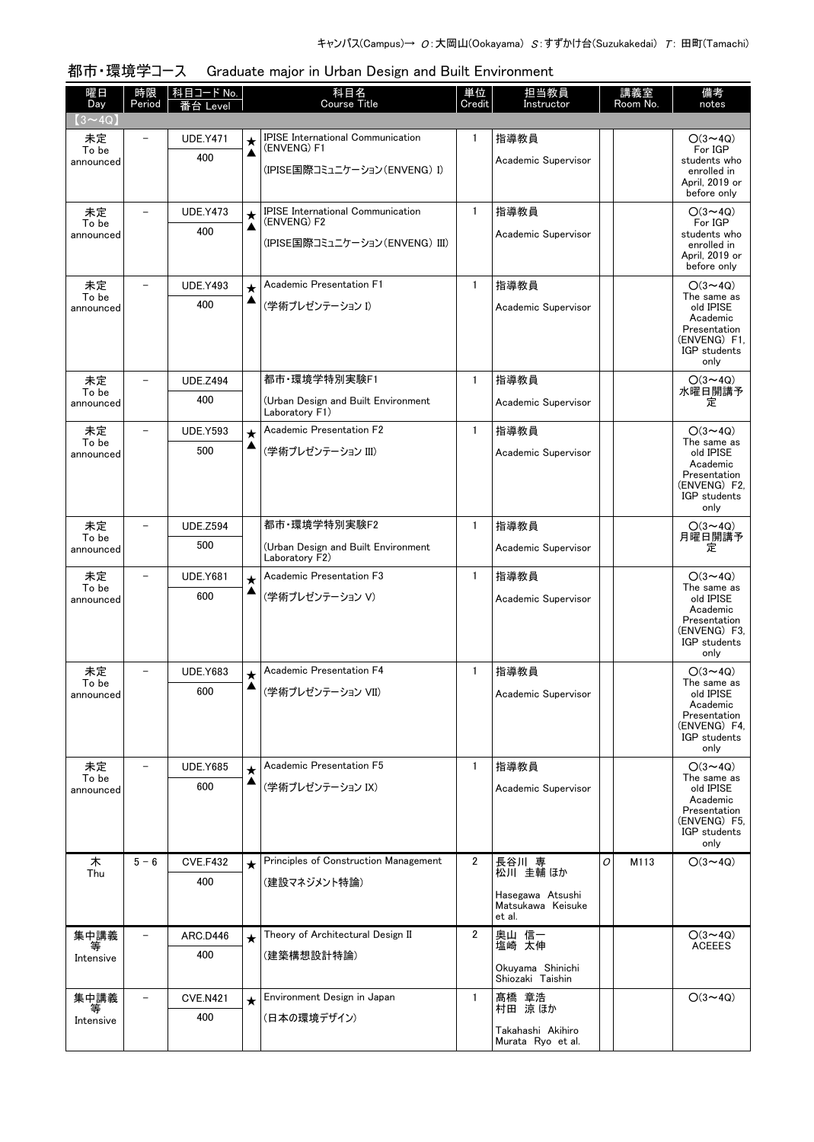| 曜日<br>Day                     | 時限<br>Period      | 科目コード No.<br>番台 Level |              | 科目名<br><b>Course Title</b>                              | 単位<br>Credit   | 担当教員<br>Instructor                     |   | 講義室<br>Room No. | 備考<br>notes                     |
|-------------------------------|-------------------|-----------------------|--------------|---------------------------------------------------------|----------------|----------------------------------------|---|-----------------|---------------------------------|
| $(3\mathtt{\sim}4\mathrm{Q})$ |                   |                       |              |                                                         |                |                                        |   |                 |                                 |
| 未定                            |                   | <b>UDE.Y471</b>       | $\star$      | <b>IPISE International Communication</b><br>(ENVENG) F1 | $\mathbf{1}$   | 指導教員                                   |   |                 | $O(3 \sim 4Q)$                  |
| To be<br>announced            |                   | 400                   | ▲            |                                                         |                | Academic Supervisor                    |   |                 | For IGP<br>students who         |
|                               |                   |                       |              | (IPISE国際コミュニケーション(ENVENG) I)                            |                |                                        |   |                 | enrolled in<br>April. 2019 or   |
|                               |                   |                       |              |                                                         |                |                                        |   |                 | before only                     |
| 未定<br>To be                   |                   | <b>UDE.Y473</b>       | $\bigstar$   | <b>IPISE International Communication</b><br>(ENVENG) F2 | $\mathbf{1}$   | 指導教員                                   |   |                 | $O(3 \sim 4Q)$<br>For IGP       |
| announced                     |                   | 400                   | ▲            | (IPISE国際コミュニケーション(ENVENG) III)                          |                | Academic Supervisor                    |   |                 | students who<br>enrolled in     |
|                               |                   |                       |              |                                                         |                |                                        |   |                 | April, 2019 or                  |
| 未定                            |                   | <b>UDE.Y493</b>       |              | Academic Presentation F1                                | $\mathbf{1}$   | 指導教員                                   |   |                 | before only<br>$O(3 \sim 4Q)$   |
| To be                         |                   | 400                   | $\star$<br>▲ | (学術プレゼンテーション I)                                         |                |                                        |   |                 | The same as                     |
| announced                     |                   |                       |              |                                                         |                | Academic Supervisor                    |   |                 | old IPISE<br>Academic           |
|                               |                   |                       |              |                                                         |                |                                        |   |                 | Presentation<br>(ENVENG) F1.    |
|                               |                   |                       |              |                                                         |                |                                        |   |                 | IGP students<br>only            |
| 未定                            |                   | <b>UDE.Z494</b>       |              | 都市·環境学特別実験F1                                            | $\mathbf{1}$   | 指導教員                                   |   |                 | $O(3 \sim 4Q)$                  |
| To be<br>announced            |                   | 400                   |              | (Urban Design and Built Environment                     |                | Academic Supervisor                    |   |                 | 水曜日開講予<br>定                     |
|                               |                   |                       |              | Laboratory F1)                                          |                |                                        |   |                 |                                 |
| 未定<br>To be                   |                   | <b>UDE.Y593</b>       | $\star$      | Academic Presentation F2                                | $\mathbf{1}$   | 指導教員                                   |   |                 | $O(3 \sim 4Q)$<br>The same as   |
| announced                     |                   | 500                   | ▲            | (学術プレゼンテーション III)                                       |                | Academic Supervisor                    |   |                 | old IPISE<br>Academic           |
|                               |                   |                       |              |                                                         |                |                                        |   |                 | Presentation                    |
|                               |                   |                       |              |                                                         |                |                                        |   |                 | (ENVENG) F2.<br>IGP students    |
|                               |                   |                       |              |                                                         |                |                                        |   |                 | only                            |
| 未定<br>To be                   |                   | <b>UDE.Z594</b>       |              | 都市·環境学特別実験F2                                            | $\mathbf{1}$   | 指導教員                                   |   |                 | $O(3 \sim 4Q)$<br>月曜日開講予        |
| announced                     |                   | 500                   |              | (Urban Design and Built Environment<br>Laboratory F2)   |                | Academic Supervisor                    |   |                 | 定                               |
| 未定                            |                   | <b>UDE.Y681</b>       | $\star$      | Academic Presentation F3                                | $\mathbf{1}$   | 指導教員                                   |   |                 | $O(3 \sim 4Q)$                  |
| To be<br>announced            |                   | 600                   | ▲            | (学術プレゼンテーション V)                                         |                | Academic Supervisor                    |   |                 | The same as<br>old IPISE        |
|                               |                   |                       |              |                                                         |                |                                        |   |                 | Academic<br>Presentation        |
|                               |                   |                       |              |                                                         |                |                                        |   |                 | (ENVENG) F3.<br>IGP students    |
|                               |                   |                       |              |                                                         |                |                                        |   |                 | only                            |
| 未定<br>To be                   | $\qquad \qquad -$ | <b>UDE.Y683</b>       | $\bigstar$   | Academic Presentation F4                                | $\mathbf{1}$   | 指導教員                                   |   |                 | $O(3 \sim 4Q)$<br>The same as   |
| announced                     |                   | 600                   |              | (学術プレゼンテーション VII)                                       |                | Academic Supervisor                    |   |                 | old IPISE                       |
|                               |                   |                       |              |                                                         |                |                                        |   |                 | Academic<br>Presentation        |
|                               |                   |                       |              |                                                         |                |                                        |   |                 | (ENVENG) F4,<br>IGP students    |
|                               |                   |                       |              |                                                         |                |                                        |   |                 | only                            |
| 未定<br>To be                   |                   | <b>UDE.Y685</b>       | $\star$<br>▲ | Academic Presentation F5                                | $\mathbf{1}$   | 指導教員                                   |   |                 | $O(3 \sim 40)$<br>The same as   |
| announced                     |                   | 600                   |              | (学術プレゼンテーション IX)                                        |                | Academic Supervisor                    |   |                 | old IPISE<br>Academic           |
|                               |                   |                       |              |                                                         |                |                                        |   |                 | Presentation<br>(ENVENG)F5.     |
|                               |                   |                       |              |                                                         |                |                                        |   |                 | IGP students<br>only            |
| 木                             | $5 - 6$           | <b>CVE.F432</b>       | $\star$      | Principles of Construction Management                   | $\overline{2}$ | 長谷川 専                                  | O | M113            | $O(3 \sim 4Q)$                  |
| Thu                           |                   | 400                   |              | (建設マネジメント特論)                                            |                | 松川 圭輔 ほか                               |   |                 |                                 |
|                               |                   |                       |              |                                                         |                | Hasegawa Atsushi<br>Matsukawa Keisuke  |   |                 |                                 |
|                               |                   |                       |              |                                                         |                | et al.                                 |   |                 |                                 |
| 集中講義                          |                   | ARC.D446              |              | Theory of Architectural Design II                       | $\overline{2}$ | 奥山 信一<br>塩崎 太伸                         |   |                 | $O(3 \sim 4Q)$<br><b>ACEEES</b> |
| Intensive                     |                   | 400                   |              | (建築構想設計特論)                                              |                |                                        |   |                 |                                 |
|                               |                   |                       |              |                                                         |                | Okuyama Shinichi<br>Shiozaki Taishin   |   |                 |                                 |
| 集中講義                          |                   | <b>CVE.N421</b>       | $\star$      | Environment Design in Japan                             | $\mathbf{1}$   | 髙橋 章浩                                  |   |                 | $O(3 \sim 4Q)$                  |
| 等<br>Intensive                |                   | 400                   |              | (日本の環境デザイン)                                             |                | 村田 涼 ほか                                |   |                 |                                 |
|                               |                   |                       |              |                                                         |                | Takahashi Akihiro<br>Murata Ryo et al. |   |                 |                                 |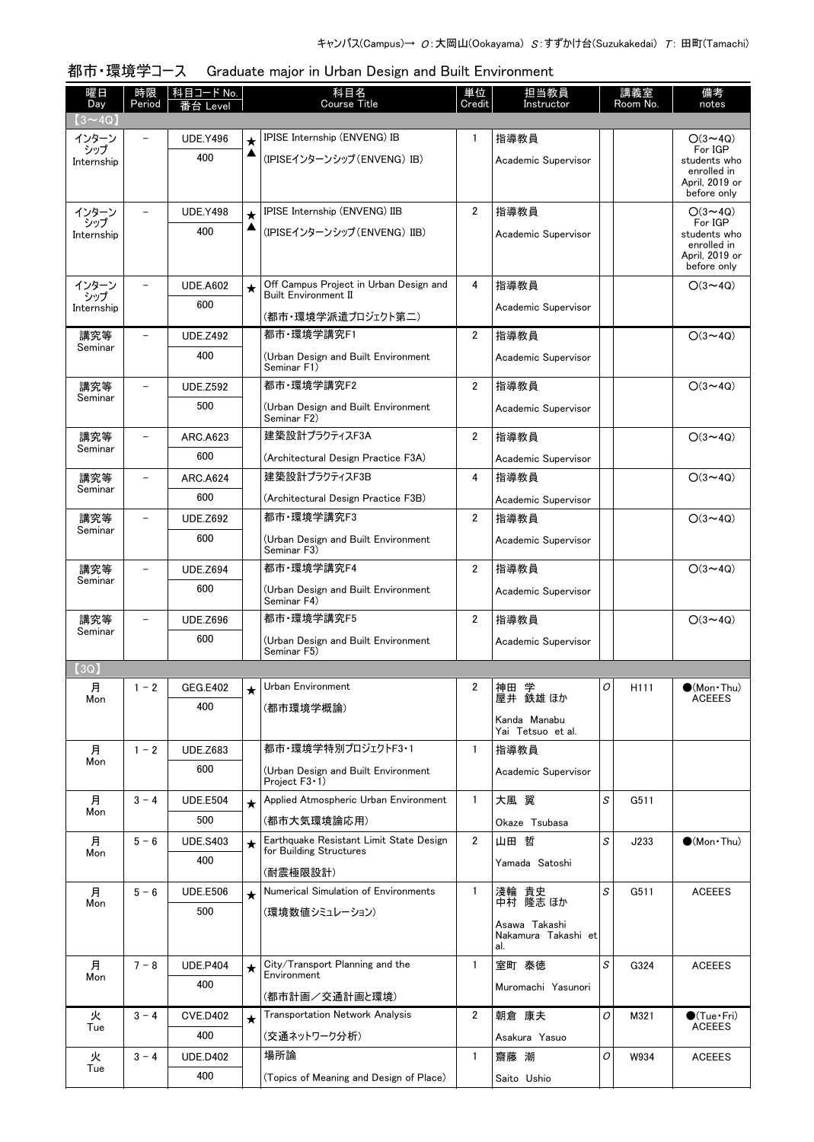| 曜日<br>Day         | 時限<br>Period             | 科目コード No.<br>番台 Level |              | 科目名<br><b>Course Title</b>                                         | 単位<br>Credit   | 担当教員<br>Instructor                          |          | 講義室<br>Room No. | 備考<br>notes                   |
|-------------------|--------------------------|-----------------------|--------------|--------------------------------------------------------------------|----------------|---------------------------------------------|----------|-----------------|-------------------------------|
| $(3 \sim 4Q)$     |                          |                       |              |                                                                    |                |                                             |          |                 |                               |
| インターン             |                          | <b>UDE.Y496</b>       | $\star$      | IPISE Internship (ENVENG) IB                                       | 1              | 指導教員                                        |          |                 | $O(3 \sim 4Q)$                |
| シップ<br>Internship |                          | 400                   | ▲            | (IPISEインターンシップ (ENVENG) IB)                                        |                | Academic Supervisor                         |          |                 | For IGP<br>students who       |
|                   |                          |                       |              |                                                                    |                |                                             |          |                 | enrolled in<br>April. 2019 or |
|                   |                          | <b>UDE.Y498</b>       |              | IPISE Internship (ENVENG) IIB                                      | $\overline{2}$ | 指導教員                                        |          |                 | before only                   |
| インターン<br>シップ      |                          | 400                   | $\star$<br>▲ |                                                                    |                |                                             |          |                 | $O(3{\sim}4Q)$<br>For IGP     |
| Internship        |                          |                       |              | (IPISEインターンシップ(ENVENG)IIB)                                         |                | Academic Supervisor                         |          |                 | students who<br>enrolled in   |
|                   |                          |                       |              |                                                                    |                |                                             |          |                 | April, 2019 or<br>before only |
| インターン             |                          | <b>UDE.A602</b>       | $\star$      | Off Campus Project in Urban Design and                             | 4              | 指導教員                                        |          |                 | $O(3 \sim 4Q)$                |
| シップ<br>Internship |                          | 600                   |              | <b>Built Environment II</b><br>(都市・環境学派遣プロジェクト第二)                  |                | Academic Supervisor                         |          |                 |                               |
| 講究等               |                          | <b>UDE.Z492</b>       |              | 都市·環境学講究F1                                                         | $\overline{2}$ | 指導教員                                        |          |                 | $O(3 \sim 4Q)$                |
| Seminar           |                          | 400                   |              | (Urban Design and Built Environment                                |                | Academic Supervisor                         |          |                 |                               |
|                   |                          |                       |              | Seminar F1)                                                        |                |                                             |          |                 |                               |
| 講究等<br>Seminar    | $\overline{\phantom{0}}$ | <b>UDE.Z592</b>       |              | 都市·環境学講究F2                                                         | $\overline{2}$ | 指導教員                                        |          |                 | $O(3 \sim 4Q)$                |
|                   |                          | 500                   |              | (Urban Design and Built Environment<br>Seminar F2)                 |                | Academic Supervisor                         |          |                 |                               |
| 講究等               |                          | ARC.A623              |              | 建築設計プラクティスF3A                                                      | $\overline{2}$ | 指導教員                                        |          |                 | $O(3 \sim 4Q)$                |
| Seminar           |                          | 600                   |              | (Architectural Design Practice F3A)                                |                | Academic Supervisor                         |          |                 |                               |
| 講究等               | $\equiv$                 | <b>ARC.A624</b>       |              | 建築設計プラクティスF3B                                                      | 4              | 指導教員                                        |          |                 | $O(3 \sim 4Q)$                |
| Seminar           |                          | 600                   |              | (Architectural Design Practice F3B)                                |                | Academic Supervisor                         |          |                 |                               |
| 講究等               |                          | <b>UDE.Z692</b>       |              | 都市·環境学講究F3                                                         | $\mathbf{2}$   | 指導教員                                        |          |                 | $O(3 \sim 4Q)$                |
| Seminar           |                          | 600                   |              | (Urban Design and Built Environment<br>Seminar F3)                 |                | Academic Supervisor                         |          |                 |                               |
| 講究等               |                          | <b>UDE.Z694</b>       |              | 都市·環境学講究F4                                                         | $\overline{2}$ | 指導教員                                        |          |                 | $O(3 \sim 4Q)$                |
| Seminar           |                          | 600                   |              | (Urban Design and Built Environment<br>Seminar F4)                 |                | Academic Supervisor                         |          |                 |                               |
| 講究等<br>Seminar    |                          | <b>UDE.Z696</b>       |              | 都市·環境学講究F5                                                         | 2              | 指導教員                                        |          |                 | $O(3 \sim 4Q)$                |
|                   |                          | 600                   |              | (Urban Design and Built Environment<br>Seminar F5)                 |                | Academic Supervisor                         |          |                 |                               |
| (3Q)              |                          |                       |              |                                                                    |                |                                             |          |                 |                               |
| 月                 | $1 - 2$                  | <b>GEG.E402</b>       | ★            | Urban Environment                                                  | 2              | 神田<br>学                                     | $\Omega$ | H111            | $\bullet$ (Mon Thu)           |
| Mon               |                          | 400                   |              | (都市環境学概論)                                                          |                | 屋井 鉄雄 ほか                                    |          |                 | <b>ACEEES</b>                 |
|                   |                          |                       |              |                                                                    |                | Kanda Manabu<br>Yai Tetsuo et al.           |          |                 |                               |
| 月                 | $1 - 2$                  | <b>UDE.Z683</b>       |              | 都市・環境学特別プロジェクトF3・1                                                 | $\mathbf{1}$   | 指導教員                                        |          |                 |                               |
| Mon               |                          | 600                   |              | (Urban Design and Built Environment<br>Project $F3 \cdot 1$ )      |                | Academic Supervisor                         |          |                 |                               |
| 月                 | $3 - 4$                  | <b>UDE.E504</b>       | $\star$      | Applied Atmospheric Urban Environment                              | $\mathbf{1}$   | 大風 翼                                        | S        | G511            |                               |
| Mon               |                          | 500                   |              | (都市大気環境論応用)                                                        |                | Okaze Tsubasa                               |          |                 |                               |
| 月<br>Mon          | $5 - 6$                  | <b>UDE.S403</b>       | $\star$      | Earthquake Resistant Limit State Design<br>for Building Structures | $\overline{2}$ | 山田 哲                                        | S        | J233            | (Mon Thu)                     |
|                   |                          | 400                   |              | (耐震極限設計)                                                           |                | Yamada Satoshi                              |          |                 |                               |
| 月                 | $5 - 6$                  | <b>UDE.E506</b>       | $\star$      | Numerical Simulation of Environments                               | $\mathbf{1}$   | 淺輪 貴史<br>中村 隆志ほか                            | S        | G511            | <b>ACEEES</b>                 |
| Mon               |                          | 500                   |              | (環境数値シミュレーション)                                                     |                |                                             |          |                 |                               |
|                   |                          |                       |              |                                                                    |                | Asawa Takashi<br>Nakamura Takashi et<br>al. |          |                 |                               |
| 月                 | $7 - 8$                  | <b>UDE.P404</b>       | $\star$      | City/Transport Planning and the                                    | $\mathbf{1}$   | 室町 泰徳                                       | S        | G324            | <b>ACEEES</b>                 |
| Mon               |                          | 400                   |              | Environment                                                        |                | Muromachi Yasunori                          |          |                 |                               |
| 火                 | $3 - 4$                  | <b>CVE.D402</b>       |              | (都市計画/交通計画と環境)<br><b>Transportation Network Analysis</b>           | $\overline{2}$ | 朝倉 康夫                                       | 0        | M321            | $\bullet$ (Tue $\cdot$ Fri)   |
| Tue               |                          | 400                   | $\star$      | (交通ネットワーク分析)                                                       |                | Asakura Yasuo                               |          |                 | <b>ACEEES</b>                 |
| 火                 | $3 - 4$                  | <b>UDE.D402</b>       |              | 場所論                                                                | 1              | 齋藤 潮                                        | 0        | W934            | <b>ACEEES</b>                 |
| Tue               |                          | 400                   |              | (Topics of Meaning and Design of Place)                            |                | Saito Ushio                                 |          |                 |                               |
|                   |                          |                       |              |                                                                    |                |                                             |          |                 |                               |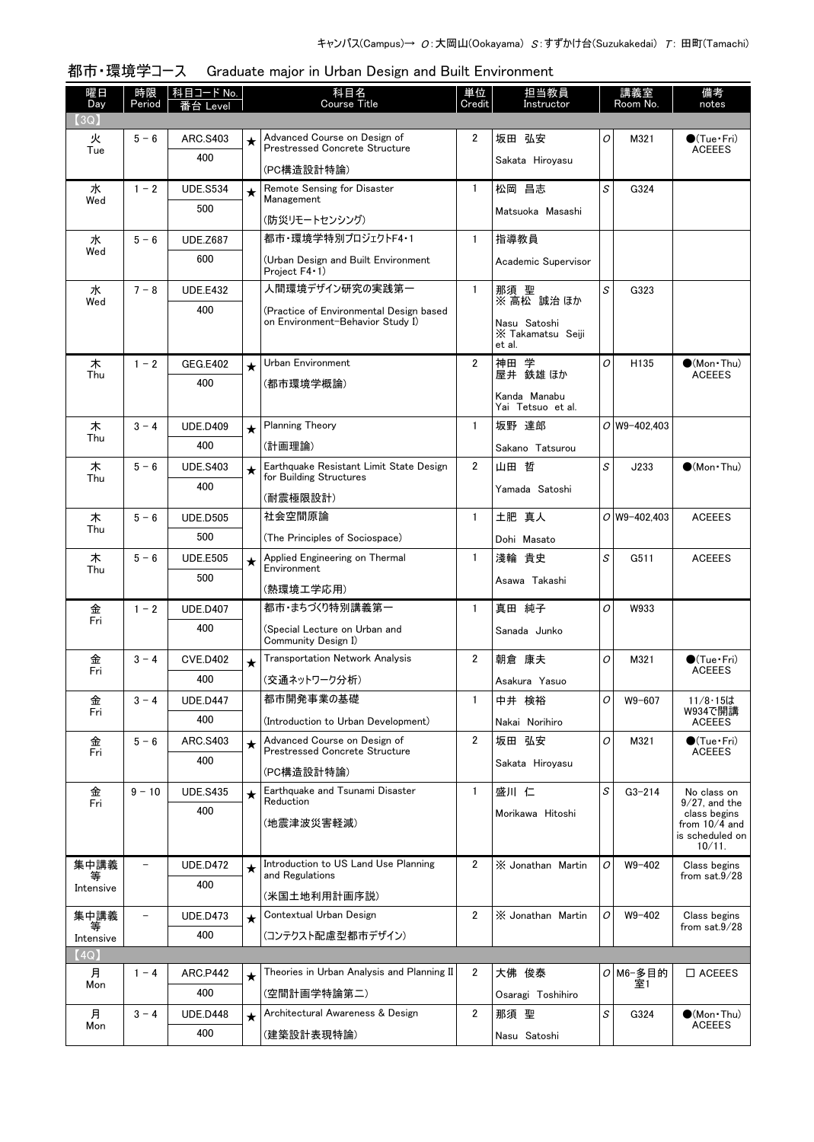| 曜日<br>Day         | 時限<br>Period             | 科目コード No.<br>番台 Level  |         | 科目名<br><b>Course Title</b>                                                  | 単位<br>Credit   | 担当教員<br>Instructor                          |   | 講義室<br>Room No.  | 備考<br>notes                          |
|-------------------|--------------------------|------------------------|---------|-----------------------------------------------------------------------------|----------------|---------------------------------------------|---|------------------|--------------------------------------|
| (3Q)              |                          |                        |         |                                                                             |                |                                             |   |                  |                                      |
| 火<br>Tue          | $5 - 6$                  | ARC.S403               | $\star$ | Advanced Course on Design of<br><b>Prestressed Concrete Structure</b>       | 2              | 坂田 弘安                                       | 0 | M321             | $\bullet$ (Tue•Fri)<br><b>ACEEES</b> |
|                   |                          | 400                    |         | (PC構造設計特論)                                                                  |                | Sakata Hiroyasu                             |   |                  |                                      |
| 水                 | $1 - 2$                  | <b>UDE.S534</b>        | $\star$ | Remote Sensing for Disaster                                                 | 1.             | 松岡 昌志                                       | S | G324             |                                      |
| Wed               |                          | 500                    |         | Management                                                                  |                | Matsuoka Masashi                            |   |                  |                                      |
|                   |                          |                        |         | (防災リモートセンシング)                                                               |                |                                             |   |                  |                                      |
| 水<br>Wed          | $5 - 6$                  | <b>UDE.Z687</b>        |         | 都市·環境学特別プロジェクトF4·1                                                          | $\mathbf{1}$   | 指導教員                                        |   |                  |                                      |
|                   |                          | 600                    |         | (Urban Design and Built Environment<br>Project F4 · 1)                      |                | Academic Supervisor                         |   |                  |                                      |
| 水<br>Wed          | $7 - 8$                  | <b>UDE.E432</b>        |         | 人間環境デザイン研究の実践第一                                                             | $\mathbf{1}$   | 那須 聖<br>※ 高松 誠治 ほか                          | S | G323             |                                      |
|                   |                          | 400                    |         | (Practice of Environmental Design based<br>on Environment-Behavior Study I) |                | Nasu Satoshi<br>X Takamatsu Seiji<br>et al. |   |                  |                                      |
| 木                 | $1 - 2$                  | <b>GEG.E402</b>        | $\star$ | Urban Environment                                                           | $\overline{2}$ | 神田 学                                        | 0 | H135             | $\bullet$ (Mon · Thu)                |
| Thu               |                          | 400                    |         | (都市環境学概論)                                                                   |                | 屋井 鉄雄 ほか                                    |   |                  | <b>ACEEES</b>                        |
|                   |                          |                        |         |                                                                             |                | Kanda Manabu<br>Yai Tetsuo et al.           |   |                  |                                      |
| 木                 | $3 - 4$                  | <b>UDE.D409</b>        | $\star$ | <b>Planning Theory</b>                                                      | $\mathbf{1}$   | 坂野 達郎                                       |   | $O W9 - 402,403$ |                                      |
| Thu               |                          | 400                    |         | (計画理論)                                                                      |                | Sakano Tatsurou                             |   |                  |                                      |
| 木                 | $5 - 6$                  | <b>UDE.S403</b>        | $\star$ | Earthquake Resistant Limit State Design                                     | $\overline{2}$ | 山田 哲                                        | S | J233             | $\bullet$ (Mon Thu)                  |
| Thu               |                          | 400                    |         | for Building Structures                                                     |                | Yamada Satoshi                              |   |                  |                                      |
|                   |                          |                        |         | (耐震極限設計)                                                                    |                |                                             |   |                  |                                      |
| 木<br>Thu          | $5 - 6$                  | <b>UDE.D505</b>        |         | 社会空間原論                                                                      | 1              | 土肥 真人                                       |   | $O$ W9-402.403   | <b>ACEEES</b>                        |
|                   |                          | 500                    |         | (The Principles of Sociospace)                                              |                | Dohi Masato                                 |   |                  |                                      |
| 木<br>Thu          | $5 - 6$                  | <b>UDE.E505</b>        | $\star$ | Applied Engineering on Thermal<br>Environment                               | 1              | 淺輪 貴史                                       | S | G511             | <b>ACEEES</b>                        |
|                   |                          | 500                    |         | (熱環境エ学応用)                                                                   |                | Asawa Takashi                               |   |                  |                                      |
| 金                 | $1 - 2$                  | <b>UDE.D407</b>        |         | 都市・まちづくり特別講義第一                                                              | $\mathbf{1}$   | 真田 純子                                       | 0 | W933             |                                      |
| Fri               |                          | 400                    |         | (Special Lecture on Urban and<br>Community Design I)                        |                | Sanada Junko                                |   |                  |                                      |
| 金                 | $3 - 4$                  | <b>CVE.D402</b>        | $\star$ | <b>Transportation Network Analysis</b>                                      | $\overline{2}$ | 朝倉 康夫                                       | 0 | M321             | $\bigcirc$ (Tue · Fri)               |
| Fri               |                          | 400                    |         | (交通ネットワーク分析)                                                                |                | Asakura Yasuo                               |   |                  | <b>ACEEES</b>                        |
| 金                 | $3 - 4$                  | <b>UDE.D447</b>        |         | 都市開発事業の基礎                                                                   | $\mathbf{1}$   | 中井 検裕                                       | 0 | W9-607           | 11/8.15                              |
| Fri               |                          | 400                    |         | (Introduction to Urban Development)                                         |                | Nakai Norihiro                              |   |                  | W934で開講<br><b>ACEEES</b>             |
| 金                 | $5 - 6$                  | ARC.S403               | $\star$ | Advanced Course on Design of                                                | 2              | 坂田 弘安                                       | 0 | M321             | ●(Tue·Fri)                           |
| Fri               |                          | 400                    |         | <b>Prestressed Concrete Structure</b>                                       |                | Sakata Hiroyasu                             |   |                  | <b>ACEEES</b>                        |
|                   | $9 - 10$                 | <b>UDE.S435</b>        |         | (PC構造設計特論)<br>Earthquake and Tsunami Disaster                               | $\mathbf{1}$   | 盛川 仁                                        | S | $G3 - 214$       |                                      |
| 金<br>Fri          |                          | 400                    | $\star$ | Reduction                                                                   |                |                                             |   |                  | No class on<br>$9/27$ , and the      |
|                   |                          |                        |         | (地震津波災害軽減)                                                                  |                | Morikawa Hitoshi                            |   |                  | class begins<br>from $10/4$ and      |
|                   |                          |                        |         |                                                                             |                |                                             |   |                  | is scheduled on<br>10/11.            |
| 集中講義              | $\qquad \qquad -$        | <b>UDE.D472</b>        | $\star$ | Introduction to US Land Use Planning                                        | $\overline{2}$ | X Jonathan Martin                           | 0 | $W9 - 402$       | Class begins                         |
| Intensive         |                          | 400                    |         | and Regulations                                                             |                |                                             |   |                  | from $sat.9/28$                      |
|                   | $\overline{\phantom{a}}$ |                        |         | (米国土地利用計画序説)<br>Contextual Urban Design                                     | 2              |                                             | 0 |                  |                                      |
| 集中講義<br>等         |                          | <b>UDE.D473</b><br>400 | $\star$ |                                                                             |                | X Jonathan Martin                           |   | $W9 - 402$       | Class begins<br>from sat. $9/28$     |
| Intensive<br>(4Q) |                          |                        |         | (コンテクスト配慮型都市デザイン)                                                           |                |                                             |   |                  |                                      |
| 月                 | $1 - 4$                  | <b>ARC.P442</b>        | $\star$ | Theories in Urban Analysis and Planning II                                  | 2              | 大佛 俊泰                                       |   | $O$ M6-多目的       | $\square$ ACEEES                     |
| Mon               |                          | 400                    |         | (空間計画学特論第二)                                                                 |                | Osaragi Toshihiro                           |   | 室1               |                                      |
| 月                 | $3 - 4$                  | <b>UDE.D448</b>        | $\star$ | Architectural Awareness & Design                                            | 2              | 那須 聖                                        | S | G324             | $\bullet$ (Mon · Thu)                |
| Mon               |                          | 400                    |         | (建築設計表現特論)                                                                  |                | Nasu Satoshi                                |   |                  | <b>ACEEES</b>                        |
|                   |                          |                        |         |                                                                             |                |                                             |   |                  |                                      |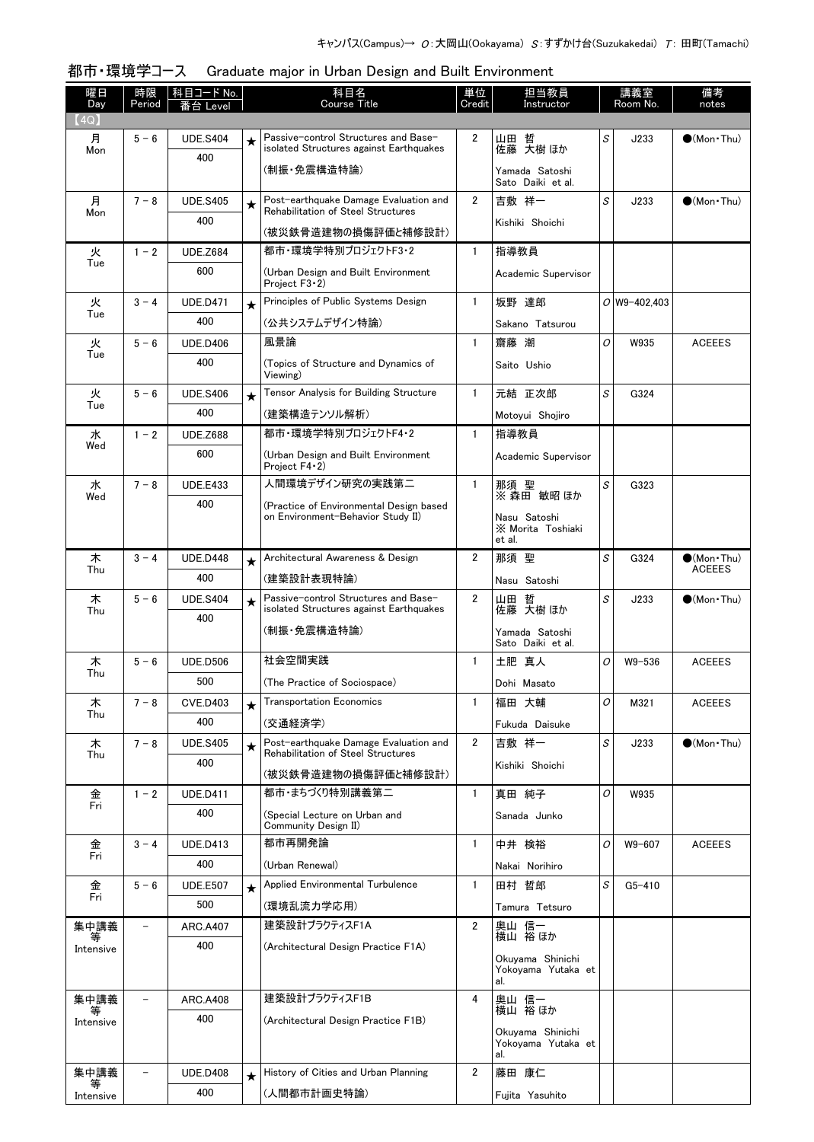| 曜日<br>Day | 時限<br>Period             | 科目コード No.       |         | 科目名<br><b>Course Title</b>                                                      | 単位<br>Credit   | 担当教員<br>Instructor                            |   | 講義室<br>Room No. | 備考<br>notes          |
|-----------|--------------------------|-----------------|---------|---------------------------------------------------------------------------------|----------------|-----------------------------------------------|---|-----------------|----------------------|
| (4Q)      |                          |                 |         |                                                                                 |                |                                               |   |                 |                      |
| 月<br>Mon  | $5 - 6$                  | <b>UDE.S404</b> | $\star$ | Passive-control Structures and Base-<br>isolated Structures against Earthquakes | $\overline{2}$ | 山田 哲<br>佐藤 大樹 ほか                              | S | J233            | $\bullet$ (Mon Thu)  |
|           |                          | 400             |         | (制振·免震構造特論)                                                                     |                | Yamada Satoshi<br>Sato Daiki et al.           |   |                 |                      |
| 月         | $7 - 8$                  | <b>UDE.S405</b> | $\star$ | Post-earthquake Damage Evaluation and<br>Rehabilitation of Steel Structures     | $\overline{2}$ | 吉敷 祥一                                         | S | J233            | $(Mon\cdot Thu)$     |
| Mon       |                          | 400             |         | (被災鉄骨造建物の損傷評価と補修設計)                                                             |                | Kishiki Shoichi                               |   |                 |                      |
| 火         | $1 - 2$                  | <b>UDE.Z684</b> |         | 都市·環境学特別プロジェクトF3·2                                                              | $\mathbf{1}$   | 指導教員                                          |   |                 |                      |
| Tue       |                          | 600             |         | (Urban Design and Built Environment<br>Project F3 · 2)                          |                | Academic Supervisor                           |   |                 |                      |
| 火         | $3 - 4$                  | <b>UDE.D471</b> | $\star$ | Principles of Public Systems Design                                             | $\mathbf{1}$   | 坂野 達郎                                         |   | $O$ W9-402,403  |                      |
| Tue       |                          | 400             |         | (公共システムデザイン特論)                                                                  |                | Sakano Tatsurou                               |   |                 |                      |
| 火         | $5 - 6$                  | <b>UDE.D406</b> |         | 風景論                                                                             | $\mathbf{1}$   | 齋藤 潮                                          | O | W935            | <b>ACEEES</b>        |
| Tue       |                          | 400             |         | (Topics of Structure and Dynamics of<br>Viewing)                                |                | Saito Ushio                                   |   |                 |                      |
| 火         | $5 - 6$                  | <b>UDE.S406</b> | $\star$ | Tensor Analysis for Building Structure                                          | $\mathbf{1}$   | 元結 正次郎                                        | S | G324            |                      |
| Tue       |                          | 400             |         | (建築構造テンソル解析)                                                                    |                | Motovui Shoiiro                               |   |                 |                      |
| 水         | $1 - 2$                  | <b>UDE.Z688</b> |         | 都市・環境学特別プロジェクトF4・2                                                              | $\mathbf{1}$   | 指導教員                                          |   |                 |                      |
| Wed       |                          | 600             |         | (Urban Design and Built Environment<br>Project $F4 \cdot 2$                     |                | Academic Supervisor                           |   |                 |                      |
| 水         | $7 - 8$                  | <b>UDE.E433</b> |         | 人間環境デザイン研究の実践第二                                                                 | $\mathbf{1}$   | 那須 聖                                          | S | G323            |                      |
| Wed       |                          | 400             |         | (Practice of Environmental Design based                                         |                | ※ 森田 敏昭 ほか                                    |   |                 |                      |
|           |                          |                 |         | on Environment-Behavior Study II)                                               |                | Nasu Satoshi<br>X Morita Toshiaki<br>et al.   |   |                 |                      |
| 木         | $3 - 4$                  | <b>UDE.D448</b> | $\star$ | Architectural Awareness & Design                                                | $\overline{2}$ | 那須 聖                                          | S | G324            | $\bullet$ (Mon Thu)  |
| Thu       |                          | 400             |         | (建築設計表現特論)                                                                      |                | Nasu Satoshi                                  |   |                 | <b>ACEEES</b>        |
| 木         | $5 - 6$                  | <b>UDE.S404</b> | $\star$ | Passive-control Structures and Base-                                            | $\overline{2}$ | 哲<br>山田                                       | S | J233            | $\bigcirc$ (Mon Thu) |
| Thu       |                          | 400             |         | isolated Structures against Earthquakes                                         |                | 伝藤 大樹 ほか                                      |   |                 |                      |
|           |                          |                 |         | (制振・免震構造特論)                                                                     |                | Yamada Satoshi<br>Sato Daiki et al.           |   |                 |                      |
| 木<br>Thu  | $5 - 6$                  | <b>UDE.D506</b> |         | 社会空間実践                                                                          | $\mathbf{1}$   | 土肥 真人                                         | 0 | $W9 - 536$      | <b>ACEEES</b>        |
|           |                          | 500             |         | (The Practice of Sociospace)                                                    |                | Dohi Masato                                   |   |                 |                      |
| 木<br>Thu  | $7 - 8$                  | <b>CVE.D403</b> | $\star$ | <b>Transportation Economics</b>                                                 | $\mathbf{1}$   | 福田 大輔                                         | O | M321            | <b>ACEEES</b>        |
|           |                          | 400             |         | (交通経済学)                                                                         |                | Fukuda Daisuke                                |   |                 |                      |
| 木<br>Thu  | $7 - 8$                  | <b>UDE.S405</b> | $\star$ | Post-earthquake Damage Evaluation and<br>Rehabilitation of Steel Structures     | $\overline{2}$ | 吉敷 祥一                                         | S | J233            | $\bullet$ (Mon Thu)  |
|           |                          | 400             |         | (被災鉄骨造建物の損傷評価と補修設計)                                                             |                | Kishiki Shoichi                               |   |                 |                      |
| 金         | $1 - 2$                  | <b>UDE.D411</b> |         | 都市・まちづくり特別講義第二                                                                  | $\mathbf{1}$   | 真田 純子                                         | O | W935            |                      |
| Fri       |                          | 400             |         | (Special Lecture on Urban and                                                   |                | Sanada Junko                                  |   |                 |                      |
|           |                          |                 |         | Community Design II)                                                            |                |                                               |   |                 |                      |
| 金<br>Fri  | $3 - 4$                  | <b>UDE.D413</b> |         | 都市再開発論                                                                          | $\mathbf{1}$   | 中井 検裕                                         | 0 | W9-607          | <b>ACEEES</b>        |
|           |                          | 400             |         | (Urban Renewal)                                                                 |                | Nakai Norihiro                                |   |                 |                      |
| 金<br>Fri  | $5 - 6$                  | <b>UDE.E507</b> | $\star$ | Applied Environmental Turbulence                                                | $\mathbf{1}$   | 田村 哲郎                                         | S | $G5 - 410$      |                      |
|           |                          | 500             |         | (環境乱流力学応用)                                                                      |                | Tamura Tetsuro                                |   |                 |                      |
| 集中講義<br>等 | $\overline{\phantom{0}}$ | <b>ARC.A407</b> |         | 建築設計プラクティスF1A                                                                   | $\overline{2}$ | 奥山 信一<br>横山 裕ほか                               |   |                 |                      |
| Intensive |                          | 400             |         | (Architectural Design Practice F1A)                                             |                | Okuyama Shinichi                              |   |                 |                      |
|           |                          |                 |         |                                                                                 |                | Yokoyama Yutaka et<br>al.                     |   |                 |                      |
| 集中講義<br>等 |                          | <b>ARC.A408</b> |         | 建築設計プラクティスF1B                                                                   | 4              | 奥山 信一<br>横山 裕 ほか                              |   |                 |                      |
| Intensive |                          | 400             |         | (Architectural Design Practice F1B)                                             |                |                                               |   |                 |                      |
|           |                          |                 |         |                                                                                 |                | Okuyama Shinichi<br>Yokoyama Yutaka et<br>al. |   |                 |                      |
| 集中講義      |                          | <b>UDE.D408</b> | $\star$ | History of Cities and Urban Planning                                            | $\overline{2}$ | 藤田 康仁                                         |   |                 |                      |
| Intensive |                          | 400             |         | (人間都市計画史特論)                                                                     |                | Fujita Yasuhito                               |   |                 |                      |